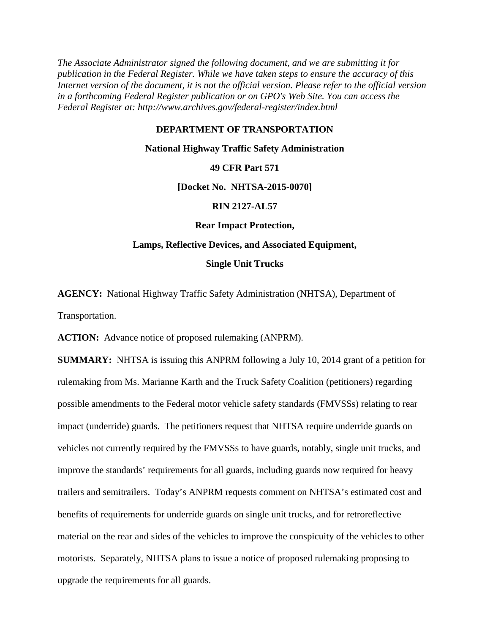*The Associate Administrator signed the following document, and we are submitting it for publication in the Federal Register. While we have taken steps to ensure the accuracy of this Internet version of the document, it is not the official version. Please refer to the official version in a forthcoming Federal Register publication or on GPO's Web Site. You can access the Federal Register at: http://www.archives.gov/federal-register/index.html*

#### **DEPARTMENT OF TRANSPORTATION**

#### **National Highway Traffic Safety Administration**

#### **49 CFR Part 571**

**[Docket No. NHTSA-2015-0070]**

#### **RIN 2127-AL57**

#### **Rear Impact Protection,**

# **Lamps, Reflective Devices, and Associated Equipment, Single Unit Trucks**

**AGENCY:** National Highway Traffic Safety Administration (NHTSA), Department of Transportation.

**ACTION:** Advance notice of proposed rulemaking (ANPRM).

**SUMMARY:** NHTSA is issuing this ANPRM following a July 10, 2014 grant of a petition for rulemaking from Ms. Marianne Karth and the Truck Safety Coalition (petitioners) regarding possible amendments to the Federal motor vehicle safety standards (FMVSSs) relating to rear impact (underride) guards. The petitioners request that NHTSA require underride guards on vehicles not currently required by the FMVSSs to have guards, notably, single unit trucks, and improve the standards' requirements for all guards, including guards now required for heavy trailers and semitrailers. Today's ANPRM requests comment on NHTSA's estimated cost and benefits of requirements for underride guards on single unit trucks, and for retroreflective material on the rear and sides of the vehicles to improve the conspicuity of the vehicles to other motorists. Separately, NHTSA plans to issue a notice of proposed rulemaking proposing to upgrade the requirements for all guards.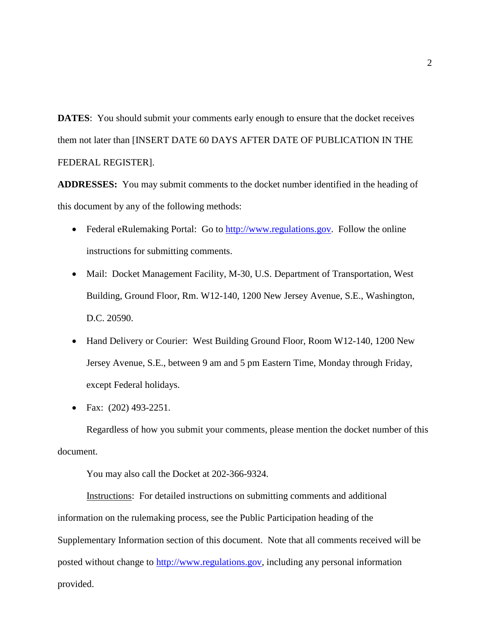**DATES:** You should submit your comments early enough to ensure that the docket receives them not later than [INSERT DATE 60 DAYS AFTER DATE OF PUBLICATION IN THE FEDERAL REGISTER].

**ADDRESSES:** You may submit comments to the docket number identified in the heading of this document by any of the following methods:

- Federal eRulemaking Portal: Go to [http://www.regulations.gov.](http://www.regulations.gov/) Follow the online instructions for submitting comments.
- Mail: Docket Management Facility, M-30, U.S. Department of Transportation, West Building, Ground Floor, Rm. W12-140, 1200 New Jersey Avenue, S.E., Washington, D.C. 20590.
- Hand Delivery or Courier: West Building Ground Floor, Room W12-140, 1200 New Jersey Avenue, S.E., between 9 am and 5 pm Eastern Time, Monday through Friday, except Federal holidays.
- Fax: (202) 493-2251.

Regardless of how you submit your comments, please mention the docket number of this document.

You may also call the Docket at 202-366-9324.

Instructions: For detailed instructions on submitting comments and additional information on the rulemaking process, see the Public Participation heading of the Supplementary Information section of this document. Note that all comments received will be posted without change to [http://www.regulations.gov,](http://www.regulations.gov/) including any personal information provided.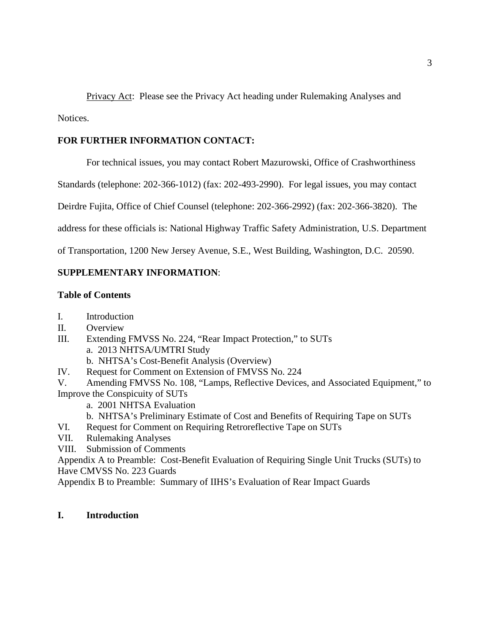Privacy Act: Please see the Privacy Act heading under Rulemaking Analyses and Notices.

# **FOR FURTHER INFORMATION CONTACT:**

For technical issues, you may contact Robert Mazurowski, Office of Crashworthiness

Standards (telephone: 202-366-1012) (fax: 202-493-2990). For legal issues, you may contact

Deirdre Fujita, Office of Chief Counsel (telephone: 202-366-2992) (fax: 202-366-3820). The

address for these officials is: National Highway Traffic Safety Administration, U.S. Department

of Transportation, 1200 New Jersey Avenue, S.E., West Building, Washington, D.C. 20590.

## **SUPPLEMENTARY INFORMATION**:

### **Table of Contents**

- I. Introduction
- II. Overview
- III. Extending FMVSS No. 224, "Rear Impact Protection," to SUTs a. 2013 NHTSA/UMTRI Study
	- b. NHTSA's Cost-Benefit Analysis (Overview)
- IV. Request for Comment on Extension of FMVSS No. 224

V. Amending FMVSS No. 108, "Lamps, Reflective Devices, and Associated Equipment," to Improve the Conspicuity of SUTs

- a. 2001 NHTSA Evaluation
- b. NHTSA's Preliminary Estimate of Cost and Benefits of Requiring Tape on SUTs
- VI. Request for Comment on Requiring Retroreflective Tape on SUTs
- VII. Rulemaking Analyses
- VIII. Submission of Comments

Appendix A to Preamble: Cost-Benefit Evaluation of Requiring Single Unit Trucks (SUTs) to Have CMVSS No. 223 Guards

Appendix B to Preamble: Summary of IIHS's Evaluation of Rear Impact Guards

## **I. Introduction**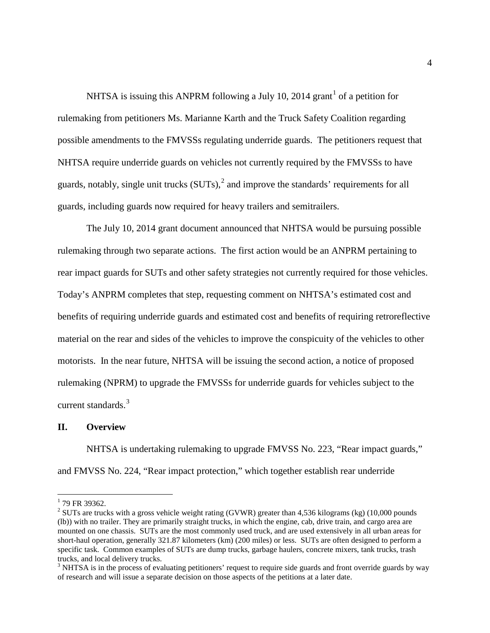NHTSA is issuing this ANPRM following a July [1](#page-3-0)0, 2014 grant<sup>1</sup> of a petition for rulemaking from petitioners Ms. Marianne Karth and the Truck Safety Coalition regarding possible amendments to the FMVSSs regulating underride guards. The petitioners request that NHTSA require underride guards on vehicles not currently required by the FMVSSs to have guards, notably, single unit trucks  $(SUTs)$ ,  $\alpha$  and improve the standards' requirements for all guards, including guards now required for heavy trailers and semitrailers.

The July 10, 2014 grant document announced that NHTSA would be pursuing possible rulemaking through two separate actions. The first action would be an ANPRM pertaining to rear impact guards for SUTs and other safety strategies not currently required for those vehicles. Today's ANPRM completes that step, requesting comment on NHTSA's estimated cost and benefits of requiring underride guards and estimated cost and benefits of requiring retroreflective material on the rear and sides of the vehicles to improve the conspicuity of the vehicles to other motorists. In the near future, NHTSA will be issuing the second action, a notice of proposed rulemaking (NPRM) to upgrade the FMVSSs for underride guards for vehicles subject to the current standards.<sup>[3](#page-3-2)</sup>

#### **II. Overview**

NHTSA is undertaking rulemaking to upgrade FMVSS No. 223, "Rear impact guards," and FMVSS No. 224, "Rear impact protection," which together establish rear underride

<span id="page-3-0"></span> $1$  79 FR 39362.

<span id="page-3-1"></span><sup>&</sup>lt;sup>2</sup> SUTs are trucks with a gross vehicle weight rating (GVWR) greater than 4,536 kilograms (kg) (10,000 pounds (lb)) with no trailer. They are primarily straight trucks, in which the engine, cab, drive train, and cargo area are mounted on one chassis. SUTs are the most commonly used truck, and are used extensively in all urban areas for short-haul operation, generally 321.87 kilometers (km) (200 miles) or less. SUTs are often designed to perform a specific task. Common examples of SUTs are dump trucks, garbage haulers, concrete mixers, tank trucks, trash trucks, and local delivery trucks.

<span id="page-3-2"></span><sup>&</sup>lt;sup>3</sup> NHTSA is in the process of evaluating petitioners' request to require side guards and front override guards by way of research and will issue a separate decision on those aspects of the petitions at a later date.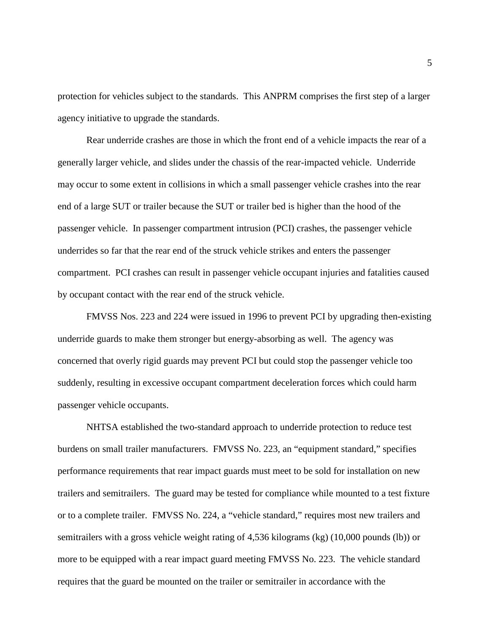protection for vehicles subject to the standards. This ANPRM comprises the first step of a larger agency initiative to upgrade the standards.

Rear underride crashes are those in which the front end of a vehicle impacts the rear of a generally larger vehicle, and slides under the chassis of the rear-impacted vehicle. Underride may occur to some extent in collisions in which a small passenger vehicle crashes into the rear end of a large SUT or trailer because the SUT or trailer bed is higher than the hood of the passenger vehicle. In passenger compartment intrusion (PCI) crashes, the passenger vehicle underrides so far that the rear end of the struck vehicle strikes and enters the passenger compartment. PCI crashes can result in passenger vehicle occupant injuries and fatalities caused by occupant contact with the rear end of the struck vehicle.

FMVSS Nos. 223 and 224 were issued in 1996 to prevent PCI by upgrading then-existing underride guards to make them stronger but energy-absorbing as well. The agency was concerned that overly rigid guards may prevent PCI but could stop the passenger vehicle too suddenly, resulting in excessive occupant compartment deceleration forces which could harm passenger vehicle occupants.

NHTSA established the two-standard approach to underride protection to reduce test burdens on small trailer manufacturers. FMVSS No. 223, an "equipment standard," specifies performance requirements that rear impact guards must meet to be sold for installation on new trailers and semitrailers. The guard may be tested for compliance while mounted to a test fixture or to a complete trailer. FMVSS No. 224, a "vehicle standard," requires most new trailers and semitrailers with a gross vehicle weight rating of 4,536 kilograms (kg) (10,000 pounds (lb)) or more to be equipped with a rear impact guard meeting FMVSS No. 223. The vehicle standard requires that the guard be mounted on the trailer or semitrailer in accordance with the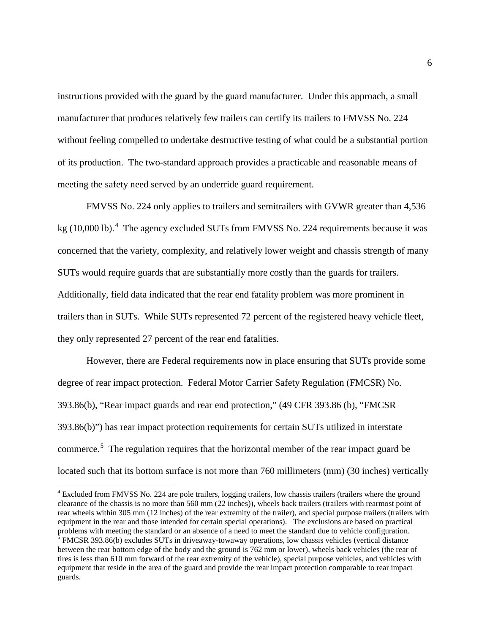instructions provided with the guard by the guard manufacturer. Under this approach, a small manufacturer that produces relatively few trailers can certify its trailers to FMVSS No. 224 without feeling compelled to undertake destructive testing of what could be a substantial portion of its production. The two-standard approach provides a practicable and reasonable means of meeting the safety need served by an underride guard requirement.

FMVSS No. 224 only applies to trailers and semitrailers with GVWR greater than 4,536 kg (10,000 lb).<sup>[4](#page-5-0)</sup> The agency excluded SUTs from FMVSS No. 224 requirements because it was concerned that the variety, complexity, and relatively lower weight and chassis strength of many SUTs would require guards that are substantially more costly than the guards for trailers. Additionally, field data indicated that the rear end fatality problem was more prominent in trailers than in SUTs. While SUTs represented 72 percent of the registered heavy vehicle fleet, they only represented 27 percent of the rear end fatalities.

However, there are Federal requirements now in place ensuring that SUTs provide some degree of rear impact protection. Federal Motor Carrier Safety Regulation (FMCSR) No. 393.86(b), "Rear impact guards and rear end protection," (49 CFR 393.86 (b), "FMCSR 393.86(b)") has rear impact protection requirements for certain SUTs utilized in interstate commerce.<sup>[5](#page-5-1)</sup> The regulation requires that the horizontal member of the rear impact guard be located such that its bottom surface is not more than 760 millimeters (mm) (30 inches) vertically

<span id="page-5-1"></span><span id="page-5-0"></span><sup>&</sup>lt;sup>4</sup> Excluded from FMVSS No. 224 are pole trailers, logging trailers, low chassis trailers (trailers where the ground clearance of the chassis is no more than 560 mm (22 inches)), wheels back trailers (trailers with rearmost point of rear wheels within 305 mm (12 inches) of the rear extremity of the trailer), and special purpose trailers (trailers with equipment in the rear and those intended for certain special operations). The exclusions are based on practical problems with meeting the standard or an absence of a need to meet the standard due to vehicle configuration. <sup>5</sup> FMCSR 393.86(b) excludes SUTs in driveaway-towaway operations, low chassis vehicles (vertical distance between the rear bottom edge of the body and the ground is 762 mm or lower), wheels back vehicles (the rear of tires is less than 610 mm forward of the rear extremity of the vehicle), special purpose vehicles, and vehicles with equipment that reside in the area of the guard and provide the rear impact protection comparable to rear impact guards.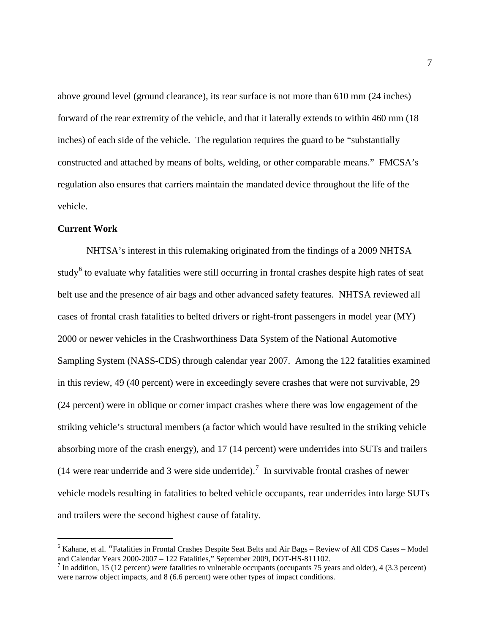above ground level (ground clearance), its rear surface is not more than 610 mm (24 inches) forward of the rear extremity of the vehicle, and that it laterally extends to within 460 mm (18 inches) of each side of the vehicle. The regulation requires the guard to be "substantially constructed and attached by means of bolts, welding, or other comparable means." FMCSA's regulation also ensures that carriers maintain the mandated device throughout the life of the vehicle.

#### **Current Work**

NHTSA's interest in this rulemaking originated from the findings of a 2009 NHTSA study<sup>[6](#page-6-0)</sup> to evaluate why fatalities were still occurring in frontal crashes despite high rates of seat belt use and the presence of air bags and other advanced safety features. NHTSA reviewed all cases of frontal crash fatalities to belted drivers or right-front passengers in model year (MY) 2000 or newer vehicles in the Crashworthiness Data System of the National Automotive Sampling System (NASS-CDS) through calendar year 2007. Among the 122 fatalities examined in this review, 49 (40 percent) were in exceedingly severe crashes that were not survivable, 29 (24 percent) were in oblique or corner impact crashes where there was low engagement of the striking vehicle's structural members (a factor which would have resulted in the striking vehicle absorbing more of the crash energy), and 17 (14 percent) were underrides into SUTs and trailers (14 were rear underride and 3 were side underride).<sup>[7](#page-6-1)</sup> In survivable frontal crashes of newer vehicle models resulting in fatalities to belted vehicle occupants, rear underrides into large SUTs and trailers were the second highest cause of fatality.

<span id="page-6-0"></span> $^6$  Kahane, et al. "Fatalities in Frontal Crashes Despite Seat Belts and Air Bags – Review of All CDS Cases – Model and Calendar Years 2000-2007 – 122 Fatalities," September 2009, DOT-HS-811102.

<span id="page-6-1"></span><sup>&</sup>lt;sup>7</sup> In addition, 15 (12 percent) were fatalities to vulnerable occupants (occupants 75 years and older), 4 (3.3 percent) were narrow object impacts, and 8 (6.6 percent) were other types of impact conditions.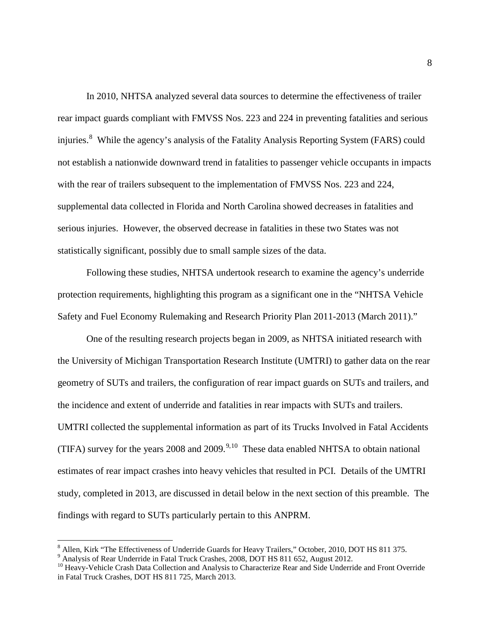In 2010, NHTSA analyzed several data sources to determine the effectiveness of trailer rear impact guards compliant with FMVSS Nos. 223 and 224 in preventing fatalities and serious injuries.<sup>[8](#page-7-0)</sup> While the agency's analysis of the Fatality Analysis Reporting System (FARS) could not establish a nationwide downward trend in fatalities to passenger vehicle occupants in impacts with the rear of trailers subsequent to the implementation of FMVSS Nos. 223 and 224, supplemental data collected in Florida and North Carolina showed decreases in fatalities and serious injuries. However, the observed decrease in fatalities in these two States was not statistically significant, possibly due to small sample sizes of the data.

Following these studies, NHTSA undertook research to examine the agency's underride protection requirements, highlighting this program as a significant one in the "NHTSA Vehicle Safety and Fuel Economy Rulemaking and Research Priority Plan 2011-2013 (March 2011)."

One of the resulting research projects began in 2009, as NHTSA initiated research with the University of Michigan Transportation Research Institute (UMTRI) to gather data on the rear geometry of SUTs and trailers, the configuration of rear impact guards on SUTs and trailers, and the incidence and extent of underride and fatalities in rear impacts with SUTs and trailers. UMTRI collected the supplemental information as part of its Trucks Involved in Fatal Accidents (TIFA) survey for the years 2008 and 200[9](#page-7-1).<sup>9,[10](#page-7-2)</sup> These data enabled NHTSA to obtain national estimates of rear impact crashes into heavy vehicles that resulted in PCI. Details of the UMTRI study, completed in 2013, are discussed in detail below in the next section of this preamble. The findings with regard to SUTs particularly pertain to this ANPRM.

<span id="page-7-0"></span> $^8$  Allen, Kirk "The Effectiveness of Underride Guards for Heavy Trailers," October, 2010, DOT HS 811 375.<br><sup>9</sup> Analysis of Rear Underride in Fatal Truck Crashes, 2008, DOT HS 811 652, August 2012.

<span id="page-7-1"></span>

<span id="page-7-2"></span><sup>&</sup>lt;sup>10</sup> Heavy-Vehicle Crash Data Collection and Analysis to Characterize Rear and Side Underride and Front Override in Fatal Truck Crashes, DOT HS 811 725, March 2013.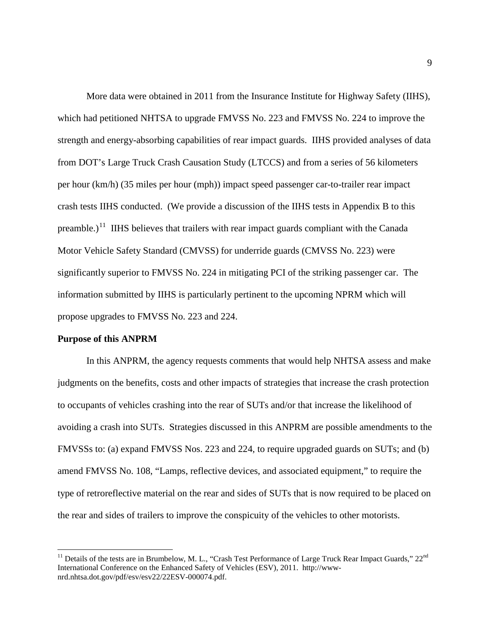More data were obtained in 2011 from the Insurance Institute for Highway Safety (IIHS), which had petitioned NHTSA to upgrade FMVSS No. 223 and FMVSS No. 224 to improve the strength and energy-absorbing capabilities of rear impact guards. IIHS provided analyses of data from DOT's Large Truck Crash Causation Study (LTCCS) and from a series of 56 kilometers per hour (km/h) (35 miles per hour (mph)) impact speed passenger car-to-trailer rear impact crash tests IIHS conducted. (We provide a discussion of the IIHS tests in Appendix B to this preamble.)<sup>[11](#page-8-0)</sup> IIHS believes that trailers with rear impact guards compliant with the Canada Motor Vehicle Safety Standard (CMVSS) for underride guards (CMVSS No. 223) were significantly superior to FMVSS No. 224 in mitigating PCI of the striking passenger car. The information submitted by IIHS is particularly pertinent to the upcoming NPRM which will propose upgrades to FMVSS No. 223 and 224.

#### **Purpose of this ANPRM**

In this ANPRM, the agency requests comments that would help NHTSA assess and make judgments on the benefits, costs and other impacts of strategies that increase the crash protection to occupants of vehicles crashing into the rear of SUTs and/or that increase the likelihood of avoiding a crash into SUTs. Strategies discussed in this ANPRM are possible amendments to the FMVSSs to: (a) expand FMVSS Nos. 223 and 224, to require upgraded guards on SUTs; and (b) amend FMVSS No. 108, "Lamps, reflective devices, and associated equipment," to require the type of retroreflective material on the rear and sides of SUTs that is now required to be placed on the rear and sides of trailers to improve the conspicuity of the vehicles to other motorists.

<span id="page-8-0"></span><sup>&</sup>lt;sup>11</sup> Details of the tests are in Brumbelow, M. L., "Crash Test Performance of Large Truck Rear Impact Guards,"  $22<sup>nd</sup>$ International Conference on the Enhanced Safety of Vehicles (ESV), 2011. http://wwwnrd.nhtsa.dot.gov/pdf/esv/esv22/22ESV-000074.pdf.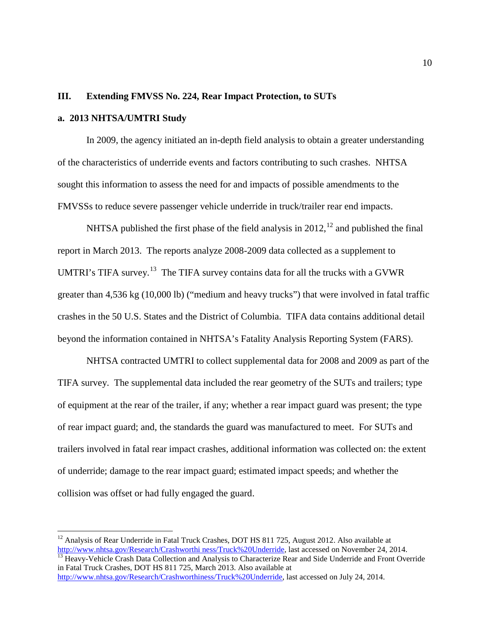#### **III. Extending FMVSS No. 224, Rear Impact Protection, to SUTs**

#### **a. 2013 NHTSA/UMTRI Study**

In 2009, the agency initiated an in-depth field analysis to obtain a greater understanding of the characteristics of underride events and factors contributing to such crashes. NHTSA sought this information to assess the need for and impacts of possible amendments to the FMVSSs to reduce severe passenger vehicle underride in truck/trailer rear end impacts.

NHTSA published the first phase of the field analysis in  $2012$  $2012$ ,  $^{12}$  and published the final report in March 2013. The reports analyze 2008-2009 data collected as a supplement to UMTRI's TIFA survey.<sup>13</sup> The TIFA survey contains data for all the trucks with a GVWR greater than 4,536 kg (10,000 lb) ("medium and heavy trucks") that were involved in fatal traffic crashes in the 50 U.S. States and the District of Columbia. TIFA data contains additional detail beyond the information contained in NHTSA's Fatality Analysis Reporting System (FARS).

NHTSA contracted UMTRI to collect supplemental data for 2008 and 2009 as part of the TIFA survey. The supplemental data included the rear geometry of the SUTs and trailers; type of equipment at the rear of the trailer, if any; whether a rear impact guard was present; the type of rear impact guard; and, the standards the guard was manufactured to meet. For SUTs and trailers involved in fatal rear impact crashes, additional information was collected on: the extent of underride; damage to the rear impact guard; estimated impact speeds; and whether the collision was offset or had fully engaged the guard.

<span id="page-9-0"></span><sup>&</sup>lt;sup>12</sup> Analysis of Rear Underride in Fatal Truck Crashes, DOT HS 811 725, August 2012. Also available at  $\frac{http://www.nhtsa.gov/Research/Crashworthiness/Truck%20Underride, last accessed on November 24, 2014.$ 

<span id="page-9-1"></span> $\frac{13}{13}$  Heavy-Vehicle Crash Data Collection and Analysis to Characterize Rear and Side Underride and Front Override in Fatal Truck Crashes, DOT HS 811 725, March 2013. Also available at [http://www.nhtsa.gov/Research/Crashworthiness/Truck%20Underride,](http://www.nhtsa.gov/Research/Crashworthiness/Truck%20Underride) last accessed on July 24, 2014.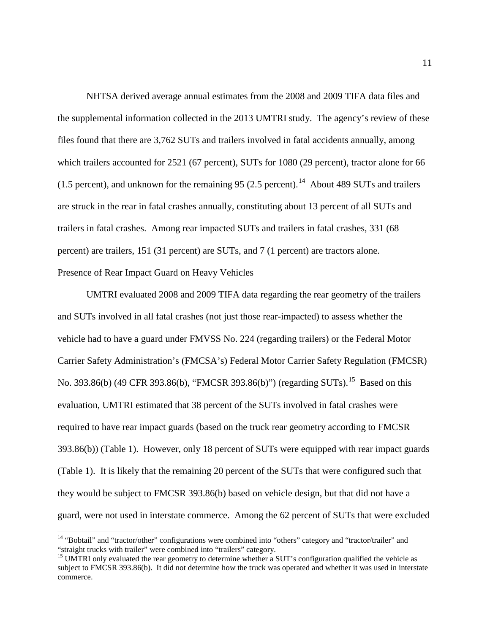NHTSA derived average annual estimates from the 2008 and 2009 TIFA data files and the supplemental information collected in the 2013 UMTRI study. The agency's review of these files found that there are 3,762 SUTs and trailers involved in fatal accidents annually, among which trailers accounted for 2521 (67 percent), SUTs for 1080 (29 percent), tractor alone for 66 (1.5 percent), and unknown for the remaining 95 (2.5 percent).<sup>[14](#page-10-0)</sup> About 489 SUTs and trailers are struck in the rear in fatal crashes annually, constituting about 13 percent of all SUTs and trailers in fatal crashes. Among rear impacted SUTs and trailers in fatal crashes, 331 (68 percent) are trailers, 151 (31 percent) are SUTs, and 7 (1 percent) are tractors alone. Presence of Rear Impact Guard on Heavy Vehicles

# UMTRI evaluated 2008 and 2009 TIFA data regarding the rear geometry of the trailers and SUTs involved in all fatal crashes (not just those rear-impacted) to assess whether the vehicle had to have a guard under FMVSS No. 224 (regarding trailers) or the Federal Motor Carrier Safety Administration's (FMCSA's) Federal Motor Carrier Safety Regulation (FMCSR) No. 393.86(b) (49 CFR 393.86(b), "FMCSR 393.86(b)") (regarding SUTs).<sup>[15](#page-10-1)</sup> Based on this evaluation, UMTRI estimated that 38 percent of the SUTs involved in fatal crashes were required to have rear impact guards (based on the truck rear geometry according to FMCSR 393.86(b)) (Table 1). However, only 18 percent of SUTs were equipped with rear impact guards (Table 1). It is likely that the remaining 20 percent of the SUTs that were configured such that they would be subject to FMCSR 393.86(b) based on vehicle design, but that did not have a guard, were not used in interstate commerce. Among the 62 percent of SUTs that were excluded

<span id="page-10-0"></span><sup>&</sup>lt;sup>14</sup> "Bobtail" and "tractor/other" configurations were combined into "others" category and "tractor/trailer" and "straight trucks with trailer" were combined into "trailers" category.

<span id="page-10-1"></span><sup>&</sup>lt;sup>15</sup> UMTRI only evaluated the rear geometry to determine whether a SUT's configuration qualified the vehicle as subject to FMCSR 393.86(b). It did not determine how the truck was operated and whether it was used in interstate commerce.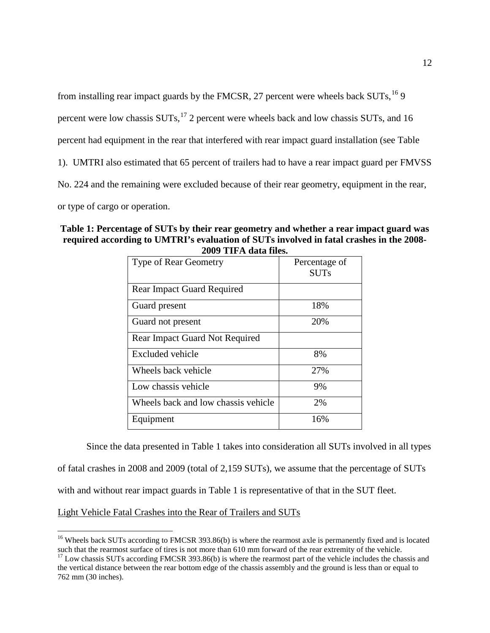from installing rear impact guards by the FMCSR, 27 percent were wheels back  $SUTs$ ,  $^{16}$  $^{16}$  $^{16}$  9

percent were low chassis  $SUTs$ ,<sup>[17](#page-11-1)</sup> 2 percent were wheels back and low chassis SUTs, and 16

percent had equipment in the rear that interfered with rear impact guard installation (see Table

1). UMTRI also estimated that 65 percent of trailers had to have a rear impact guard per FMVSS

No. 224 and the remaining were excluded because of their rear geometry, equipment in the rear,

or type of cargo or operation.

#### **Table 1: Percentage of SUTs by their rear geometry and whether a rear impact guard was required according to UMTRI's evaluation of SUTs involved in fatal crashes in the 2008- 2009 TIFA data files.**

| <b>Type of Rear Geometry</b>          | Percentage of<br><b>SUTs</b> |
|---------------------------------------|------------------------------|
| <b>Rear Impact Guard Required</b>     |                              |
| Guard present                         | 18%                          |
| Guard not present                     | 20%                          |
| <b>Rear Impact Guard Not Required</b> |                              |
| Excluded vehicle                      | 8%                           |
| Wheels back vehicle                   | 27%                          |
| Low chassis vehicle                   | 9%                           |
| Wheels back and low chassis vehicle   | 2%                           |
| Equipment                             | 16%                          |

Since the data presented in Table 1 takes into consideration all SUTs involved in all types of fatal crashes in 2008 and 2009 (total of 2,159 SUTs), we assume that the percentage of SUTs with and without rear impact guards in Table 1 is representative of that in the SUT fleet.

Light Vehicle Fatal Crashes into the Rear of Trailers and SUTs

<span id="page-11-0"></span><sup>&</sup>lt;sup>16</sup> Wheels back SUTs according to FMCSR 393.86(b) is where the rearmost axle is permanently fixed and is located such that the rearmost surface of tires is not more than  $610 \text{ mm}$  forward of the rear extremity of the ve

<span id="page-11-1"></span> $17$  Low chassis SUTs according FMCSR 393.86(b) is where the rearmost part of the vehicle includes the chassis and the vertical distance between the rear bottom edge of the chassis assembly and the ground is less than or equal to 762 mm (30 inches).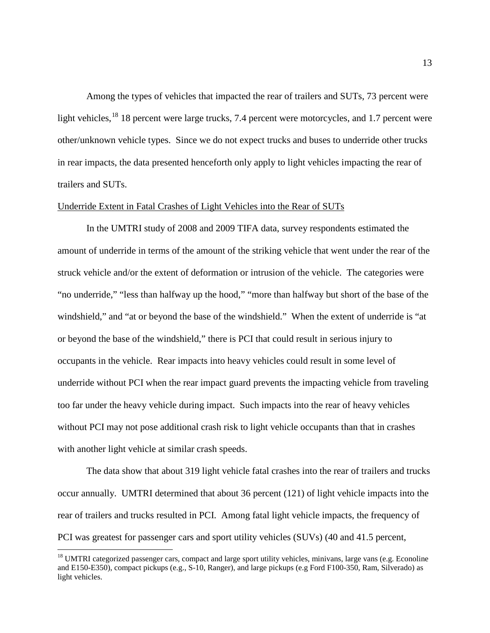Among the types of vehicles that impacted the rear of trailers and SUTs, 73 percent were light vehicles,<sup>[18](#page-12-0)</sup> 18 percent were large trucks, 7.4 percent were motorcycles, and 1.7 percent were other/unknown vehicle types. Since we do not expect trucks and buses to underride other trucks in rear impacts, the data presented henceforth only apply to light vehicles impacting the rear of trailers and SUTs.

#### Underride Extent in Fatal Crashes of Light Vehicles into the Rear of SUTs

In the UMTRI study of 2008 and 2009 TIFA data, survey respondents estimated the amount of underride in terms of the amount of the striking vehicle that went under the rear of the struck vehicle and/or the extent of deformation or intrusion of the vehicle. The categories were "no underride," "less than halfway up the hood," "more than halfway but short of the base of the windshield," and "at or beyond the base of the windshield." When the extent of underride is "at or beyond the base of the windshield," there is PCI that could result in serious injury to occupants in the vehicle. Rear impacts into heavy vehicles could result in some level of underride without PCI when the rear impact guard prevents the impacting vehicle from traveling too far under the heavy vehicle during impact. Such impacts into the rear of heavy vehicles without PCI may not pose additional crash risk to light vehicle occupants than that in crashes with another light vehicle at similar crash speeds.

The data show that about 319 light vehicle fatal crashes into the rear of trailers and trucks occur annually. UMTRI determined that about 36 percent (121) of light vehicle impacts into the rear of trailers and trucks resulted in PCI. Among fatal light vehicle impacts, the frequency of PCI was greatest for passenger cars and sport utility vehicles (SUVs) (40 and 41.5 percent,

<span id="page-12-0"></span> $18$  UMTRI categorized passenger cars, compact and large sport utility vehicles, minivans, large vans (e.g. Econoline and E150-E350), compact pickups (e.g., S-10, Ranger), and large pickups (e.g Ford F100-350, Ram, Silverado) as light vehicles.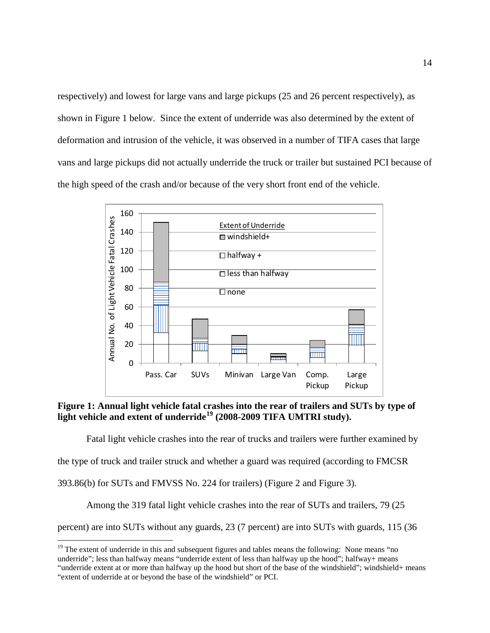respectively) and lowest for large vans and large pickups (25 and 26 percent respectively), as shown in Figure 1 below. Since the extent of underride was also determined by the extent of deformation and intrusion of the vehicle, it was observed in a number of TIFA cases that large vans and large pickups did not actually underride the truck or trailer but sustained PCI because of the high speed of the crash and/or because of the very short front end of the vehicle.



**Figure 1: Annual light vehicle fatal crashes into the rear of trailers and SUTs by type of light vehicle and extent of underride[19](#page-13-0) (2008-2009 TIFA UMTRI study).**

Fatal light vehicle crashes into the rear of trucks and trailers were further examined by

the type of truck and trailer struck and whether a guard was required (according to FMCSR

393.86(b) for SUTs and FMVSS No. 224 for trailers) (Figure 2 and Figure 3).

Among the 319 fatal light vehicle crashes into the rear of SUTs and trailers, 79 (25

percent) are into SUTs without any guards, 23 (7 percent) are into SUTs with guards, 115 (36

<span id="page-13-0"></span><sup>&</sup>lt;sup>19</sup> The extent of underride in this and subsequent figures and tables means the following: None means "no underride"; less than halfway means "underride extent of less than halfway up the hood"; halfway+ means

<sup>&</sup>quot;underride extent at or more than halfway up the hood but short of the base of the windshield"; windshield+ means "extent of underride at or beyond the base of the windshield" or PCI.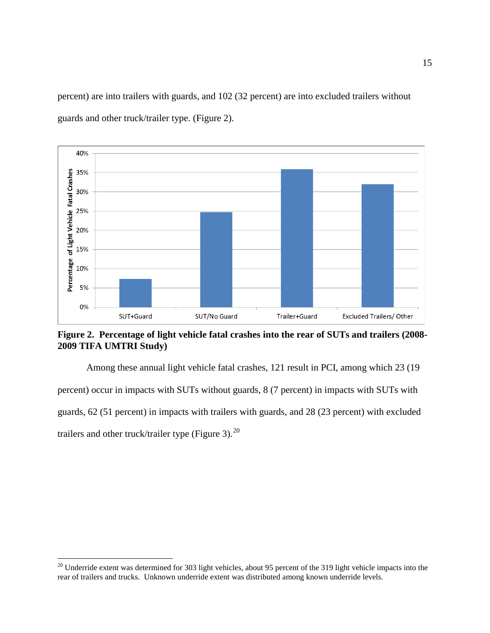percent) are into trailers with guards, and 102 (32 percent) are into excluded trailers without guards and other truck/trailer type. (Figure 2).



**Figure 2. Percentage of light vehicle fatal crashes into the rear of SUTs and trailers (2008- 2009 TIFA UMTRI Study)**

Among these annual light vehicle fatal crashes, 121 result in PCI, among which 23 (19 percent) occur in impacts with SUTs without guards, 8 (7 percent) in impacts with SUTs with guards, 62 (51 percent) in impacts with trailers with guards, and 28 (23 percent) with excluded trailers and other truck/trailer type (Figure 3). $^{20}$ 

<span id="page-14-0"></span><sup>&</sup>lt;sup>20</sup> Underride extent was determined for 303 light vehicles, about 95 percent of the 319 light vehicle impacts into the rear of trailers and trucks. Unknown underride extent was distributed among known underride levels.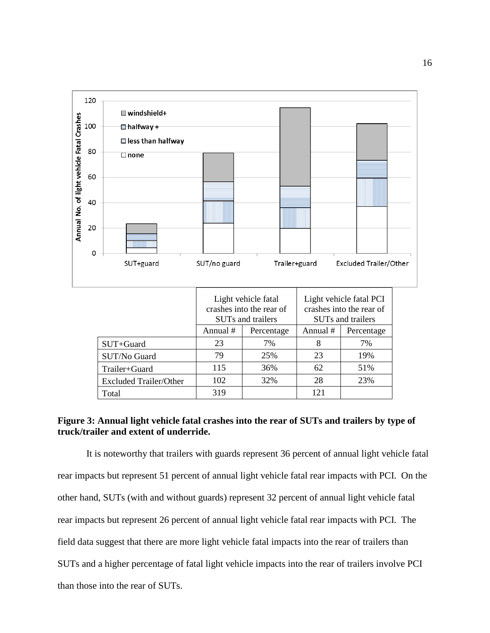

#### **Figure 3: Annual light vehicle fatal crashes into the rear of SUTs and trailers by type of truck/trailer and extent of underride.**

It is noteworthy that trailers with guards represent 36 percent of annual light vehicle fatal rear impacts but represent 51 percent of annual light vehicle fatal rear impacts with PCI. On the other hand, SUTs (with and without guards) represent 32 percent of annual light vehicle fatal rear impacts but represent 26 percent of annual light vehicle fatal rear impacts with PCI. The field data suggest that there are more light vehicle fatal impacts into the rear of trailers than SUTs and a higher percentage of fatal light vehicle impacts into the rear of trailers involve PCI than those into the rear of SUTs.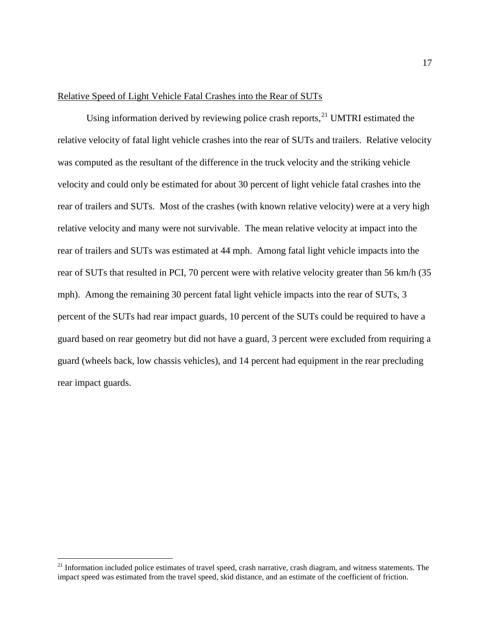#### Relative Speed of Light Vehicle Fatal Crashes into the Rear of SUTs

Using information derived by reviewing police crash reports,  $^{21}$  $^{21}$  $^{21}$  UMTRI estimated the relative velocity of fatal light vehicle crashes into the rear of SUTs and trailers. Relative velocity was computed as the resultant of the difference in the truck velocity and the striking vehicle velocity and could only be estimated for about 30 percent of light vehicle fatal crashes into the rear of trailers and SUTs. Most of the crashes (with known relative velocity) were at a very high relative velocity and many were not survivable. The mean relative velocity at impact into the rear of trailers and SUTs was estimated at 44 mph. Among fatal light vehicle impacts into the rear of SUTs that resulted in PCI, 70 percent were with relative velocity greater than 56 km/h (35 mph). Among the remaining 30 percent fatal light vehicle impacts into the rear of SUTs, 3 percent of the SUTs had rear impact guards, 10 percent of the SUTs could be required to have a guard based on rear geometry but did not have a guard, 3 percent were excluded from requiring a guard (wheels back, low chassis vehicles), and 14 percent had equipment in the rear precluding rear impact guards.

<span id="page-16-0"></span><sup>&</sup>lt;sup>21</sup> Information included police estimates of travel speed, crash narrative, crash diagram, and witness statements. The impact speed was estimated from the travel speed, skid distance, and an estimate of the coefficient of friction.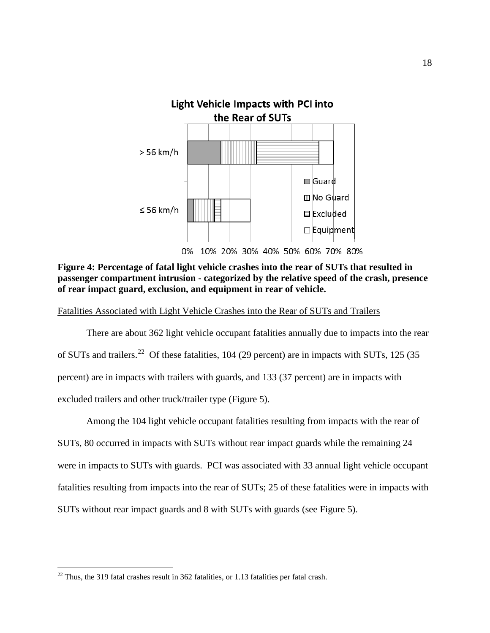

**Figure 4: Percentage of fatal light vehicle crashes into the rear of SUTs that resulted in passenger compartment intrusion - categorized by the relative speed of the crash, presence of rear impact guard, exclusion, and equipment in rear of vehicle.**

Fatalities Associated with Light Vehicle Crashes into the Rear of SUTs and Trailers

There are about 362 light vehicle occupant fatalities annually due to impacts into the rear of SUTs and trailers.<sup>22</sup> Of these fatalities, 104 (29 percent) are in impacts with SUTs, 125 (35 percent) are in impacts with trailers with guards, and 133 (37 percent) are in impacts with excluded trailers and other truck/trailer type (Figure 5).

Among the 104 light vehicle occupant fatalities resulting from impacts with the rear of SUTs, 80 occurred in impacts with SUTs without rear impact guards while the remaining 24 were in impacts to SUTs with guards. PCI was associated with 33 annual light vehicle occupant fatalities resulting from impacts into the rear of SUTs; 25 of these fatalities were in impacts with SUTs without rear impact guards and 8 with SUTs with guards (see Figure 5).

<span id="page-17-0"></span> $22$  Thus, the 319 fatal crashes result in 362 fatalities, or 1.13 fatalities per fatal crash.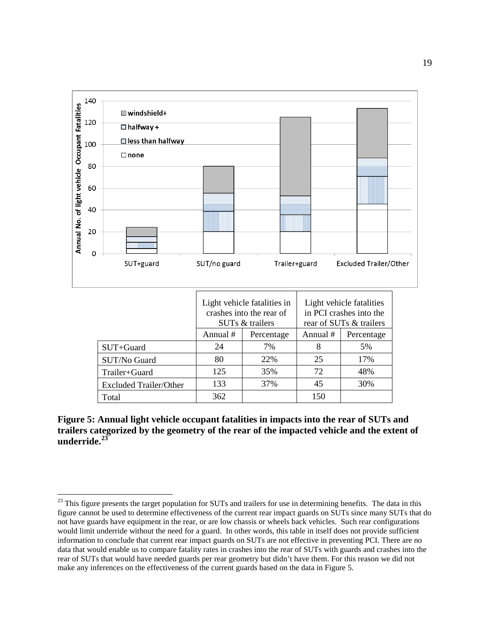

**Figure 5: Annual light vehicle occupant fatalities in impacts into the rear of SUTs and trailers categorized by the geometry of the rear of the impacted vehicle and the extent of underride.[23](#page-18-0)**

<span id="page-18-0"></span><sup>&</sup>lt;sup>23</sup> This figure presents the target population for SUTs and trailers for use in determining benefits. The data in this figure cannot be used to determine effectiveness of the current rear impact guards on SUTs since many SUTs that do not have guards have equipment in the rear, or are low chassis or wheels back vehicles. Such rear configurations would limit underride without the need for a guard. In other words, this table in itself does not provide sufficient information to conclude that current rear impact guards on SUTs are not effective in preventing PCI. There are no data that would enable us to compare fatality rates in crashes into the rear of SUTs with guards and crashes into the rear of SUTs that would have needed guards per rear geometry but didn't have them. For this reason we did not make any inferences on the effectiveness of the current guards based on the data in Figure 5.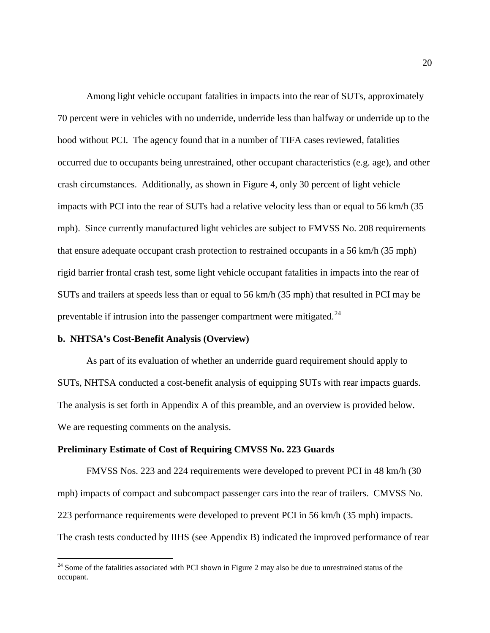Among light vehicle occupant fatalities in impacts into the rear of SUTs, approximately 70 percent were in vehicles with no underride, underride less than halfway or underride up to the hood without PCI. The agency found that in a number of TIFA cases reviewed, fatalities occurred due to occupants being unrestrained, other occupant characteristics (e.g. age), and other crash circumstances. Additionally, as shown in Figure 4, only 30 percent of light vehicle impacts with PCI into the rear of SUTs had a relative velocity less than or equal to 56 km/h (35 mph). Since currently manufactured light vehicles are subject to FMVSS No. 208 requirements that ensure adequate occupant crash protection to restrained occupants in a 56 km/h (35 mph) rigid barrier frontal crash test, some light vehicle occupant fatalities in impacts into the rear of SUTs and trailers at speeds less than or equal to 56 km/h (35 mph) that resulted in PCI may be preventable if intrusion into the passenger compartment were mitigated.<sup>[24](#page-19-0)</sup>

#### **b. NHTSA's Cost-Benefit Analysis (Overview)**

As part of its evaluation of whether an underride guard requirement should apply to SUTs, NHTSA conducted a cost-benefit analysis of equipping SUTs with rear impacts guards. The analysis is set forth in Appendix A of this preamble, and an overview is provided below. We are requesting comments on the analysis.

#### **Preliminary Estimate of Cost of Requiring CMVSS No. 223 Guards**

FMVSS Nos. 223 and 224 requirements were developed to prevent PCI in 48 km/h (30 mph) impacts of compact and subcompact passenger cars into the rear of trailers. CMVSS No. 223 performance requirements were developed to prevent PCI in 56 km/h (35 mph) impacts. The crash tests conducted by IIHS (see Appendix B) indicated the improved performance of rear

<span id="page-19-0"></span><sup>&</sup>lt;sup>24</sup> Some of the fatalities associated with PCI shown in Figure 2 may also be due to unrestrained status of the occupant.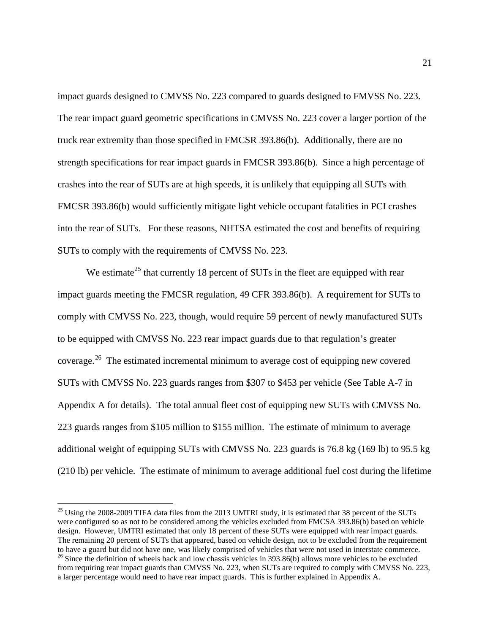impact guards designed to CMVSS No. 223 compared to guards designed to FMVSS No. 223. The rear impact guard geometric specifications in CMVSS No. 223 cover a larger portion of the truck rear extremity than those specified in FMCSR 393.86(b). Additionally, there are no strength specifications for rear impact guards in FMCSR 393.86(b). Since a high percentage of crashes into the rear of SUTs are at high speeds, it is unlikely that equipping all SUTs with FMCSR 393.86(b) would sufficiently mitigate light vehicle occupant fatalities in PCI crashes into the rear of SUTs. For these reasons, NHTSA estimated the cost and benefits of requiring SUTs to comply with the requirements of CMVSS No. 223.

We estimate<sup>[25](#page-20-0)</sup> that currently 18 percent of SUTs in the fleet are equipped with rear impact guards meeting the FMCSR regulation, 49 CFR 393.86(b). A requirement for SUTs to comply with CMVSS No. 223, though, would require 59 percent of newly manufactured SUTs to be equipped with CMVSS No. 223 rear impact guards due to that regulation's greater coverage.<sup>26</sup> The estimated incremental minimum to average cost of equipping new covered SUTs with CMVSS No. 223 guards ranges from \$307 to \$453 per vehicle (See Table A-7 in Appendix A for details). The total annual fleet cost of equipping new SUTs with CMVSS No. 223 guards ranges from \$105 million to \$155 million. The estimate of minimum to average additional weight of equipping SUTs with CMVSS No. 223 guards is 76.8 kg (169 lb) to 95.5 kg (210 lb) per vehicle. The estimate of minimum to average additional fuel cost during the lifetime

<span id="page-20-1"></span><span id="page-20-0"></span><sup>&</sup>lt;sup>25</sup> Using the 2008-2009 TIFA data files from the 2013 UMTRI study, it is estimated that 38 percent of the SUTs were configured so as not to be considered among the vehicles excluded from FMCSA 393.86(b) based on vehicle design. However, UMTRI estimated that only 18 percent of these SUTs were equipped with rear impact guards. The remaining 20 percent of SUTs that appeared, based on vehicle design, not to be excluded from the requirement to have a guard but did not have one, was likely comprised of vehicles that were not used in interstate comme  $^{26}$  Since the definition of wheels back and low chassis vehicles in 393.86(b) allows more vehicles to be excluded from requiring rear impact guards than CMVSS No. 223, when SUTs are required to comply with CMVSS No. 223, a larger percentage would need to have rear impact guards. This is further explained in Appendix A.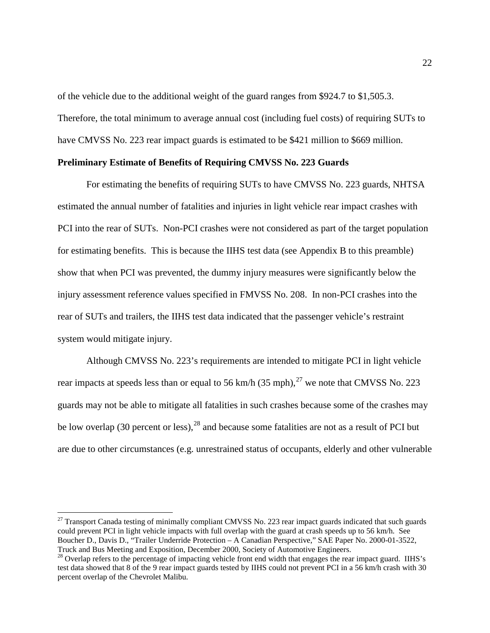of the vehicle due to the additional weight of the guard ranges from \$924.7 to \$1,505.3. Therefore, the total minimum to average annual cost (including fuel costs) of requiring SUTs to have CMVSS No. 223 rear impact guards is estimated to be \$421 million to \$669 million.

#### **Preliminary Estimate of Benefits of Requiring CMVSS No. 223 Guards**

For estimating the benefits of requiring SUTs to have CMVSS No. 223 guards, NHTSA estimated the annual number of fatalities and injuries in light vehicle rear impact crashes with PCI into the rear of SUTs. Non-PCI crashes were not considered as part of the target population for estimating benefits. This is because the IIHS test data (see Appendix B to this preamble) show that when PCI was prevented, the dummy injury measures were significantly below the injury assessment reference values specified in FMVSS No. 208. In non-PCI crashes into the rear of SUTs and trailers, the IIHS test data indicated that the passenger vehicle's restraint system would mitigate injury.

Although CMVSS No. 223's requirements are intended to mitigate PCI in light vehicle rear impacts at speeds less than or equal to 56 km/h (35 mph), $^{27}$  $^{27}$  $^{27}$  we note that CMVSS No. 223 guards may not be able to mitigate all fatalities in such crashes because some of the crashes may be low overlap (30 percent or less),  $^{28}$  $^{28}$  $^{28}$  and because some fatalities are not as a result of PCI but are due to other circumstances (e.g. unrestrained status of occupants, elderly and other vulnerable

<span id="page-21-0"></span> $27$  Transport Canada testing of minimally compliant CMVSS No. 223 rear impact guards indicated that such guards could prevent PCI in light vehicle impacts with full overlap with the guard at crash speeds up to 56 km/h. See Boucher D., Davis D., "Trailer Underride Protection – A Canadian Perspective," SAE Paper No. 2000-01-3522, Truck and Bus Meeting and Exposition, December 2000, Society of Automotive Engineers.

<span id="page-21-1"></span><sup>&</sup>lt;sup>28</sup> Overlap refers to the percentage of impacting vehicle front end width that engages the rear impact guard. IIHS's test data showed that 8 of the 9 rear impact guards tested by IIHS could not prevent PCI in a 56 km/h crash with 30 percent overlap of the Chevrolet Malibu.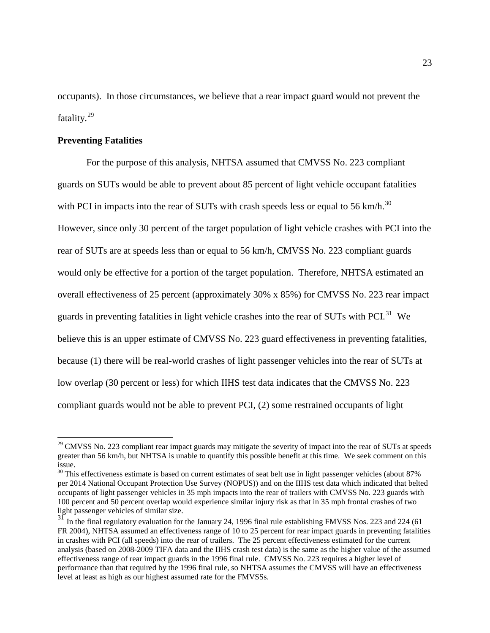occupants). In those circumstances, we believe that a rear impact guard would not prevent the fatality.[29](#page-22-0)

#### **Preventing Fatalities**

For the purpose of this analysis, NHTSA assumed that CMVSS No. 223 compliant guards on SUTs would be able to prevent about 85 percent of light vehicle occupant fatalities with PCI in impacts into the rear of SUTs with crash speeds less or equal to 56 km/h.<sup>[30](#page-22-1)</sup> However, since only 30 percent of the target population of light vehicle crashes with PCI into the rear of SUTs are at speeds less than or equal to 56 km/h, CMVSS No. 223 compliant guards would only be effective for a portion of the target population. Therefore, NHTSA estimated an overall effectiveness of 25 percent (approximately 30% x 85%) for CMVSS No. 223 rear impact guards in preventing fatalities in light vehicle crashes into the rear of SUTs with PCI. $^{31}$  $^{31}$  $^{31}$  We believe this is an upper estimate of CMVSS No. 223 guard effectiveness in preventing fatalities, because (1) there will be real-world crashes of light passenger vehicles into the rear of SUTs at low overlap (30 percent or less) for which IIHS test data indicates that the CMVSS No. 223 compliant guards would not be able to prevent PCI, (2) some restrained occupants of light

<span id="page-22-0"></span> $^{29}$  CMVSS No. 223 compliant rear impact guards may mitigate the severity of impact into the rear of SUTs at speeds greater than 56 km/h, but NHTSA is unable to quantify this possible benefit at this time. We seek comment on this issue.

<span id="page-22-1"></span> $30$  This effectiveness estimate is based on current estimates of seat belt use in light passenger vehicles (about 87%) per 2014 National Occupant Protection Use Survey (NOPUS)) and on the IIHS test data which indicated that belted occupants of light passenger vehicles in 35 mph impacts into the rear of trailers with CMVSS No. 223 guards with 100 percent and 50 percent overlap would experience similar injury risk as that in 35 mph frontal crashes of two light passenger vehicles of similar size.

<span id="page-22-2"></span><sup>&</sup>lt;sup>31</sup> In the final regulatory evaluation for the January 24, 1996 final rule establishing FMVSS Nos. 223 and 224 (61) FR 2004), NHTSA assumed an effectiveness range of 10 to 25 percent for rear impact guards in preventing fatalities in crashes with PCI (all speeds) into the rear of trailers. The 25 percent effectiveness estimated for the current analysis (based on 2008-2009 TIFA data and the IIHS crash test data) is the same as the higher value of the assumed effectiveness range of rear impact guards in the 1996 final rule. CMVSS No. 223 requires a higher level of performance than that required by the 1996 final rule, so NHTSA assumes the CMVSS will have an effectiveness level at least as high as our highest assumed rate for the FMVSSs.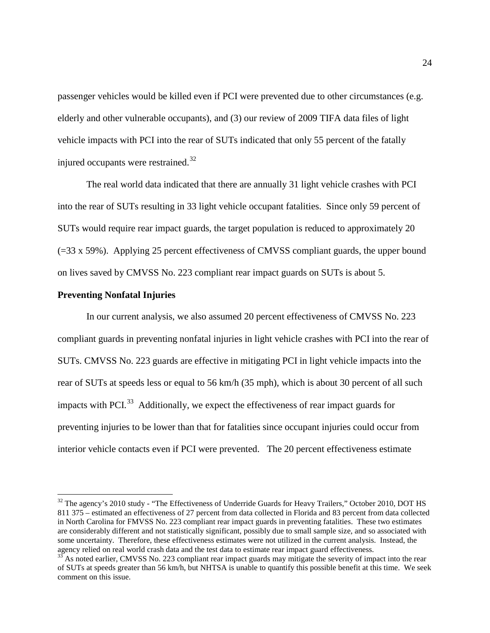passenger vehicles would be killed even if PCI were prevented due to other circumstances (e.g. elderly and other vulnerable occupants), and (3) our review of 2009 TIFA data files of light vehicle impacts with PCI into the rear of SUTs indicated that only 55 percent of the fatally injured occupants were restrained.<sup>[32](#page-23-0)</sup>

The real world data indicated that there are annually 31 light vehicle crashes with PCI into the rear of SUTs resulting in 33 light vehicle occupant fatalities. Since only 59 percent of SUTs would require rear impact guards, the target population is reduced to approximately 20 (=33 x 59%). Applying 25 percent effectiveness of CMVSS compliant guards, the upper bound on lives saved by CMVSS No. 223 compliant rear impact guards on SUTs is about 5.

#### **Preventing Nonfatal Injuries**

In our current analysis, we also assumed 20 percent effectiveness of CMVSS No. 223 compliant guards in preventing nonfatal injuries in light vehicle crashes with PCI into the rear of SUTs. CMVSS No. 223 guards are effective in mitigating PCI in light vehicle impacts into the rear of SUTs at speeds less or equal to 56 km/h (35 mph), which is about 30 percent of all such impacts with PCI $^{33}$  $^{33}$  $^{33}$  Additionally, we expect the effectiveness of rear impact guards for preventing injuries to be lower than that for fatalities since occupant injuries could occur from interior vehicle contacts even if PCI were prevented. The 20 percent effectiveness estimate

<span id="page-23-0"></span><sup>&</sup>lt;sup>32</sup> The agency's 2010 study - "The Effectiveness of Underride Guards for Heavy Trailers," October 2010, DOT HS 811 375 – estimated an effectiveness of 27 percent from data collected in Florida and 83 percent from data collected in North Carolina for FMVSS No. 223 compliant rear impact guards in preventing fatalities. These two estimates are considerably different and not statistically significant, possibly due to small sample size, and so associated with some uncertainty. Therefore, these effectiveness estimates were not utilized in the current analysis. Instead, the agency relied on real world crash data and the test data to estimate rear impact guard effectiveness.

<span id="page-23-1"></span> $33\overline{\smash{33}}$  As noted earlier, CMVSS No. 223 compliant rear impact guards may mitigate the severity of impact into the rear of SUTs at speeds greater than 56 km/h, but NHTSA is unable to quantify this possible benefit at this time. We seek comment on this issue.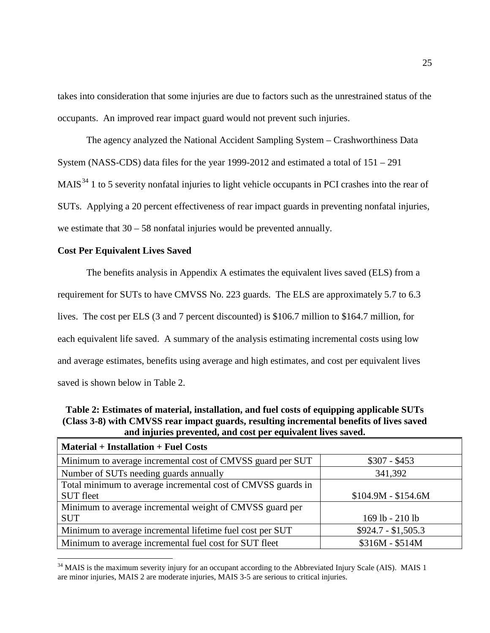takes into consideration that some injuries are due to factors such as the unrestrained status of the occupants. An improved rear impact guard would not prevent such injuries.

The agency analyzed the National Accident Sampling System – Crashworthiness Data System (NASS-CDS) data files for the year 1999-2012 and estimated a total of 151 – 291 MAIS<sup>[34](#page-24-0)</sup> 1 to 5 severity nonfatal injuries to light vehicle occupants in PCI crashes into the rear of SUTs. Applying a 20 percent effectiveness of rear impact guards in preventing nonfatal injuries, we estimate that 30 – 58 nonfatal injuries would be prevented annually.

#### **Cost Per Equivalent Lives Saved**

The benefits analysis in Appendix A estimates the equivalent lives saved (ELS) from a requirement for SUTs to have CMVSS No. 223 guards. The ELS are approximately 5.7 to 6.3 lives. The cost per ELS (3 and 7 percent discounted) is \$106.7 million to \$164.7 million, for each equivalent life saved. A summary of the analysis estimating incremental costs using low and average estimates, benefits using average and high estimates, and cost per equivalent lives saved is shown below in Table 2.

**Table 2: Estimates of material, installation, and fuel costs of equipping applicable SUTs (Class 3-8) with CMVSS rear impact guards, resulting incremental benefits of lives saved and injuries prevented, and cost per equivalent lives saved.**

| <b>Material + Installation + Fuel Costs</b>                  |                     |
|--------------------------------------------------------------|---------------------|
| Minimum to average incremental cost of CMVSS guard per SUT   | $$307 - $453$       |
| Number of SUTs needing guards annually                       | 341,392             |
| Total minimum to average incremental cost of CMVSS guards in |                     |
| <b>SUT</b> fleet                                             | $$104.9M - $154.6M$ |
| Minimum to average incremental weight of CMVSS guard per     |                     |
| <b>SUT</b>                                                   | 169 lb - 210 lb     |
| Minimum to average incremental lifetime fuel cost per SUT    | $$924.7 - $1,505.3$ |
| Minimum to average incremental fuel cost for SUT fleet       | $$316M - $514M$     |

<span id="page-24-0"></span><sup>&</sup>lt;sup>34</sup> MAIS is the maximum severity injury for an occupant according to the Abbreviated Injury Scale (AIS). MAIS 1 are minor injuries, MAIS 2 are moderate injuries, MAIS 3-5 are serious to critical injuries.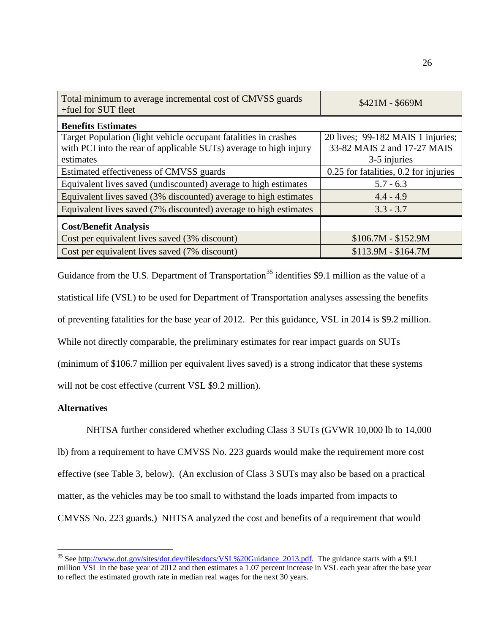| Total minimum to average incremental cost of CMVSS guards<br>+fuel for SUT fleet | $$421M - $669M$                       |
|----------------------------------------------------------------------------------|---------------------------------------|
| <b>Benefits Estimates</b>                                                        |                                       |
| Target Population (light vehicle occupant fatalities in crashes                  | 20 lives; 99-182 MAIS 1 injuries;     |
| with PCI into the rear of applicable SUTs) average to high injury                | 33-82 MAIS 2 and 17-27 MAIS           |
| estimates                                                                        | 3-5 injuries                          |
| Estimated effectiveness of CMVSS guards                                          | 0.25 for fatalities, 0.2 for injuries |
| Equivalent lives saved (undiscounted) average to high estimates                  | $5.7 - 6.3$                           |
| Equivalent lives saved (3% discounted) average to high estimates                 | $4.4 - 4.9$                           |
| Equivalent lives saved (7% discounted) average to high estimates                 | $3.3 - 3.7$                           |
| <b>Cost/Benefit Analysis</b>                                                     |                                       |
| Cost per equivalent lives saved (3% discount)                                    | $$106.7M - $152.9M$                   |
| Cost per equivalent lives saved (7% discount)                                    | $$113.9M - $164.7M$                   |

Guidance from the U.S. Department of Transportation<sup>[35](#page-25-0)</sup> identifies \$9.1 million as the value of a statistical life (VSL) to be used for Department of Transportation analyses assessing the benefits of preventing fatalities for the base year of 2012. Per this guidance, VSL in 2014 is \$9.2 million. While not directly comparable, the preliminary estimates for rear impact guards on SUTs (minimum of \$106.7 million per equivalent lives saved) is a strong indicator that these systems will not be cost effective (current VSL \$9.2 million).

#### **Alternatives**

NHTSA further considered whether excluding Class 3 SUTs (GVWR 10,000 lb to 14,000 lb) from a requirement to have CMVSS No. 223 guards would make the requirement more cost effective (see Table 3, below). (An exclusion of Class 3 SUTs may also be based on a practical matter, as the vehicles may be too small to withstand the loads imparted from impacts to CMVSS No. 223 guards.) NHTSA analyzed the cost and benefits of a requirement that would

<span id="page-25-0"></span><sup>&</sup>lt;sup>35</sup> See [http://www.dot.gov/sites/dot.dev/files/docs/VSL%20Guidance\\_2013.pdf.](http://www.dot.gov/sites/dot.dev/files/docs/VSL%20Guidance_2013.pdf) The guidance starts with a \$9.1 million VSL in the base year of 2012 and then estimates a 1.07 percent increase in VSL each year after the base year to reflect the estimated growth rate in median real wages for the next 30 years.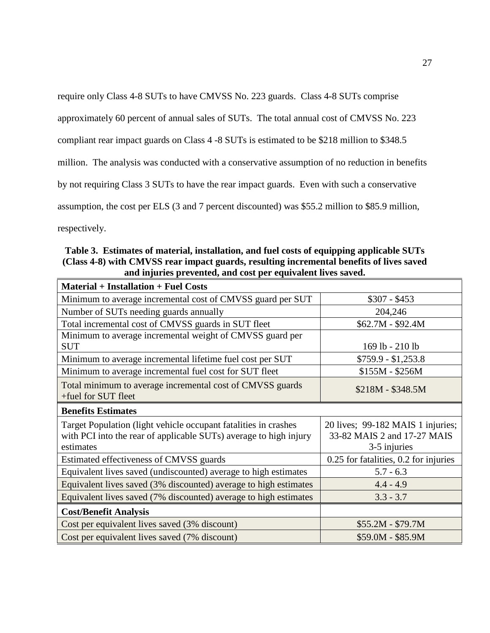require only Class 4-8 SUTs to have CMVSS No. 223 guards. Class 4-8 SUTs comprise

approximately 60 percent of annual sales of SUTs. The total annual cost of CMVSS No. 223

compliant rear impact guards on Class 4 -8 SUTs is estimated to be \$218 million to \$348.5

million. The analysis was conducted with a conservative assumption of no reduction in benefits

by not requiring Class 3 SUTs to have the rear impact guards. Even with such a conservative

assumption, the cost per ELS (3 and 7 percent discounted) was \$55.2 million to \$85.9 million,

respectively.

**Table 3. Estimates of material, installation, and fuel costs of equipping applicable SUTs (Class 4-8) with CMVSS rear impact guards, resulting incremental benefits of lives saved and injuries prevented, and cost per equivalent lives saved.**

| <b>Material + Installation + Fuel Costs</b>                                                                                                       |                                                                                  |
|---------------------------------------------------------------------------------------------------------------------------------------------------|----------------------------------------------------------------------------------|
| Minimum to average incremental cost of CMVSS guard per SUT                                                                                        | $$307 - $453$                                                                    |
| Number of SUTs needing guards annually                                                                                                            | 204,246                                                                          |
| Total incremental cost of CMVSS guards in SUT fleet                                                                                               | $$62.7M - $92.4M$$                                                               |
| Minimum to average incremental weight of CMVSS guard per<br><b>SUT</b>                                                                            | 169 lb - 210 lb                                                                  |
| Minimum to average incremental lifetime fuel cost per SUT                                                                                         | $$759.9 - $1,253.8$                                                              |
| Minimum to average incremental fuel cost for SUT fleet                                                                                            | $$155M - $256M$                                                                  |
| Total minimum to average incremental cost of CMVSS guards<br>+fuel for SUT fleet                                                                  | $$218M - $348.5M$                                                                |
| <b>Benefits Estimates</b>                                                                                                                         |                                                                                  |
| Target Population (light vehicle occupant fatalities in crashes<br>with PCI into the rear of applicable SUTs) average to high injury<br>estimates | 20 lives; 99-182 MAIS 1 injuries;<br>33-82 MAIS 2 and 17-27 MAIS<br>3-5 injuries |
| Estimated effectiveness of CMVSS guards                                                                                                           | 0.25 for fatalities, 0.2 for injuries                                            |
| Equivalent lives saved (undiscounted) average to high estimates                                                                                   | $5.7 - 6.3$                                                                      |
| Equivalent lives saved (3% discounted) average to high estimates                                                                                  | $4.4 - 4.9$                                                                      |
| Equivalent lives saved (7% discounted) average to high estimates                                                                                  | $3.3 - 3.7$                                                                      |
| <b>Cost/Benefit Analysis</b>                                                                                                                      |                                                                                  |
| Cost per equivalent lives saved (3% discount)                                                                                                     | $$55.2M - $79.7M$                                                                |
| Cost per equivalent lives saved (7% discount)                                                                                                     | \$59.0M - \$85.9M                                                                |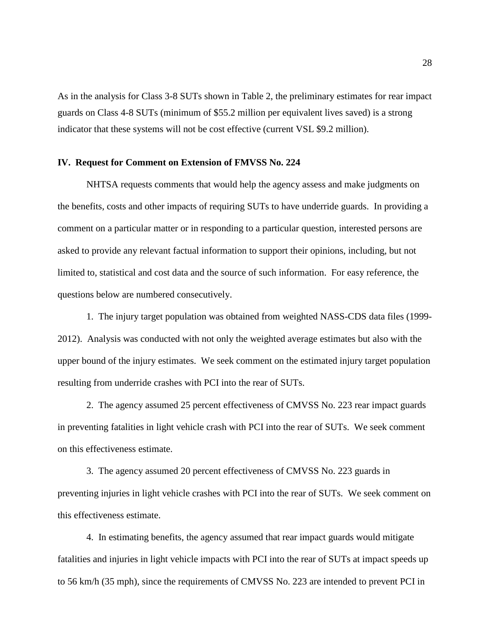As in the analysis for Class 3-8 SUTs shown in Table 2, the preliminary estimates for rear impact guards on Class 4-8 SUTs (minimum of \$55.2 million per equivalent lives saved) is a strong indicator that these systems will not be cost effective (current VSL \$9.2 million).

#### **IV. Request for Comment on Extension of FMVSS No. 224**

NHTSA requests comments that would help the agency assess and make judgments on the benefits, costs and other impacts of requiring SUTs to have underride guards. In providing a comment on a particular matter or in responding to a particular question, interested persons are asked to provide any relevant factual information to support their opinions, including, but not limited to, statistical and cost data and the source of such information. For easy reference, the questions below are numbered consecutively.

1. The injury target population was obtained from weighted NASS-CDS data files (1999- 2012). Analysis was conducted with not only the weighted average estimates but also with the upper bound of the injury estimates. We seek comment on the estimated injury target population resulting from underride crashes with PCI into the rear of SUTs.

2. The agency assumed 25 percent effectiveness of CMVSS No. 223 rear impact guards in preventing fatalities in light vehicle crash with PCI into the rear of SUTs. We seek comment on this effectiveness estimate.

3. The agency assumed 20 percent effectiveness of CMVSS No. 223 guards in preventing injuries in light vehicle crashes with PCI into the rear of SUTs. We seek comment on this effectiveness estimate.

4. In estimating benefits, the agency assumed that rear impact guards would mitigate fatalities and injuries in light vehicle impacts with PCI into the rear of SUTs at impact speeds up to 56 km/h (35 mph), since the requirements of CMVSS No. 223 are intended to prevent PCI in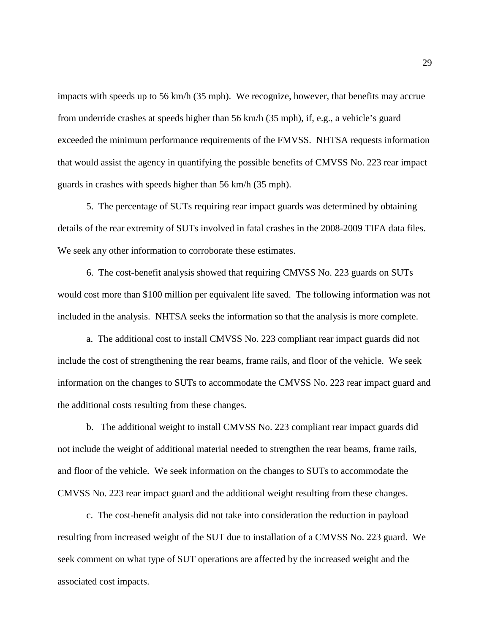impacts with speeds up to 56 km/h (35 mph). We recognize, however, that benefits may accrue from underride crashes at speeds higher than 56 km/h (35 mph), if, e.g., a vehicle's guard exceeded the minimum performance requirements of the FMVSS. NHTSA requests information that would assist the agency in quantifying the possible benefits of CMVSS No. 223 rear impact guards in crashes with speeds higher than 56 km/h (35 mph).

5. The percentage of SUTs requiring rear impact guards was determined by obtaining details of the rear extremity of SUTs involved in fatal crashes in the 2008-2009 TIFA data files. We seek any other information to corroborate these estimates.

6. The cost-benefit analysis showed that requiring CMVSS No. 223 guards on SUTs would cost more than \$100 million per equivalent life saved. The following information was not included in the analysis. NHTSA seeks the information so that the analysis is more complete.

a. The additional cost to install CMVSS No. 223 compliant rear impact guards did not include the cost of strengthening the rear beams, frame rails, and floor of the vehicle. We seek information on the changes to SUTs to accommodate the CMVSS No. 223 rear impact guard and the additional costs resulting from these changes.

b. The additional weight to install CMVSS No. 223 compliant rear impact guards did not include the weight of additional material needed to strengthen the rear beams, frame rails, and floor of the vehicle. We seek information on the changes to SUTs to accommodate the CMVSS No. 223 rear impact guard and the additional weight resulting from these changes.

c. The cost-benefit analysis did not take into consideration the reduction in payload resulting from increased weight of the SUT due to installation of a CMVSS No. 223 guard. We seek comment on what type of SUT operations are affected by the increased weight and the associated cost impacts.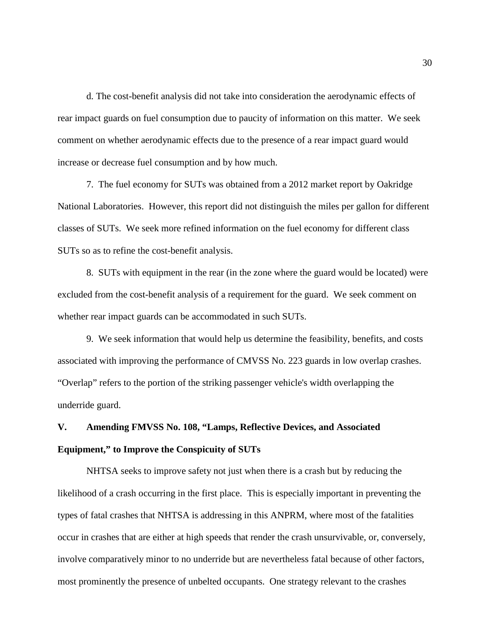d. The cost-benefit analysis did not take into consideration the aerodynamic effects of rear impact guards on fuel consumption due to paucity of information on this matter. We seek comment on whether aerodynamic effects due to the presence of a rear impact guard would increase or decrease fuel consumption and by how much.

7. The fuel economy for SUTs was obtained from a 2012 market report by Oakridge National Laboratories. However, this report did not distinguish the miles per gallon for different classes of SUTs. We seek more refined information on the fuel economy for different class SUTs so as to refine the cost-benefit analysis.

8. SUTs with equipment in the rear (in the zone where the guard would be located) were excluded from the cost-benefit analysis of a requirement for the guard. We seek comment on whether rear impact guards can be accommodated in such SUTs.

9. We seek information that would help us determine the feasibility, benefits, and costs associated with improving the performance of CMVSS No. 223 guards in low overlap crashes. "Overlap" refers to the portion of the striking passenger vehicle's width overlapping the underride guard.

# **V. Amending FMVSS No. 108, "Lamps, Reflective Devices, and Associated Equipment," to Improve the Conspicuity of SUTs**

NHTSA seeks to improve safety not just when there is a crash but by reducing the likelihood of a crash occurring in the first place. This is especially important in preventing the types of fatal crashes that NHTSA is addressing in this ANPRM, where most of the fatalities occur in crashes that are either at high speeds that render the crash unsurvivable, or, conversely, involve comparatively minor to no underride but are nevertheless fatal because of other factors, most prominently the presence of unbelted occupants. One strategy relevant to the crashes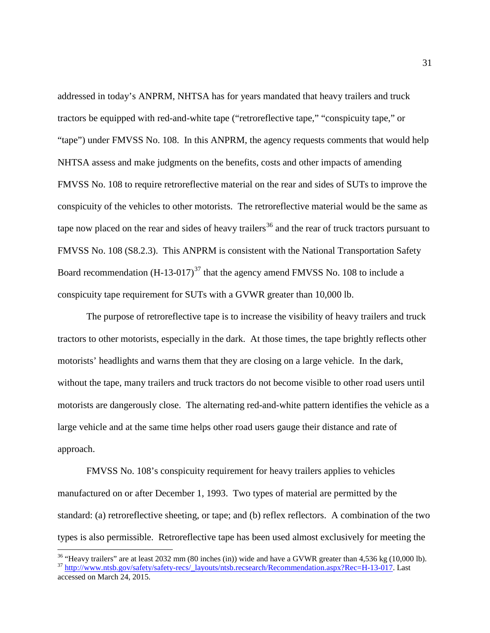addressed in today's ANPRM, NHTSA has for years mandated that heavy trailers and truck tractors be equipped with red-and-white tape ("retroreflective tape," "conspicuity tape," or "tape") under FMVSS No. 108. In this ANPRM, the agency requests comments that would help NHTSA assess and make judgments on the benefits, costs and other impacts of amending FMVSS No. 108 to require retroreflective material on the rear and sides of SUTs to improve the conspicuity of the vehicles to other motorists. The retroreflective material would be the same as tape now placed on the rear and sides of heavy trailers<sup>[36](#page-30-0)</sup> and the rear of truck tractors pursuant to FMVSS No. 108 (S8.2.3). This ANPRM is consistent with the National Transportation Safety Board recommendation  $(H-13-017)^{37}$  $(H-13-017)^{37}$  $(H-13-017)^{37}$  that the agency amend FMVSS No. 108 to include a conspicuity tape requirement for SUTs with a GVWR greater than 10,000 lb.

The purpose of retroreflective tape is to increase the visibility of heavy trailers and truck tractors to other motorists, especially in the dark. At those times, the tape brightly reflects other motorists' headlights and warns them that they are closing on a large vehicle. In the dark, without the tape, many trailers and truck tractors do not become visible to other road users until motorists are dangerously close. The alternating red-and-white pattern identifies the vehicle as a large vehicle and at the same time helps other road users gauge their distance and rate of approach.

FMVSS No. 108's conspicuity requirement for heavy trailers applies to vehicles manufactured on or after December 1, 1993. Two types of material are permitted by the standard: (a) retroreflective sheeting, or tape; and (b) reflex reflectors. A combination of the two types is also permissible. Retroreflective tape has been used almost exclusively for meeting the

<span id="page-30-1"></span><span id="page-30-0"></span><sup>&</sup>lt;sup>36</sup> "Heavy trailers" are at least 2032 mm (80 inches (in)) wide and have a GVWR greater than 4,536 kg (10,000 lb).<br><sup>37</sup> [http://www.ntsb.gov/safety/safety-recs/\\_layouts/ntsb.recsearch/Recommendation.aspx?Rec=H-13-017.](http://www.ntsb.gov/safety/safety-recs/_layouts/ntsb.recsearch/Recommendation.aspx?Rec=H-13-017) Las accessed on March 24, 2015.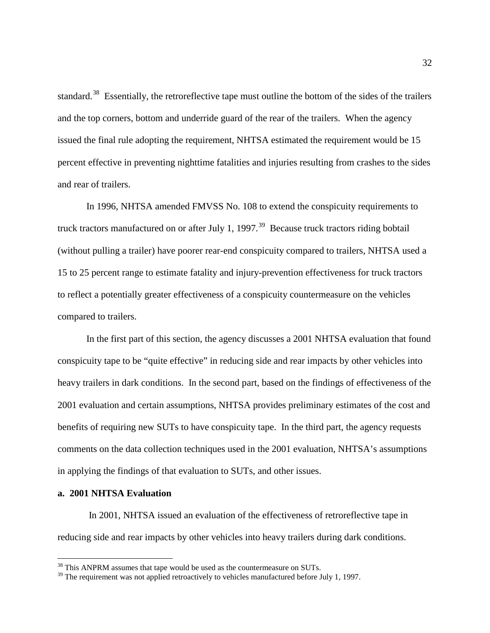standard.<sup>[38](#page-31-0)</sup> Essentially, the retroreflective tape must outline the bottom of the sides of the trailers and the top corners, bottom and underride guard of the rear of the trailers. When the agency issued the final rule adopting the requirement, NHTSA estimated the requirement would be 15 percent effective in preventing nighttime fatalities and injuries resulting from crashes to the sides and rear of trailers.

In 1996, NHTSA amended FMVSS No. 108 to extend the conspicuity requirements to truck tractors manufactured on or after July 1,  $1997<sup>39</sup>$  $1997<sup>39</sup>$  $1997<sup>39</sup>$  Because truck tractors riding bobtail (without pulling a trailer) have poorer rear-end conspicuity compared to trailers, NHTSA used a 15 to 25 percent range to estimate fatality and injury-prevention effectiveness for truck tractors to reflect a potentially greater effectiveness of a conspicuity countermeasure on the vehicles compared to trailers.

In the first part of this section, the agency discusses a 2001 NHTSA evaluation that found conspicuity tape to be "quite effective" in reducing side and rear impacts by other vehicles into heavy trailers in dark conditions. In the second part, based on the findings of effectiveness of the 2001 evaluation and certain assumptions, NHTSA provides preliminary estimates of the cost and benefits of requiring new SUTs to have conspicuity tape. In the third part, the agency requests comments on the data collection techniques used in the 2001 evaluation, NHTSA's assumptions in applying the findings of that evaluation to SUTs, and other issues.

#### **a. 2001 NHTSA Evaluation**

In 2001, NHTSA issued an evaluation of the effectiveness of retroreflective tape in reducing side and rear impacts by other vehicles into heavy trailers during dark conditions.

 $38$  This ANPRM assumes that tape would be used as the countermeasure on SUTs.

<span id="page-31-1"></span><span id="page-31-0"></span><sup>&</sup>lt;sup>39</sup> The requirement was not applied retroactively to vehicles manufactured before July 1, 1997.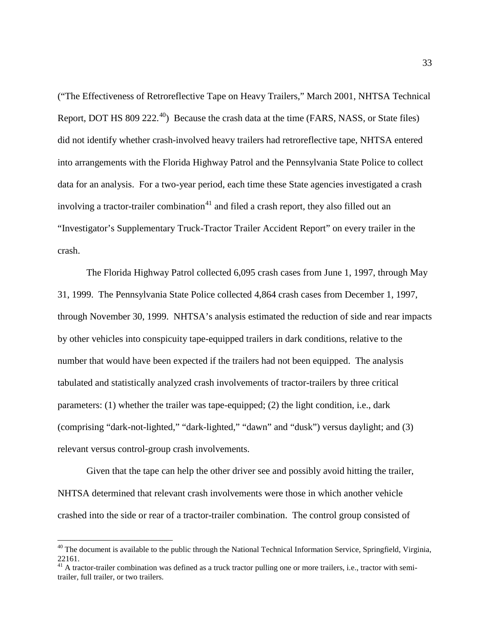("The Effectiveness of Retroreflective Tape on Heavy Trailers," March 2001, NHTSA Technical Report, DOT HS 809 222.<sup>[40](#page-32-0)</sup>) Because the crash data at the time (FARS, NASS, or State files) did not identify whether crash-involved heavy trailers had retroreflective tape, NHTSA entered into arrangements with the Florida Highway Patrol and the Pennsylvania State Police to collect data for an analysis. For a two-year period, each time these State agencies investigated a crash involving a tractor-trailer combination<sup>[41](#page-32-1)</sup> and filed a crash report, they also filled out an "Investigator's Supplementary Truck-Tractor Trailer Accident Report" on every trailer in the crash.

The Florida Highway Patrol collected 6,095 crash cases from June 1, 1997, through May 31, 1999. The Pennsylvania State Police collected 4,864 crash cases from December 1, 1997, through November 30, 1999. NHTSA's analysis estimated the reduction of side and rear impacts by other vehicles into conspicuity tape-equipped trailers in dark conditions, relative to the number that would have been expected if the trailers had not been equipped. The analysis tabulated and statistically analyzed crash involvements of tractor-trailers by three critical parameters: (1) whether the trailer was tape-equipped; (2) the light condition, i.e., dark (comprising "dark-not-lighted," "dark-lighted," "dawn" and "dusk") versus daylight; and (3) relevant versus control-group crash involvements.

Given that the tape can help the other driver see and possibly avoid hitting the trailer, NHTSA determined that relevant crash involvements were those in which another vehicle crashed into the side or rear of a tractor-trailer combination. The control group consisted of

<span id="page-32-0"></span><sup>&</sup>lt;sup>40</sup> The document is available to the public through the National Technical Information Service, Springfield, Virginia, 22161.

<span id="page-32-1"></span> $41$  A tractor-trailer combination was defined as a truck tractor pulling one or more trailers, i.e., tractor with semitrailer, full trailer, or two trailers.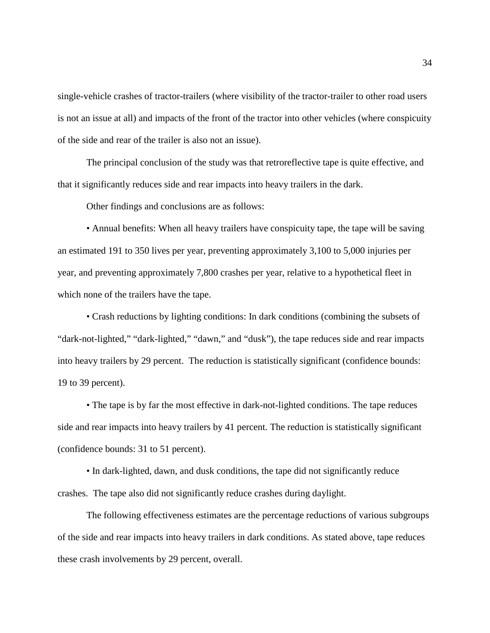single-vehicle crashes of tractor-trailers (where visibility of the tractor-trailer to other road users is not an issue at all) and impacts of the front of the tractor into other vehicles (where conspicuity of the side and rear of the trailer is also not an issue).

The principal conclusion of the study was that retroreflective tape is quite effective, and that it significantly reduces side and rear impacts into heavy trailers in the dark.

Other findings and conclusions are as follows:

• Annual benefits: When all heavy trailers have conspicuity tape, the tape will be saving an estimated 191 to 350 lives per year, preventing approximately 3,100 to 5,000 injuries per year, and preventing approximately 7,800 crashes per year, relative to a hypothetical fleet in which none of the trailers have the tape.

• Crash reductions by lighting conditions: In dark conditions (combining the subsets of "dark-not-lighted," "dark-lighted," "dawn," and "dusk"), the tape reduces side and rear impacts into heavy trailers by 29 percent. The reduction is statistically significant (confidence bounds: 19 to 39 percent).

• The tape is by far the most effective in dark-not-lighted conditions. The tape reduces side and rear impacts into heavy trailers by 41 percent. The reduction is statistically significant (confidence bounds: 31 to 51 percent).

• In dark-lighted, dawn, and dusk conditions, the tape did not significantly reduce crashes. The tape also did not significantly reduce crashes during daylight.

The following effectiveness estimates are the percentage reductions of various subgroups of the side and rear impacts into heavy trailers in dark conditions. As stated above, tape reduces these crash involvements by 29 percent, overall.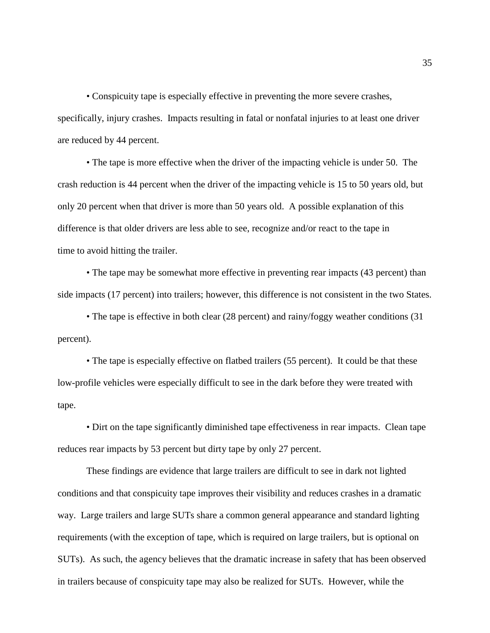• Conspicuity tape is especially effective in preventing the more severe crashes, specifically, injury crashes. Impacts resulting in fatal or nonfatal injuries to at least one driver are reduced by 44 percent.

• The tape is more effective when the driver of the impacting vehicle is under 50. The crash reduction is 44 percent when the driver of the impacting vehicle is 15 to 50 years old, but only 20 percent when that driver is more than 50 years old. A possible explanation of this difference is that older drivers are less able to see, recognize and/or react to the tape in time to avoid hitting the trailer.

• The tape may be somewhat more effective in preventing rear impacts (43 percent) than side impacts (17 percent) into trailers; however, this difference is not consistent in the two States.

• The tape is effective in both clear (28 percent) and rainy/foggy weather conditions (31 percent).

• The tape is especially effective on flatbed trailers (55 percent). It could be that these low-profile vehicles were especially difficult to see in the dark before they were treated with tape.

• Dirt on the tape significantly diminished tape effectiveness in rear impacts. Clean tape reduces rear impacts by 53 percent but dirty tape by only 27 percent.

These findings are evidence that large trailers are difficult to see in dark not lighted conditions and that conspicuity tape improves their visibility and reduces crashes in a dramatic way. Large trailers and large SUTs share a common general appearance and standard lighting requirements (with the exception of tape, which is required on large trailers, but is optional on SUTs). As such, the agency believes that the dramatic increase in safety that has been observed in trailers because of conspicuity tape may also be realized for SUTs. However, while the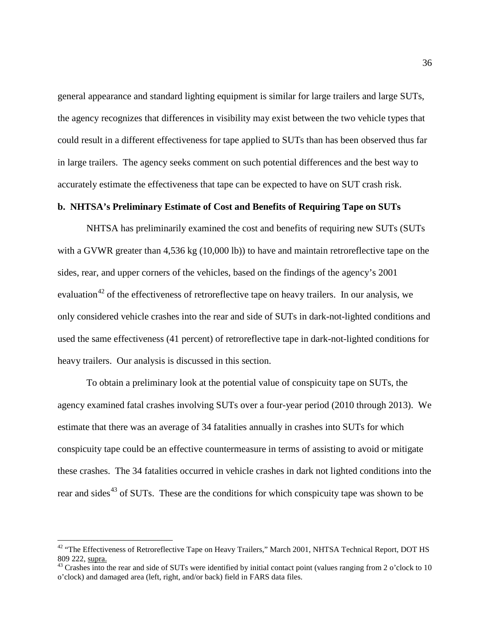general appearance and standard lighting equipment is similar for large trailers and large SUTs, the agency recognizes that differences in visibility may exist between the two vehicle types that could result in a different effectiveness for tape applied to SUTs than has been observed thus far in large trailers. The agency seeks comment on such potential differences and the best way to accurately estimate the effectiveness that tape can be expected to have on SUT crash risk.

#### **b. NHTSA's Preliminary Estimate of Cost and Benefits of Requiring Tape on SUTs**

NHTSA has preliminarily examined the cost and benefits of requiring new SUTs (SUTs with a GVWR greater than 4,536 kg (10,000 lb)) to have and maintain retroreflective tape on the sides, rear, and upper corners of the vehicles, based on the findings of the agency's 2001 evaluation<sup>[42](#page-35-0)</sup> of the effectiveness of retroreflective tape on heavy trailers. In our analysis, we only considered vehicle crashes into the rear and side of SUTs in dark-not-lighted conditions and used the same effectiveness (41 percent) of retroreflective tape in dark-not-lighted conditions for heavy trailers. Our analysis is discussed in this section.

To obtain a preliminary look at the potential value of conspicuity tape on SUTs, the agency examined fatal crashes involving SUTs over a four-year period (2010 through 2013). We estimate that there was an average of 34 fatalities annually in crashes into SUTs for which conspicuity tape could be an effective countermeasure in terms of assisting to avoid or mitigate these crashes. The 34 fatalities occurred in vehicle crashes in dark not lighted conditions into the rear and sides<sup> $43$ </sup> of SUTs. These are the conditions for which conspicuity tape was shown to be

<span id="page-35-0"></span><sup>&</sup>lt;sup>42</sup> "The Effectiveness of Retroreflective Tape on Heavy Trailers," March 2001, NHTSA Technical Report, DOT HS 809 222, supra.

<span id="page-35-1"></span><sup>&</sup>lt;sup>43</sup> Crashes into the rear and side of SUTs were identified by initial contact point (values ranging from 2 o'clock to 10 o'clock) and damaged area (left, right, and/or back) field in FARS data files.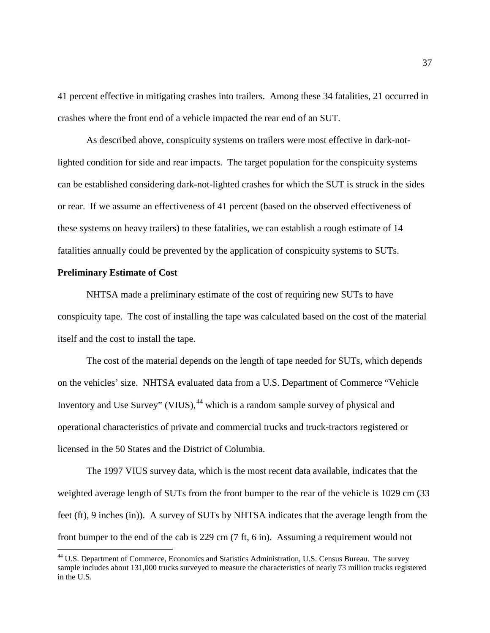41 percent effective in mitigating crashes into trailers. Among these 34 fatalities, 21 occurred in crashes where the front end of a vehicle impacted the rear end of an SUT.

As described above, conspicuity systems on trailers were most effective in dark-notlighted condition for side and rear impacts. The target population for the conspicuity systems can be established considering dark-not-lighted crashes for which the SUT is struck in the sides or rear. If we assume an effectiveness of 41 percent (based on the observed effectiveness of these systems on heavy trailers) to these fatalities, we can establish a rough estimate of 14 fatalities annually could be prevented by the application of conspicuity systems to SUTs.

#### **Preliminary Estimate of Cost**

NHTSA made a preliminary estimate of the cost of requiring new SUTs to have conspicuity tape. The cost of installing the tape was calculated based on the cost of the material itself and the cost to install the tape.

The cost of the material depends on the length of tape needed for SUTs, which depends on the vehicles' size. NHTSA evaluated data from a U.S. Department of Commerce "Vehicle Inventory and Use Survey" (VIUS), <sup>[44](#page-36-0)</sup> which is a random sample survey of physical and operational characteristics of private and commercial trucks and truck-tractors registered or licensed in the 50 States and the District of Columbia.

The 1997 VIUS survey data, which is the most recent data available, indicates that the weighted average length of SUTs from the front bumper to the rear of the vehicle is 1029 cm (33 feet (ft), 9 inches (in)). A survey of SUTs by NHTSA indicates that the average length from the front bumper to the end of the cab is 229 cm (7 ft, 6 in). Assuming a requirement would not

<span id="page-36-0"></span><sup>&</sup>lt;sup>44</sup> U.S. Department of Commerce, Economics and Statistics Administration, U.S. Census Bureau. The survey sample includes about 131,000 trucks surveyed to measure the characteristics of nearly 73 million trucks registered in the U.S.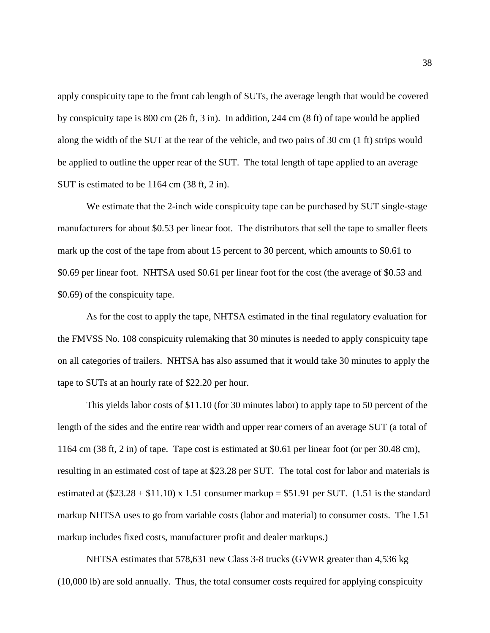apply conspicuity tape to the front cab length of SUTs, the average length that would be covered by conspicuity tape is 800 cm (26 ft, 3 in). In addition, 244 cm (8 ft) of tape would be applied along the width of the SUT at the rear of the vehicle, and two pairs of 30 cm (1 ft) strips would be applied to outline the upper rear of the SUT. The total length of tape applied to an average SUT is estimated to be 1164 cm (38 ft, 2 in).

We estimate that the 2-inch wide conspicuity tape can be purchased by SUT single-stage manufacturers for about \$0.53 per linear foot. The distributors that sell the tape to smaller fleets mark up the cost of the tape from about 15 percent to 30 percent, which amounts to \$0.61 to \$0.69 per linear foot. NHTSA used \$0.61 per linear foot for the cost (the average of \$0.53 and \$0.69) of the conspicuity tape.

As for the cost to apply the tape, NHTSA estimated in the final regulatory evaluation for the FMVSS No. 108 conspicuity rulemaking that 30 minutes is needed to apply conspicuity tape on all categories of trailers. NHTSA has also assumed that it would take 30 minutes to apply the tape to SUTs at an hourly rate of \$22.20 per hour.

This yields labor costs of \$11.10 (for 30 minutes labor) to apply tape to 50 percent of the length of the sides and the entire rear width and upper rear corners of an average SUT (a total of 1164 cm (38 ft, 2 in) of tape. Tape cost is estimated at \$0.61 per linear foot (or per 30.48 cm), resulting in an estimated cost of tape at \$23.28 per SUT. The total cost for labor and materials is estimated at  $(\$23.28 + \$11.10) \times 1.51$  consumer markup = \$51.91 per SUT. (1.51 is the standard markup NHTSA uses to go from variable costs (labor and material) to consumer costs. The 1.51 markup includes fixed costs, manufacturer profit and dealer markups.)

NHTSA estimates that 578,631 new Class 3-8 trucks (GVWR greater than 4,536 kg (10,000 lb) are sold annually. Thus, the total consumer costs required for applying conspicuity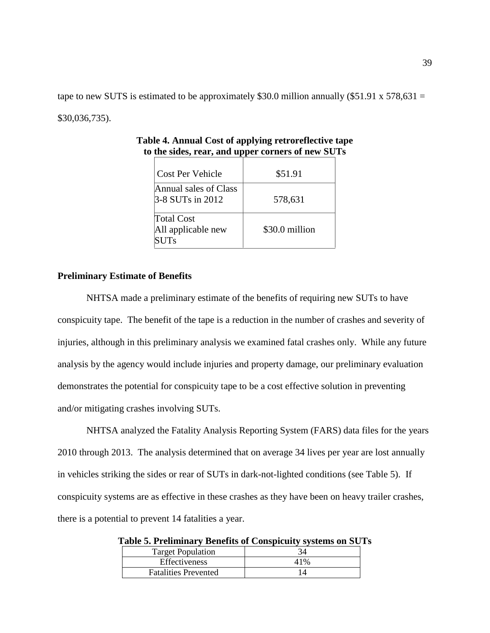tape to new SUTS is estimated to be approximately \$30.0 million annually (\$51.91 x 578,631 = \$30,036,735).

| Cost Per Vehicle                                       | \$51.91        |
|--------------------------------------------------------|----------------|
| Annual sales of Class<br>$3-8$ SUTs in 2012            | 578,631        |
| <b>Total Cost</b><br>All applicable new<br><b>SUTs</b> | \$30.0 million |

**Table 4. Annual Cost of applying retroreflective tape to the sides, rear, and upper corners of new SUTs**

## **Preliminary Estimate of Benefits**

NHTSA made a preliminary estimate of the benefits of requiring new SUTs to have conspicuity tape. The benefit of the tape is a reduction in the number of crashes and severity of injuries, although in this preliminary analysis we examined fatal crashes only. While any future analysis by the agency would include injuries and property damage, our preliminary evaluation demonstrates the potential for conspicuity tape to be a cost effective solution in preventing and/or mitigating crashes involving SUTs.

NHTSA analyzed the Fatality Analysis Reporting System (FARS) data files for the years 2010 through 2013. The analysis determined that on average 34 lives per year are lost annually in vehicles striking the sides or rear of SUTs in dark-not-lighted conditions (see Table 5). If conspicuity systems are as effective in these crashes as they have been on heavy trailer crashes, there is a potential to prevent 14 fatalities a year.

| <b>Target Population</b>    |  |
|-----------------------------|--|
| <b>Effectiveness</b>        |  |
| <b>Fatalities Prevented</b> |  |

**Table 5. Preliminary Benefits of Conspicuity systems on SUTs**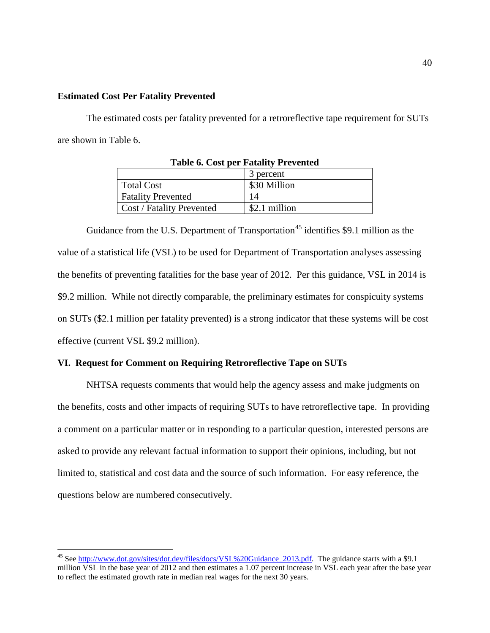## **Estimated Cost Per Fatality Prevented**

The estimated costs per fatality prevented for a retroreflective tape requirement for SUTs are shown in Table 6.

| Table v. Cost per Patanty Freyender |               |  |
|-------------------------------------|---------------|--|
|                                     | 3 percent     |  |
| Total Cost                          | \$30 Million  |  |
| <b>Fatality Prevented</b>           | 14            |  |
| <b>Cost / Fatality Prevented</b>    | \$2.1 million |  |

| <b>Table 6. Cost per Fatality Prevented</b> |
|---------------------------------------------|
|---------------------------------------------|

Guidance from the U.S. Department of Transportation<sup>[45](#page-39-0)</sup> identifies \$9.1 million as the value of a statistical life (VSL) to be used for Department of Transportation analyses assessing the benefits of preventing fatalities for the base year of 2012. Per this guidance, VSL in 2014 is \$9.2 million. While not directly comparable, the preliminary estimates for conspicuity systems on SUTs (\$2.1 million per fatality prevented) is a strong indicator that these systems will be cost effective (current VSL \$9.2 million).

## **VI. Request for Comment on Requiring Retroreflective Tape on SUTs**

NHTSA requests comments that would help the agency assess and make judgments on the benefits, costs and other impacts of requiring SUTs to have retroreflective tape. In providing a comment on a particular matter or in responding to a particular question, interested persons are asked to provide any relevant factual information to support their opinions, including, but not limited to, statistical and cost data and the source of such information. For easy reference, the questions below are numbered consecutively.

<span id="page-39-0"></span><sup>&</sup>lt;sup>45</sup> See [http://www.dot.gov/sites/dot.dev/files/docs/VSL%20Guidance\\_2013.pdf.](http://www.dot.gov/sites/dot.dev/files/docs/VSL%20Guidance_2013.pdf) The guidance starts with a \$9.1 million VSL in the base year of 2012 and then estimates a 1.07 percent increase in VSL each year after the base year to reflect the estimated growth rate in median real wages for the next 30 years.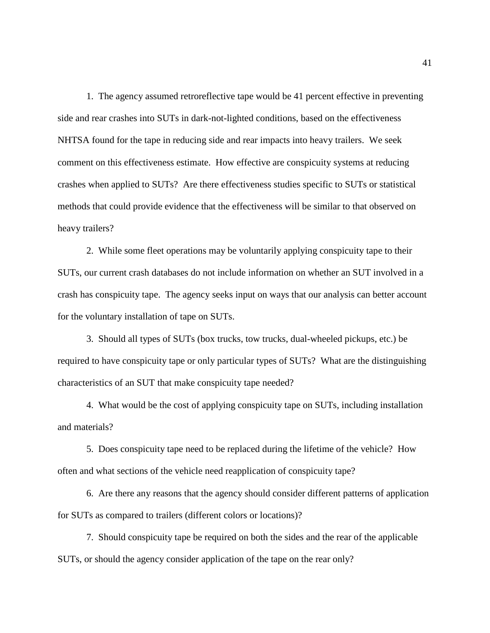1. The agency assumed retroreflective tape would be 41 percent effective in preventing side and rear crashes into SUTs in dark-not-lighted conditions, based on the effectiveness NHTSA found for the tape in reducing side and rear impacts into heavy trailers. We seek comment on this effectiveness estimate. How effective are conspicuity systems at reducing crashes when applied to SUTs? Are there effectiveness studies specific to SUTs or statistical methods that could provide evidence that the effectiveness will be similar to that observed on heavy trailers?

2. While some fleet operations may be voluntarily applying conspicuity tape to their SUTs, our current crash databases do not include information on whether an SUT involved in a crash has conspicuity tape. The agency seeks input on ways that our analysis can better account for the voluntary installation of tape on SUTs.

3. Should all types of SUTs (box trucks, tow trucks, dual-wheeled pickups, etc.) be required to have conspicuity tape or only particular types of SUTs? What are the distinguishing characteristics of an SUT that make conspicuity tape needed?

4. What would be the cost of applying conspicuity tape on SUTs, including installation and materials?

5. Does conspicuity tape need to be replaced during the lifetime of the vehicle? How often and what sections of the vehicle need reapplication of conspicuity tape?

6. Are there any reasons that the agency should consider different patterns of application for SUTs as compared to trailers (different colors or locations)?

7. Should conspicuity tape be required on both the sides and the rear of the applicable SUTs, or should the agency consider application of the tape on the rear only?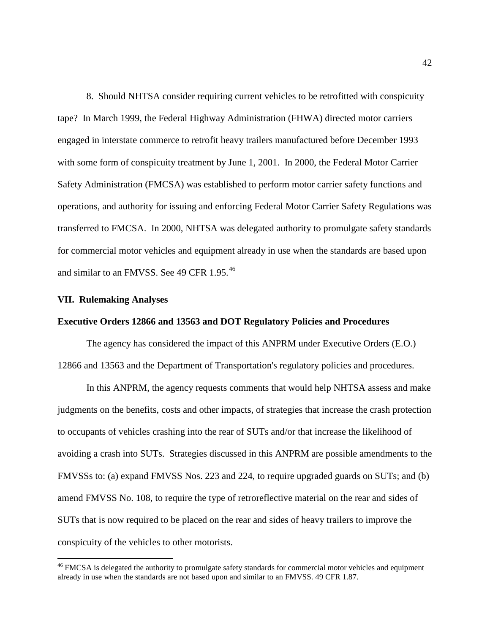8. Should NHTSA consider requiring current vehicles to be retrofitted with conspicuity tape? In March 1999, the Federal Highway Administration (FHWA) directed motor carriers engaged in interstate commerce to retrofit heavy trailers manufactured before December 1993 with some form of conspicuity treatment by June 1, 2001. In 2000, the Federal Motor Carrier Safety Administration (FMCSA) was established to perform motor carrier safety functions and operations, and authority for issuing and enforcing Federal Motor Carrier Safety Regulations was transferred to FMCSA. In 2000, NHTSA was delegated authority to promulgate safety standards for commercial motor vehicles and equipment already in use when the standards are based upon and similar to an FMVSS. See 49 CFR 1.95.<sup>[46](#page-41-0)</sup>

#### **VII. Rulemaking Analyses**

## **Executive Orders 12866 and 13563 and DOT Regulatory Policies and Procedures**

The agency has considered the impact of this ANPRM under Executive Orders (E.O.) 12866 and 13563 and the Department of Transportation's regulatory policies and procedures.

In this ANPRM, the agency requests comments that would help NHTSA assess and make judgments on the benefits, costs and other impacts, of strategies that increase the crash protection to occupants of vehicles crashing into the rear of SUTs and/or that increase the likelihood of avoiding a crash into SUTs. Strategies discussed in this ANPRM are possible amendments to the FMVSSs to: (a) expand FMVSS Nos. 223 and 224, to require upgraded guards on SUTs; and (b) amend FMVSS No. 108, to require the type of retroreflective material on the rear and sides of SUTs that is now required to be placed on the rear and sides of heavy trailers to improve the conspicuity of the vehicles to other motorists.

<span id="page-41-0"></span><sup>&</sup>lt;sup>46</sup> FMCSA is delegated the authority to promulgate safety standards for commercial motor vehicles and equipment already in use when the standards are not based upon and similar to an FMVSS. 49 CFR 1.87.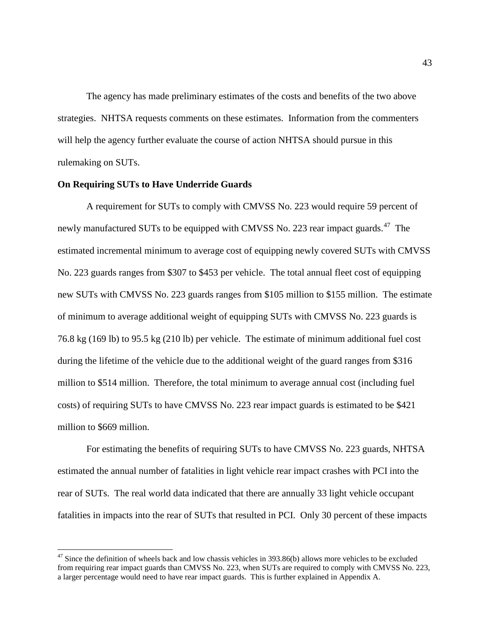The agency has made preliminary estimates of the costs and benefits of the two above strategies. NHTSA requests comments on these estimates. Information from the commenters will help the agency further evaluate the course of action NHTSA should pursue in this rulemaking on SUTs.

## **On Requiring SUTs to Have Underride Guards**

A requirement for SUTs to comply with CMVSS No. 223 would require 59 percent of newly manufactured SUTs to be equipped with CMVSS No. 223 rear impact guards.<sup>47</sup> The estimated incremental minimum to average cost of equipping newly covered SUTs with CMVSS No. 223 guards ranges from \$307 to \$453 per vehicle. The total annual fleet cost of equipping new SUTs with CMVSS No. 223 guards ranges from \$105 million to \$155 million. The estimate of minimum to average additional weight of equipping SUTs with CMVSS No. 223 guards is 76.8 kg (169 lb) to 95.5 kg (210 lb) per vehicle. The estimate of minimum additional fuel cost during the lifetime of the vehicle due to the additional weight of the guard ranges from \$316 million to \$514 million. Therefore, the total minimum to average annual cost (including fuel costs) of requiring SUTs to have CMVSS No. 223 rear impact guards is estimated to be \$421 million to \$669 million.

For estimating the benefits of requiring SUTs to have CMVSS No. 223 guards, NHTSA estimated the annual number of fatalities in light vehicle rear impact crashes with PCI into the rear of SUTs. The real world data indicated that there are annually 33 light vehicle occupant fatalities in impacts into the rear of SUTs that resulted in PCI. Only 30 percent of these impacts

<span id="page-42-0"></span> $47$  Since the definition of wheels back and low chassis vehicles in 393.86(b) allows more vehicles to be excluded from requiring rear impact guards than CMVSS No. 223, when SUTs are required to comply with CMVSS No. 223, a larger percentage would need to have rear impact guards. This is further explained in Appendix A.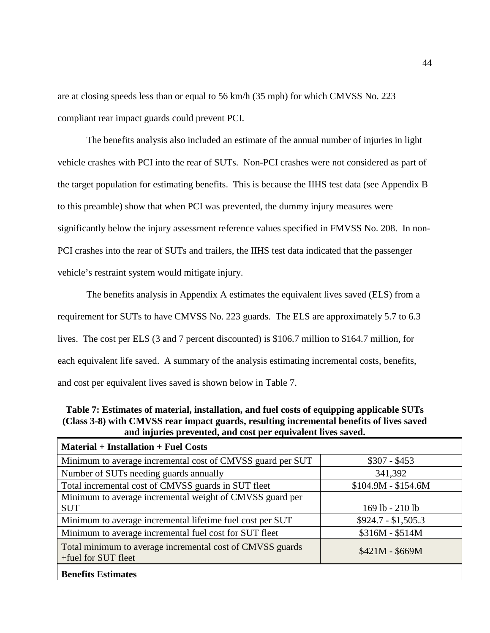are at closing speeds less than or equal to 56 km/h (35 mph) for which CMVSS No. 223 compliant rear impact guards could prevent PCI.

The benefits analysis also included an estimate of the annual number of injuries in light vehicle crashes with PCI into the rear of SUTs. Non-PCI crashes were not considered as part of the target population for estimating benefits. This is because the IIHS test data (see Appendix B to this preamble) show that when PCI was prevented, the dummy injury measures were significantly below the injury assessment reference values specified in FMVSS No. 208. In non-PCI crashes into the rear of SUTs and trailers, the IIHS test data indicated that the passenger vehicle's restraint system would mitigate injury.

The benefits analysis in Appendix A estimates the equivalent lives saved (ELS) from a requirement for SUTs to have CMVSS No. 223 guards. The ELS are approximately 5.7 to 6.3 lives. The cost per ELS (3 and 7 percent discounted) is \$106.7 million to \$164.7 million, for each equivalent life saved. A summary of the analysis estimating incremental costs, benefits, and cost per equivalent lives saved is shown below in Table 7.

**Table 7: Estimates of material, installation, and fuel costs of equipping applicable SUTs (Class 3-8) with CMVSS rear impact guards, resulting incremental benefits of lives saved and injuries prevented, and cost per equivalent lives saved.**

| <b>Material + Installation + Fuel Costs</b>                                      |                     |
|----------------------------------------------------------------------------------|---------------------|
| Minimum to average incremental cost of CMVSS guard per SUT                       | $$307 - $453$       |
| Number of SUTs needing guards annually                                           | 341,392             |
| Total incremental cost of CMVSS guards in SUT fleet                              | $$104.9M - $154.6M$ |
| Minimum to average incremental weight of CMVSS guard per                         |                     |
| <b>SUT</b>                                                                       | 169 lb - 210 lb     |
| Minimum to average incremental lifetime fuel cost per SUT                        | $$924.7 - $1,505.3$ |
| Minimum to average incremental fuel cost for SUT fleet                           | $$316M - $514M$     |
| Total minimum to average incremental cost of CMVSS guards<br>+fuel for SUT fleet | $$421M - $669M$     |
| <b>Benefits Estimates</b>                                                        |                     |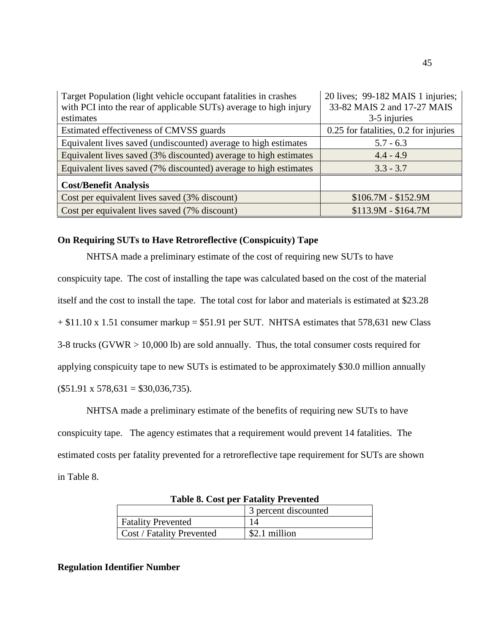| Target Population (light vehicle occupant fatalities in crashes   | 20 lives; 99-182 MAIS 1 injuries;     |
|-------------------------------------------------------------------|---------------------------------------|
| with PCI into the rear of applicable SUTs) average to high injury | 33-82 MAIS 2 and 17-27 MAIS           |
| estimates                                                         | 3-5 injuries                          |
| Estimated effectiveness of CMVSS guards                           | 0.25 for fatalities, 0.2 for injuries |
| Equivalent lives saved (undiscounted) average to high estimates   | $5.7 - 6.3$                           |
| Equivalent lives saved (3% discounted) average to high estimates  | $4.4 - 4.9$                           |
| Equivalent lives saved (7% discounted) average to high estimates  | $3.3 - 3.7$                           |
| <b>Cost/Benefit Analysis</b>                                      |                                       |
| Cost per equivalent lives saved (3% discount)                     | $$106.7M - $152.9M$                   |
| Cost per equivalent lives saved (7% discount)                     | $$113.9M - $164.7M$                   |

## **On Requiring SUTs to Have Retroreflective (Conspicuity) Tape**

NHTSA made a preliminary estimate of the cost of requiring new SUTs to have conspicuity tape. The cost of installing the tape was calculated based on the cost of the material itself and the cost to install the tape. The total cost for labor and materials is estimated at \$23.28  $+ $11.10 \times 1.51$  consumer markup = \$51.91 per SUT. NHTSA estimates that 578,631 new Class 3-8 trucks (GVWR > 10,000 lb) are sold annually. Thus, the total consumer costs required for applying conspicuity tape to new SUTs is estimated to be approximately \$30.0 million annually  $($51.91 \times 578,631 = $30,036,735).$ 

NHTSA made a preliminary estimate of the benefits of requiring new SUTs to have conspicuity tape. The agency estimates that a requirement would prevent 14 fatalities. The estimated costs per fatality prevented for a retroreflective tape requirement for SUTs are shown in Table 8.

| Table of Cost per Patally Frevented |                      |
|-------------------------------------|----------------------|
|                                     | 3 percent discounted |
| <b>Fatality Prevented</b>           |                      |
| Cost / Fatality Prevented           | \$2.1 million        |

**Table 8. Cost per Fatality Prevented**

## **Regulation Identifier Number**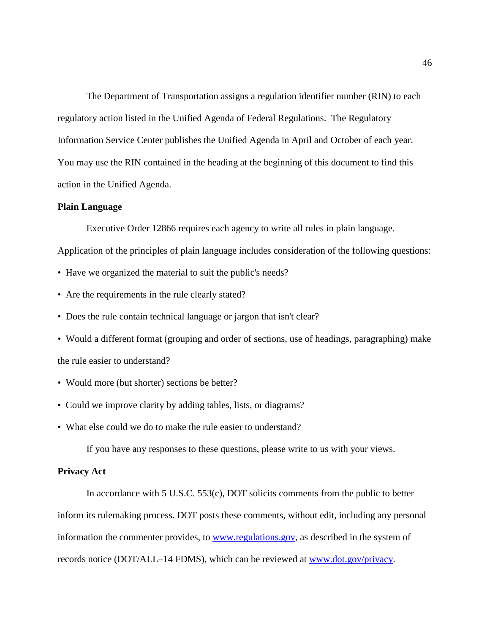The Department of Transportation assigns a regulation identifier number (RIN) to each regulatory action listed in the Unified Agenda of Federal Regulations. The Regulatory Information Service Center publishes the Unified Agenda in April and October of each year. You may use the RIN contained in the heading at the beginning of this document to find this action in the Unified Agenda.

#### **Plain Language**

Executive Order 12866 requires each agency to write all rules in plain language.

Application of the principles of plain language includes consideration of the following questions:

- Have we organized the material to suit the public's needs?
- Are the requirements in the rule clearly stated?
- Does the rule contain technical language or jargon that isn't clear?
- Would a different format (grouping and order of sections, use of headings, paragraphing) make the rule easier to understand?
- Would more (but shorter) sections be better?
- Could we improve clarity by adding tables, lists, or diagrams?
- What else could we do to make the rule easier to understand?

If you have any responses to these questions, please write to us with your views.

## **Privacy Act**

In accordance with 5 U.S.C. 553(c), DOT solicits comments from the public to better inform its rulemaking process. DOT posts these comments, without edit, including any personal information the commenter provides, to [www.regulations.gov,](http://www.regulations.gov/) as described in the system of records notice (DOT/ALL–14 FDMS), which can be reviewed at [www.dot.gov/privacy.](http://www.dot.gov/privacy)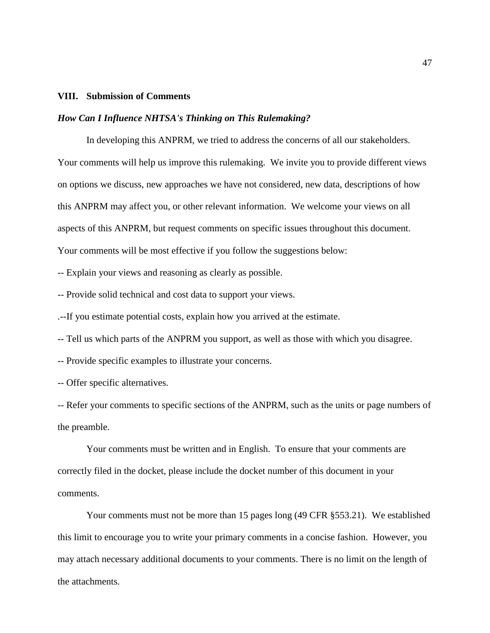#### **VIII. Submission of Comments**

#### *How Can I Influence NHTSA's Thinking on This Rulemaking?*

In developing this ANPRM, we tried to address the concerns of all our stakeholders. Your comments will help us improve this rulemaking. We invite you to provide different views on options we discuss, new approaches we have not considered, new data, descriptions of how this ANPRM may affect you, or other relevant information. We welcome your views on all aspects of this ANPRM, but request comments on specific issues throughout this document. Your comments will be most effective if you follow the suggestions below:

-- Explain your views and reasoning as clearly as possible.

-- Provide solid technical and cost data to support your views.

.--If you estimate potential costs, explain how you arrived at the estimate.

-- Tell us which parts of the ANPRM you support, as well as those with which you disagree.

-- Provide specific examples to illustrate your concerns.

-- Offer specific alternatives.

-- Refer your comments to specific sections of the ANPRM, such as the units or page numbers of the preamble.

Your comments must be written and in English. To ensure that your comments are correctly filed in the docket, please include the docket number of this document in your comments.

Your comments must not be more than 15 pages long (49 CFR §553.21). We established this limit to encourage you to write your primary comments in a concise fashion. However, you may attach necessary additional documents to your comments. There is no limit on the length of the attachments.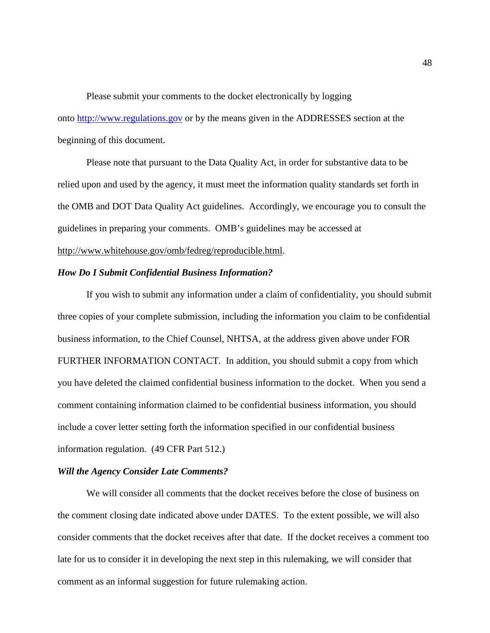Please submit your comments to the docket electronically by logging onto [http://www.regulations.gov](http://www.regulations.gov/) or by the means given in the ADDRESSES section at the beginning of this document.

Please note that pursuant to the Data Quality Act, in order for substantive data to be relied upon and used by the agency, it must meet the information quality standards set forth in the OMB and DOT Data Quality Act guidelines. Accordingly, we encourage you to consult the guidelines in preparing your comments. OMB's guidelines may be accessed at http://www.whitehouse.gov/omb/fedreg/reproducible.html.

#### *How Do I Submit Confidential Business Information?*

If you wish to submit any information under a claim of confidentiality, you should submit three copies of your complete submission, including the information you claim to be confidential business information, to the Chief Counsel, NHTSA, at the address given above under FOR FURTHER INFORMATION CONTACT. In addition, you should submit a copy from which you have deleted the claimed confidential business information to the docket. When you send a comment containing information claimed to be confidential business information, you should include a cover letter setting forth the information specified in our confidential business information regulation. (49 CFR Part 512.)

### *Will the Agency Consider Late Comments?*

We will consider all comments that the docket receives before the close of business on the comment closing date indicated above under DATES. To the extent possible, we will also consider comments that the docket receives after that date. If the docket receives a comment too late for us to consider it in developing the next step in this rulemaking, we will consider that comment as an informal suggestion for future rulemaking action.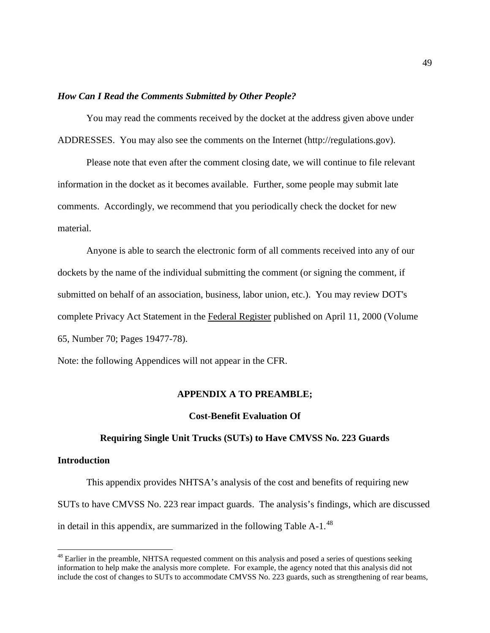## *How Can I Read the Comments Submitted by Other People?*

You may read the comments received by the docket at the address given above under ADDRESSES. You may also see the comments on the Internet (http://regulations.gov).

Please note that even after the comment closing date, we will continue to file relevant information in the docket as it becomes available. Further, some people may submit late comments. Accordingly, we recommend that you periodically check the docket for new material.

Anyone is able to search the electronic form of all comments received into any of our dockets by the name of the individual submitting the comment (or signing the comment, if submitted on behalf of an association, business, labor union, etc.). You may review DOT's complete Privacy Act Statement in the Federal Register published on April 11, 2000 (Volume 65, Number 70; Pages 19477-78).

Note: the following Appendices will not appear in the CFR.

#### **APPENDIX A TO PREAMBLE;**

#### **Cost-Benefit Evaluation Of**

#### **Requiring Single Unit Trucks (SUTs) to Have CMVSS No. 223 Guards**

### **Introduction**

This appendix provides NHTSA's analysis of the cost and benefits of requiring new SUTs to have CMVSS No. 223 rear impact guards. The analysis's findings, which are discussed in detail in this appendix, are summarized in the following Table A-1.<sup>[48](#page-48-0)</sup>

<span id="page-48-0"></span> $48$  Earlier in the preamble, NHTSA requested comment on this analysis and posed a series of questions seeking information to help make the analysis more complete. For example, the agency noted that this analysis did not include the cost of changes to SUTs to accommodate CMVSS No. 223 guards, such as strengthening of rear beams,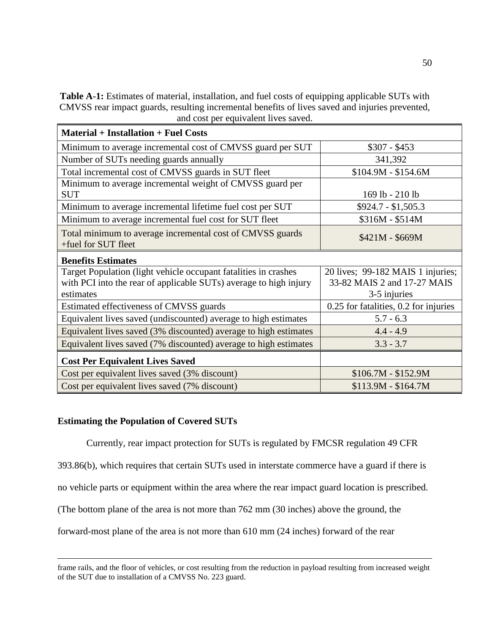**Table A-1:** Estimates of material, installation, and fuel costs of equipping applicable SUTs with CMVSS rear impact guards, resulting incremental benefits of lives saved and injuries prevented, and cost per equivalent lives saved.

| <b>Material + Installation + Fuel Costs</b>                       |                                       |
|-------------------------------------------------------------------|---------------------------------------|
| Minimum to average incremental cost of CMVSS guard per SUT        | $$307 - $453$                         |
| Number of SUTs needing guards annually                            | 341,392                               |
| Total incremental cost of CMVSS guards in SUT fleet               | $$104.9M - $154.6M$                   |
| Minimum to average incremental weight of CMVSS guard per          |                                       |
| <b>SUT</b>                                                        | 169 lb - 210 lb                       |
| Minimum to average incremental lifetime fuel cost per SUT         | $$924.7 - $1,505.3$                   |
| Minimum to average incremental fuel cost for SUT fleet            | \$316M - \$514M                       |
| Total minimum to average incremental cost of CMVSS guards         | $$421M - $669M$                       |
| +fuel for SUT fleet                                               |                                       |
| <b>Benefits Estimates</b>                                         |                                       |
| Target Population (light vehicle occupant fatalities in crashes   | 20 lives; 99-182 MAIS 1 injuries;     |
| with PCI into the rear of applicable SUTs) average to high injury | 33-82 MAIS 2 and 17-27 MAIS           |
| estimates                                                         | 3-5 injuries                          |
| Estimated effectiveness of CMVSS guards                           | 0.25 for fatalities, 0.2 for injuries |
| Equivalent lives saved (undiscounted) average to high estimates   | $5.7 - 6.3$                           |
| Equivalent lives saved (3% discounted) average to high estimates  | $4.4 - 4.9$                           |
| Equivalent lives saved (7% discounted) average to high estimates  | $3.3 - 3.7$                           |
| <b>Cost Per Equivalent Lives Saved</b>                            |                                       |
| Cost per equivalent lives saved (3% discount)                     | $$106.7M - $152.9M$                   |
| Cost per equivalent lives saved (7% discount)                     | $$113.9M - $164.7M$                   |

## **Estimating the Population of Covered SUTs**

 $\overline{a}$ 

Currently, rear impact protection for SUTs is regulated by FMCSR regulation 49 CFR

393.86(b), which requires that certain SUTs used in interstate commerce have a guard if there is

no vehicle parts or equipment within the area where the rear impact guard location is prescribed.

(The bottom plane of the area is not more than 762 mm (30 inches) above the ground, the

forward-most plane of the area is not more than 610 mm (24 inches) forward of the rear

frame rails, and the floor of vehicles, or cost resulting from the reduction in payload resulting from increased weight of the SUT due to installation of a CMVSS No. 223 guard.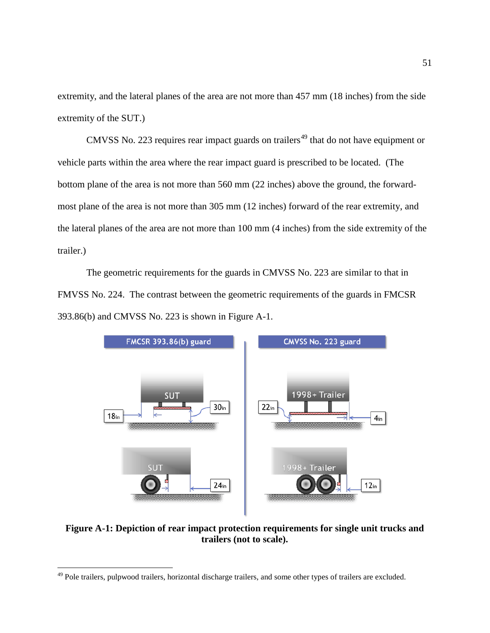extremity, and the lateral planes of the area are not more than 457 mm (18 inches) from the side extremity of the SUT.)

CMVSS No. 223 requires rear impact guards on trailers<sup> $49$ </sup> that do not have equipment or vehicle parts within the area where the rear impact guard is prescribed to be located. (The bottom plane of the area is not more than 560 mm (22 inches) above the ground, the forwardmost plane of the area is not more than 305 mm (12 inches) forward of the rear extremity, and the lateral planes of the area are not more than 100 mm (4 inches) from the side extremity of the trailer.)

The geometric requirements for the guards in CMVSS No. 223 are similar to that in FMVSS No. 224. The contrast between the geometric requirements of the guards in FMCSR 393.86(b) and CMVSS No. 223 is shown in Figure A-1.



**Figure A-1: Depiction of rear impact protection requirements for single unit trucks and trailers (not to scale).**

<span id="page-50-0"></span><sup>&</sup>lt;sup>49</sup> Pole trailers, pulpwood trailers, horizontal discharge trailers, and some other types of trailers are excluded.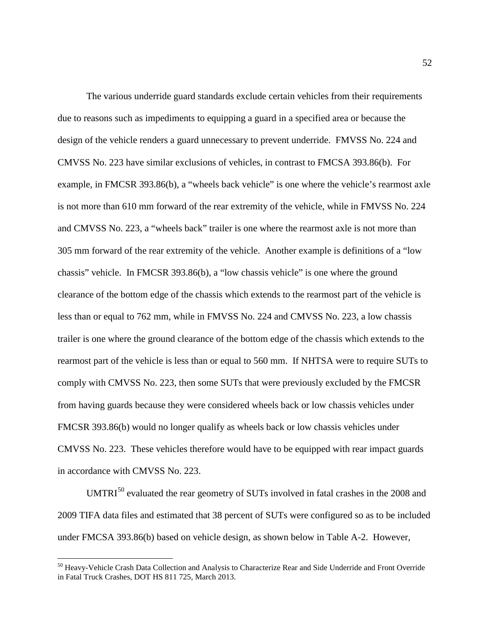The various underride guard standards exclude certain vehicles from their requirements due to reasons such as impediments to equipping a guard in a specified area or because the design of the vehicle renders a guard unnecessary to prevent underride. FMVSS No. 224 and CMVSS No. 223 have similar exclusions of vehicles, in contrast to FMCSA 393.86(b). For example, in FMCSR 393.86(b), a "wheels back vehicle" is one where the vehicle's rearmost axle is not more than 610 mm forward of the rear extremity of the vehicle, while in FMVSS No. 224 and CMVSS No. 223, a "wheels back" trailer is one where the rearmost axle is not more than 305 mm forward of the rear extremity of the vehicle. Another example is definitions of a "low chassis" vehicle. In FMCSR 393.86(b), a "low chassis vehicle" is one where the ground clearance of the bottom edge of the chassis which extends to the rearmost part of the vehicle is less than or equal to 762 mm, while in FMVSS No. 224 and CMVSS No. 223, a low chassis trailer is one where the ground clearance of the bottom edge of the chassis which extends to the rearmost part of the vehicle is less than or equal to 560 mm. If NHTSA were to require SUTs to comply with CMVSS No. 223, then some SUTs that were previously excluded by the FMCSR from having guards because they were considered wheels back or low chassis vehicles under FMCSR 393.86(b) would no longer qualify as wheels back or low chassis vehicles under CMVSS No. 223. These vehicles therefore would have to be equipped with rear impact guards in accordance with CMVSS No. 223.

 $UMTRI<sup>50</sup>$  $UMTRI<sup>50</sup>$  $UMTRI<sup>50</sup>$  evaluated the rear geometry of SUTs involved in fatal crashes in the 2008 and 2009 TIFA data files and estimated that 38 percent of SUTs were configured so as to be included under FMCSA 393.86(b) based on vehicle design, as shown below in Table A-2. However,

<span id="page-51-0"></span> <sup>50</sup> Heavy-Vehicle Crash Data Collection and Analysis to Characterize Rear and Side Underride and Front Override in Fatal Truck Crashes, DOT HS 811 725, March 2013.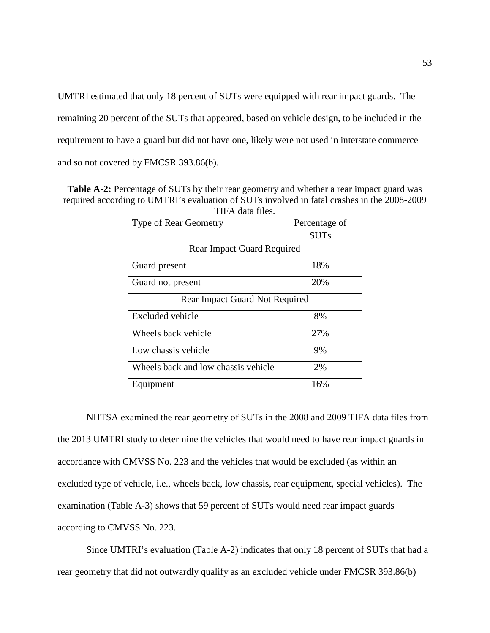UMTRI estimated that only 18 percent of SUTs were equipped with rear impact guards. The remaining 20 percent of the SUTs that appeared, based on vehicle design, to be included in the requirement to have a guard but did not have one, likely were not used in interstate commerce and so not covered by FMCSR 393.86(b).

**Table A-2:** Percentage of SUTs by their rear geometry and whether a rear impact guard was required according to UMTRI's evaluation of SUTs involved in fatal crashes in the 2008-2009 TIFA data files.

| нга ната піся.                        |               |  |
|---------------------------------------|---------------|--|
| <b>Type of Rear Geometry</b>          | Percentage of |  |
|                                       | <b>SUTs</b>   |  |
| <b>Rear Impact Guard Required</b>     |               |  |
| Guard present                         | 18%           |  |
| Guard not present                     | 20%           |  |
| <b>Rear Impact Guard Not Required</b> |               |  |
| Excluded vehicle                      | 8%            |  |
| Wheels back vehicle                   | 27%           |  |
| Low chassis vehicle                   | 9%            |  |
| Wheels back and low chassis vehicle   | 2%            |  |
| Equipment                             | 16%           |  |

NHTSA examined the rear geometry of SUTs in the 2008 and 2009 TIFA data files from the 2013 UMTRI study to determine the vehicles that would need to have rear impact guards in accordance with CMVSS No. 223 and the vehicles that would be excluded (as within an excluded type of vehicle, i.e., wheels back, low chassis, rear equipment, special vehicles). The examination (Table A-3) shows that 59 percent of SUTs would need rear impact guards according to CMVSS No. 223.

Since UMTRI's evaluation (Table A-2) indicates that only 18 percent of SUTs that had a rear geometry that did not outwardly qualify as an excluded vehicle under FMCSR 393.86(b)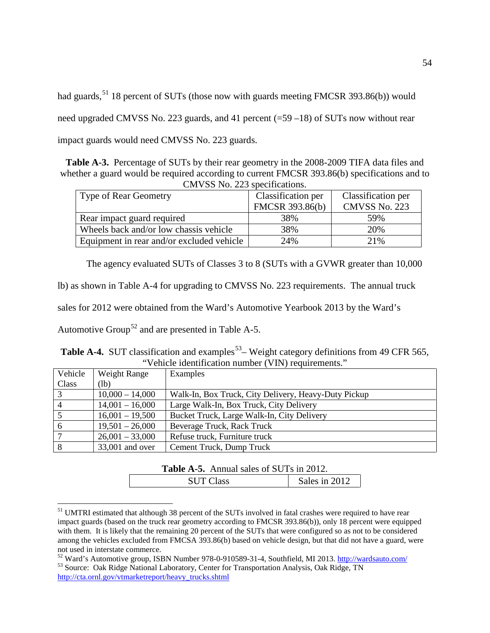had guards,<sup>[51](#page-53-0)</sup> 18 percent of SUTs (those now with guards meeting FMCSR 393.86(b)) would need upgraded CMVSS No. 223 guards, and 41 percent (=59 –18) of SUTs now without rear impact guards would need CMVSS No. 223 guards.

**Table A-3.** Percentage of SUTs by their rear geometry in the 2008-2009 TIFA data files and whether a guard would be required according to current FMCSR 393.86(b) specifications and to CMVSS No. 223 specifications.

| $C_{111}$ , DD 110. 229 90001110001919.   |                    |                    |  |
|-------------------------------------------|--------------------|--------------------|--|
| <b>Type of Rear Geometry</b>              | Classification per | Classification per |  |
|                                           | FMCSR 393.86(b)    | CMVSS No. 223      |  |
| Rear impact guard required                | 38%                | 59%                |  |
| Wheels back and/or low chassis vehicle    | 38%                | 20%                |  |
| Equipment in rear and/or excluded vehicle | 24%                | 21%                |  |

The agency evaluated SUTs of Classes 3 to 8 (SUTs with a GVWR greater than 10,000

lb) as shown in Table A-4 for upgrading to CMVSS No. 223 requirements. The annual truck

sales for 2012 were obtained from the Ward's Automotive Yearbook 2013 by the Ward's

Automotive Group<sup>[52](#page-53-1)</sup> and are presented in Table A-5.

|                                                     | Table A-4. SUT classification and examples <sup>53</sup> – Weight category definitions from 49 CFR 565, |  |
|-----------------------------------------------------|---------------------------------------------------------------------------------------------------------|--|
| "Vehicle identification number (VIN) requirements." |                                                                                                         |  |

| Vehicle         | Weight Range      | Examples                                             |
|-----------------|-------------------|------------------------------------------------------|
| Class           | (lb)              |                                                      |
| $\mathbf{3}$    | $10,000 - 14,000$ | Walk-In, Box Truck, City Delivery, Heavy-Duty Pickup |
| $\overline{4}$  | $14,001 - 16,000$ | Large Walk-In, Box Truck, City Delivery              |
| $5\overline{5}$ | $16,001 - 19,500$ | Bucket Truck, Large Walk-In, City Delivery           |
| - 6             | $19,501 - 26,000$ | Beverage Truck, Rack Truck                           |
| $7\phantom{.0}$ | $26,001 - 33,000$ | Refuse truck, Furniture truck                        |
| 8               | 33,001 and over   | Cement Truck, Dump Truck                             |

| <b>Table A-5.</b> Annual sales of SUTs in 2012. |               |
|-------------------------------------------------|---------------|
| <b>SUT Class</b>                                | Sales in 2012 |

<span id="page-53-0"></span><sup>&</sup>lt;sup>51</sup> UMTRI estimated that although 38 percent of the SUTs involved in fatal crashes were required to have rear impact guards (based on the truck rear geometry according to FMCSR 393.86(b)), only 18 percent were equipped with them. It is likely that the remaining 20 percent of the SUTs that were configured so as not to be considered among the vehicles excluded from FMCSA 393.86(b) based on vehicle design, but that did not have a guard, were not used in interstate commerce.

<span id="page-53-2"></span><span id="page-53-1"></span> $52$  Ward's Automotive group, ISBN Number 978-0-910589-31-4, Southfield, MI 2013.<http://wardsauto.com/>  $53$  Source: Oak Ridge National Laboratory, Center for Transportation Analysis, Oak Ridge, TN [http://cta.ornl.gov/vtmarketreport/heavy\\_trucks.shtml](http://cta.ornl.gov/vtmarketreport/heavy_trucks.shtml)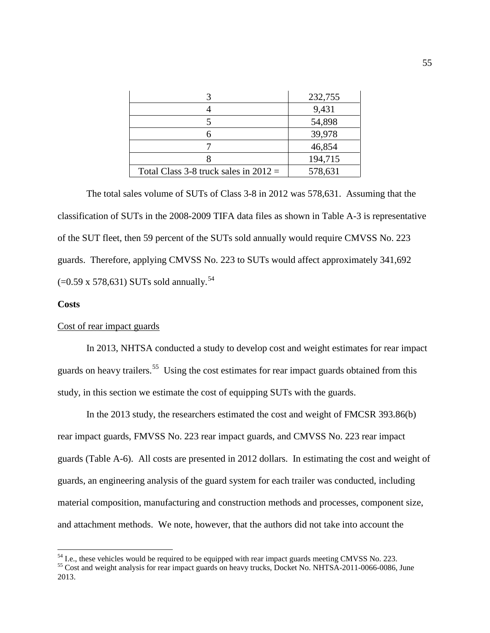|                                         | 232,755 |
|-----------------------------------------|---------|
|                                         | 9,431   |
|                                         | 54,898  |
|                                         | 39,978  |
|                                         | 46,854  |
|                                         | 194,715 |
| Total Class 3-8 truck sales in $2012 =$ | 578,631 |

The total sales volume of SUTs of Class 3-8 in 2012 was 578,631. Assuming that the classification of SUTs in the 2008-2009 TIFA data files as shown in Table A-3 is representative of the SUT fleet, then 59 percent of the SUTs sold annually would require CMVSS No. 223 guards. Therefore, applying CMVSS No. 223 to SUTs would affect approximately 341,692  $(=0.59 \times 578, 631)$  SUTs sold annually.<sup>[54](#page-54-0)</sup>

### **Costs**

## Cost of rear impact guards

In 2013, NHTSA conducted a study to develop cost and weight estimates for rear impact guards on heavy trailers.<sup>55</sup> Using the cost estimates for rear impact guards obtained from this study, in this section we estimate the cost of equipping SUTs with the guards.

In the 2013 study, the researchers estimated the cost and weight of FMCSR 393.86(b) rear impact guards, FMVSS No. 223 rear impact guards, and CMVSS No. 223 rear impact guards (Table A-6). All costs are presented in 2012 dollars. In estimating the cost and weight of guards, an engineering analysis of the guard system for each trailer was conducted, including material composition, manufacturing and construction methods and processes, component size, and attachment methods. We note, however, that the authors did not take into account the

<span id="page-54-1"></span>

<span id="page-54-0"></span> $^{54}$  I.e., these vehicles would be required to be equipped with rear impact guards meeting CMVSS No. 223.  $^{55}$  Cost and weight analysis for rear impact guards on heavy trucks, Docket No. NHTSA-2011-0066-0086, June 2013.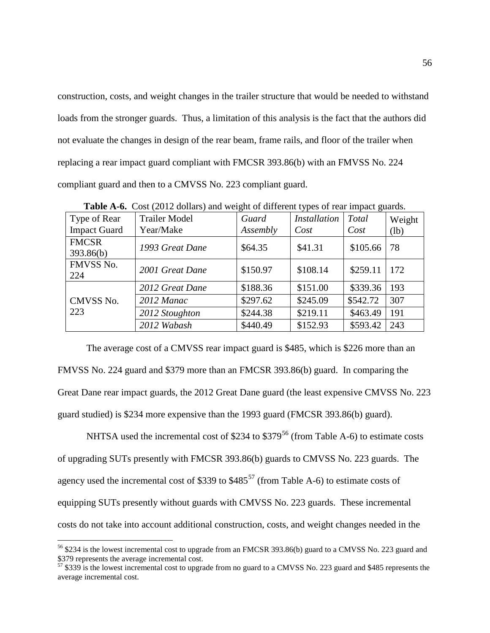construction, costs, and weight changes in the trailer structure that would be needed to withstand loads from the stronger guards. Thus, a limitation of this analysis is the fact that the authors did not evaluate the changes in design of the rear beam, frame rails, and floor of the trailer when replacing a rear impact guard compliant with FMCSR 393.86(b) with an FMVSS No. 224 compliant guard and then to a CMVSS No. 223 compliant guard.

| Type of Rear<br><b>Impact Guard</b> | <b>Trailer Model</b><br>Year/Make | Guard<br>Assembly | <i>Installation</i><br>Cost | Total<br>Cost | Weight<br>(lb) |
|-------------------------------------|-----------------------------------|-------------------|-----------------------------|---------------|----------------|
| <b>FMCSR</b><br>393.86(b)           | 1993 Great Dane                   | \$64.35           | \$41.31                     | \$105.66      | 78             |
| FMVSS No.<br>224                    | 2001 Great Dane                   | \$150.97          | \$108.14                    | \$259.11      | 172            |
| CMVSS No.<br>223                    | 2012 Great Dane                   | \$188.36          | \$151.00                    | \$339.36      | 193            |
|                                     | 2012 Manac                        | \$297.62          | \$245.09                    | \$542.72      | 307            |
|                                     | 2012 Stoughton                    | \$244.38          | \$219.11                    | \$463.49      | 191            |
|                                     | 2012 Wabash                       | \$440.49          | \$152.93                    | \$593.42      | 243            |

**Table A-6.** Cost (2012 dollars) and weight of different types of rear impact guards.

The average cost of a CMVSS rear impact guard is \$485, which is \$226 more than an FMVSS No. 224 guard and \$379 more than an FMCSR 393.86(b) guard. In comparing the Great Dane rear impact guards, the 2012 Great Dane guard (the least expensive CMVSS No. 223 guard studied) is \$234 more expensive than the 1993 guard (FMCSR 393.86(b) guard).

NHTSA used the incremental cost of \$234 to  $$379^{56}$  $$379^{56}$  $$379^{56}$  (from Table A-6) to estimate costs of upgrading SUTs presently with FMCSR 393.86(b) guards to CMVSS No. 223 guards. The agency used the incremental cost of \$339 to  $$485^{57}$  $$485^{57}$  $$485^{57}$  (from Table A-6) to estimate costs of equipping SUTs presently without guards with CMVSS No. 223 guards. These incremental costs do not take into account additional construction, costs, and weight changes needed in the

<span id="page-55-0"></span><sup>&</sup>lt;sup>56</sup> \$234 is the lowest incremental cost to upgrade from an FMCSR 393.86(b) guard to a CMVSS No. 223 guard and \$379 represents the average incremental cost.

<span id="page-55-1"></span> $\frac{1}{57}$  \$339 is the lowest incremental cost to upgrade from no guard to a CMVSS No. 223 guard and \$485 represents the average incremental cost.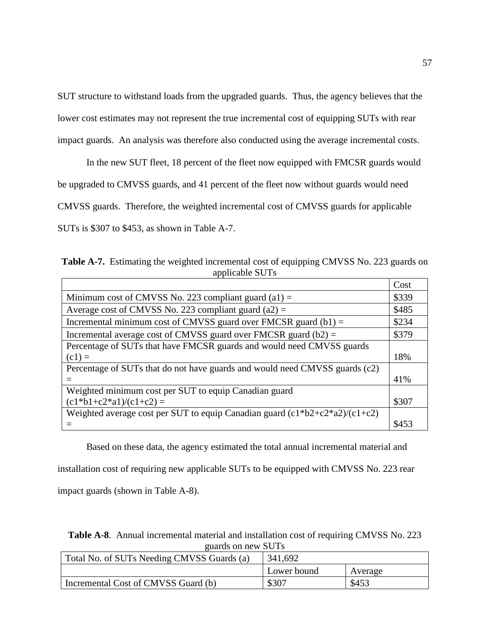SUT structure to withstand loads from the upgraded guards. Thus, the agency believes that the lower cost estimates may not represent the true incremental cost of equipping SUTs with rear impact guards. An analysis was therefore also conducted using the average incremental costs.

In the new SUT fleet, 18 percent of the fleet now equipped with FMCSR guards would be upgraded to CMVSS guards, and 41 percent of the fleet now without guards would need CMVSS guards. Therefore, the weighted incremental cost of CMVSS guards for applicable SUTs is \$307 to \$453, as shown in Table A-7.

**Table A-7.** Estimating the weighted incremental cost of equipping CMVSS No. 223 guards on applicable SUTs

|                                                                                       | Cost  |
|---------------------------------------------------------------------------------------|-------|
| Minimum cost of CMVSS No. 223 compliant guard $(a1) =$                                | \$339 |
| Average cost of CMVSS No. 223 compliant guard (a2) =                                  | \$485 |
| Incremental minimum cost of CMVSS guard over FMCSR guard $(b1)$ =                     | \$234 |
| Incremental average cost of CMVSS guard over FMCSR guard $(b2)$ =                     | \$379 |
| Percentage of SUTs that have FMCSR guards and would need CMVSS guards                 |       |
| $(c1) =$                                                                              | 18%   |
| Percentage of SUTs that do not have guards and would need CMVSS guards (c2)           |       |
|                                                                                       | 41%   |
| Weighted minimum cost per SUT to equip Canadian guard                                 |       |
| $(c1 * b1 + c2 * a1)/(c1 + c2) =$                                                     | \$307 |
| Weighted average cost per SUT to equip Canadian guard $(c1 * b2 + c2 * a2)/(c1 + c2)$ |       |
|                                                                                       | \$453 |

Based on these data, the agency estimated the total annual incremental material and installation cost of requiring new applicable SUTs to be equipped with CMVSS No. 223 rear impact guards (shown in Table A-8).

**Table A-8**. Annual incremental material and installation cost of requiring CMVSS No. 223 guards on new SUTs

| Total No. of SUTs Needing CMVSS Guards (a) | 341,692     |         |
|--------------------------------------------|-------------|---------|
|                                            | Lower bound | Average |
| Incremental Cost of CMVSS Guard (b)        | \$307       | \$453   |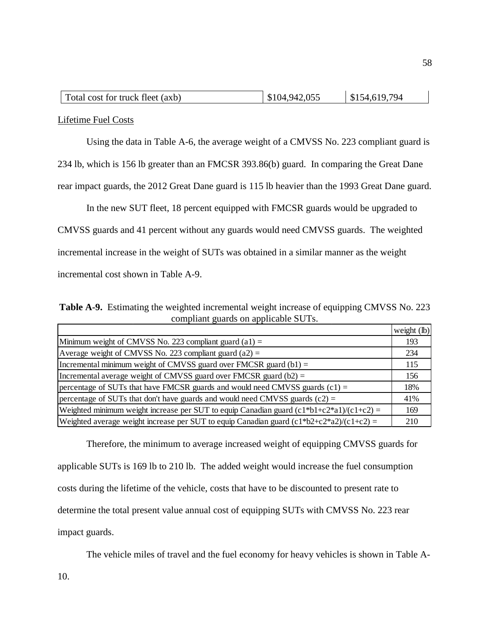| Total cost for truck fleet (axb) | \$104,942,055 | \$154,619,794 |
|----------------------------------|---------------|---------------|
|----------------------------------|---------------|---------------|

Lifetime Fuel Costs

Using the data in Table A-6, the average weight of a CMVSS No. 223 compliant guard is

234 lb, which is 156 lb greater than an FMCSR 393.86(b) guard. In comparing the Great Dane

rear impact guards, the 2012 Great Dane guard is 115 lb heavier than the 1993 Great Dane guard.

In the new SUT fleet, 18 percent equipped with FMCSR guards would be upgraded to

CMVSS guards and 41 percent without any guards would need CMVSS guards. The weighted

incremental increase in the weight of SUTs was obtained in a similar manner as the weight

incremental cost shown in Table A-9.

**Table A-9.** Estimating the weighted incremental weight increase of equipping CMVSS No. 223 compliant guards on applicable SUTs.

|                                                                                            | weight $(lb)$ |
|--------------------------------------------------------------------------------------------|---------------|
| Minimum weight of CMVSS No. 223 compliant guard $(a1) =$                                   | 193           |
| Average weight of CMVSS No. 223 compliant guard (a2) =                                     | 234           |
| Incremental minimum weight of CMVSS guard over FMCSR guard $(b1)$ =                        | 115           |
| Incremental average weight of CMVSS guard over FMCSR guard $(b2) =$                        | 156           |
| percentage of SUTs that have FMCSR guards and would need CMVSS guards $(c1)$ =             | 18%           |
| percentage of SUTs that don't have guards and would need CMVSS guards $(c2)$ =             | 41%           |
| Weighted minimum weight increase per SUT to equip Canadian guard $(c1*b1+c2*a1)/(c1+c2)$ = | 169           |
| Weighted average weight increase per SUT to equip Canadian guard $(c1*b2+c2*a2)/(c1+c2)$ = | 210           |

Therefore, the minimum to average increased weight of equipping CMVSS guards for applicable SUTs is 169 lb to 210 lb. The added weight would increase the fuel consumption costs during the lifetime of the vehicle, costs that have to be discounted to present rate to determine the total present value annual cost of equipping SUTs with CMVSS No. 223 rear impact guards.

The vehicle miles of travel and the fuel economy for heavy vehicles is shown in Table A-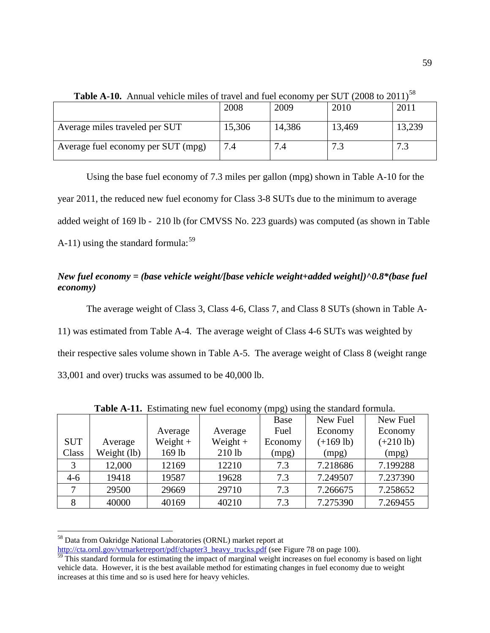| <b>THE TE TOO</b> THINGH VOID DUTIES OF HAVE AND TACK CONDITY LOT TO THE COVE TO LOT T |        |        |        |        |  |  |  |
|----------------------------------------------------------------------------------------|--------|--------|--------|--------|--|--|--|
|                                                                                        | 2008   | 2009   | 2010   | 2011   |  |  |  |
| Average miles traveled per SUT                                                         | 15,306 | 14,386 | 13,469 | 13,239 |  |  |  |
| Average fuel economy per SUT (mpg)                                                     | 7.4    |        |        | − −    |  |  |  |

**Table A-10.** Annual vehicle miles of travel and fuel economy per SUIT (2008 to 2011)<sup>[58](#page-58-0)</sup>

Using the base fuel economy of 7.3 miles per gallon (mpg) shown in Table A-10 for the year 2011, the reduced new fuel economy for Class 3-8 SUTs due to the minimum to average added weight of 169 lb - 210 lb (for CMVSS No. 223 guards) was computed (as shown in Table A-11) using the standard formula: $59$ 

# *New fuel economy = (base vehicle weight/[base vehicle weight+added weight])^0.8\*(base fuel economy)*

The average weight of Class 3, Class 4-6, Class 7, and Class 8 SUTs (shown in Table A-11) was estimated from Table A-4. The average weight of Class 4-6 SUTs was weighted by their respective sales volume shown in Table A-5. The average weight of Class 8 (weight range 33,001 and over) trucks was assumed to be 40,000 lb.

|            |             |            |            | Base    | ັ<br>New Fuel | New Fuel    |
|------------|-------------|------------|------------|---------|---------------|-------------|
|            |             | Average    | Average    | Fuel    | Economy       | Economy     |
| <b>SUT</b> | Average     | Weight $+$ | Weight $+$ | Economy | $(+169$ lb)   | $(+210$ lb) |
| Class      | Weight (lb) | 169 lb     | $210$ lb   | (mpg)   | (mpg)         | (mpg)       |
| 3          | 12,000      | 12169      | 12210      | 7.3     | 7.218686      | 7.199288    |
| $4-6$      | 19418       | 19587      | 19628      | 7.3     | 7.249507      | 7.237390    |
|            | 29500       | 29669      | 29710      | 7.3     | 7.266675      | 7.258652    |
| 8          | 40000       | 40169      | 40210      | 7.3     | 7.275390      | 7.269455    |

**Table A-11.** Estimating new fuel economy (mpg) using the standard formula.

<span id="page-58-0"></span> <sup>58</sup> Data from Oakridge National Laboratories (ORNL) market report at

[http://cta.ornl.gov/vtmarketreport/pdf/chapter3\\_heavy\\_trucks.pdf](http://cta.ornl.gov/vtmarketreport/pdf/chapter3_heavy_trucks.pdf) (see Figure 78 on page 100).

<span id="page-58-1"></span> $59$  This standard formula for estimating the impact of marginal weight increases on fuel economy is based on light vehicle data. However, it is the best available method for estimating changes in fuel economy due to weight increases at this time and so is used here for heavy vehicles.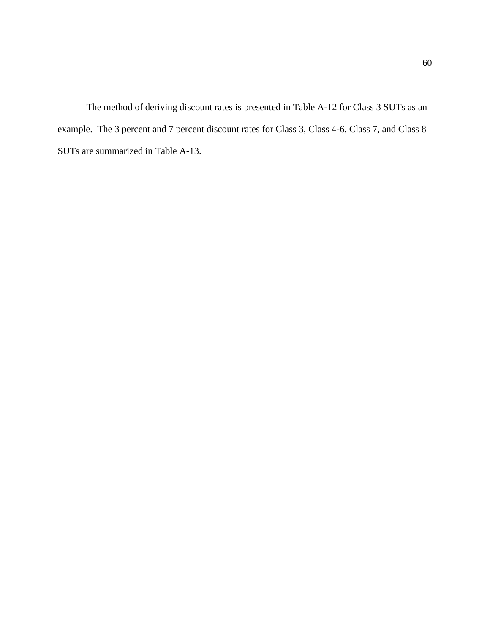The method of deriving discount rates is presented in Table A-12 for Class 3 SUTs as an example. The 3 percent and 7 percent discount rates for Class 3, Class 4-6, Class 7, and Class 8 SUTs are summarized in Table A-13.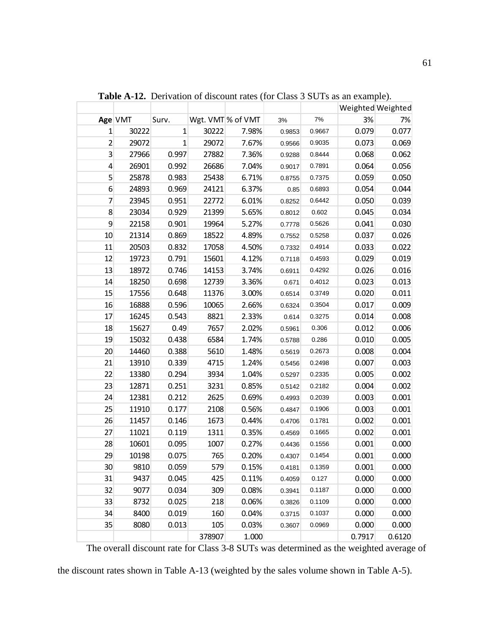|    |         |              |        |                   |        |        | Weighted Weighted |        |
|----|---------|--------------|--------|-------------------|--------|--------|-------------------|--------|
|    | Age VMT | Surv.        |        | Wgt. VMT % of VMT | 3%     | 7%     | 3%                | 7%     |
| 1  | 30222   | $\mathbf{1}$ | 30222  | 7.98%             | 0.9853 | 0.9667 | 0.079             | 0.077  |
| 2  | 29072   | $\mathbf{1}$ | 29072  | 7.67%             | 0.9566 | 0.9035 | 0.073             | 0.069  |
| 3  | 27966   | 0.997        | 27882  | 7.36%             | 0.9288 | 0.8444 | 0.068             | 0.062  |
| 4  | 26901   | 0.992        | 26686  | 7.04%             | 0.9017 | 0.7891 | 0.064             | 0.056  |
| 5  | 25878   | 0.983        | 25438  | 6.71%             | 0.8755 | 0.7375 | 0.059             | 0.050  |
| 6  | 24893   | 0.969        | 24121  | 6.37%             | 0.85   | 0.6893 | 0.054             | 0.044  |
| 7  | 23945   | 0.951        | 22772  | 6.01%             | 0.8252 | 0.6442 | 0.050             | 0.039  |
| 8  | 23034   | 0.929        | 21399  | 5.65%             | 0.8012 | 0.602  | 0.045             | 0.034  |
| 9  | 22158   | 0.901        | 19964  | 5.27%             | 0.7778 | 0.5626 | 0.041             | 0.030  |
| 10 | 21314   | 0.869        | 18522  | 4.89%             | 0.7552 | 0.5258 | 0.037             | 0.026  |
| 11 | 20503   | 0.832        | 17058  | 4.50%             | 0.7332 | 0.4914 | 0.033             | 0.022  |
| 12 | 19723   | 0.791        | 15601  | 4.12%             | 0.7118 | 0.4593 | 0.029             | 0.019  |
| 13 | 18972   | 0.746        | 14153  | 3.74%             | 0.6911 | 0.4292 | 0.026             | 0.016  |
| 14 | 18250   | 0.698        | 12739  | 3.36%             | 0.671  | 0.4012 | 0.023             | 0.013  |
| 15 | 17556   | 0.648        | 11376  | 3.00%             | 0.6514 | 0.3749 | 0.020             | 0.011  |
| 16 | 16888   | 0.596        | 10065  | 2.66%             | 0.6324 | 0.3504 | 0.017             | 0.009  |
| 17 | 16245   | 0.543        | 8821   | 2.33%             | 0.614  | 0.3275 | 0.014             | 0.008  |
| 18 | 15627   | 0.49         | 7657   | 2.02%             | 0.5961 | 0.306  | 0.012             | 0.006  |
| 19 | 15032   | 0.438        | 6584   | 1.74%             | 0.5788 | 0.286  | 0.010             | 0.005  |
| 20 | 14460   | 0.388        | 5610   | 1.48%             | 0.5619 | 0.2673 | 0.008             | 0.004  |
| 21 | 13910   | 0.339        | 4715   | 1.24%             | 0.5456 | 0.2498 | 0.007             | 0.003  |
| 22 | 13380   | 0.294        | 3934   | 1.04%             | 0.5297 | 0.2335 | 0.005             | 0.002  |
| 23 | 12871   | 0.251        | 3231   | 0.85%             | 0.5142 | 0.2182 | 0.004             | 0.002  |
| 24 | 12381   | 0.212        | 2625   | 0.69%             | 0.4993 | 0.2039 | 0.003             | 0.001  |
| 25 | 11910   | 0.177        | 2108   | 0.56%             | 0.4847 | 0.1906 | 0.003             | 0.001  |
| 26 | 11457   | 0.146        | 1673   | 0.44%             | 0.4706 | 0.1781 | 0.002             | 0.001  |
| 27 | 11021   | 0.119        | 1311   | 0.35%             | 0.4569 | 0.1665 | 0.002             | 0.001  |
| 28 | 10601   | 0.095        | 1007   | 0.27%             | 0.4436 | 0.1556 | 0.001             | 0.000  |
| 29 | 10198   | 0.075        | 765    | 0.20%             | 0.4307 | 0.1454 | 0.001             | 0.000  |
| 30 | 9810    | 0.059        | 579    | 0.15%             | 0.4181 | 0.1359 | 0.001             | 0.000  |
| 31 | 9437    | 0.045        | 425    | 0.11%             | 0.4059 | 0.127  | 0.000             | 0.000  |
| 32 | 9077    | 0.034        | 309    | 0.08%             | 0.3941 | 0.1187 | 0.000             | 0.000  |
| 33 | 8732    | 0.025        | 218    | 0.06%             | 0.3826 | 0.1109 | 0.000             | 0.000  |
| 34 | 8400    | 0.019        | 160    | 0.04%             | 0.3715 | 0.1037 | 0.000             | 0.000  |
| 35 | 8080    | 0.013        | 105    | 0.03%             | 0.3607 | 0.0969 | 0.000             | 0.000  |
|    |         |              | 378907 | 1.000             |        |        | 0.7917            | 0.6120 |

**Table A-12.** Derivation of discount rates (for Class 3 SUTs as an example).

The overall discount rate for Class 3-8 SUTs was determined as the weighted average of

the discount rates shown in Table A-13 (weighted by the sales volume shown in Table A-5).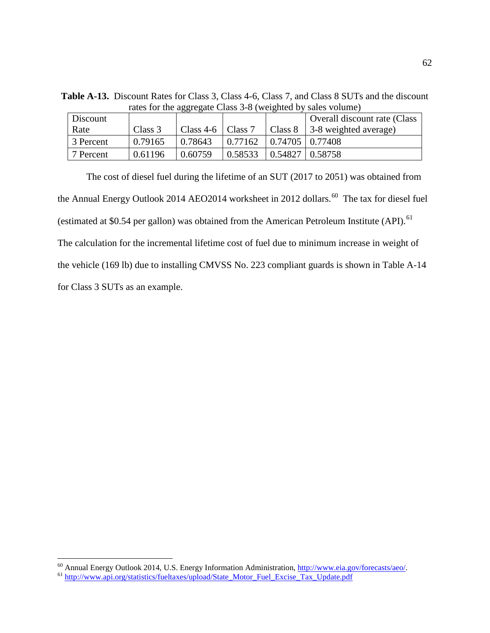**Table A-13.** Discount Rates for Class 3, Class 4-6, Class 7, and Class 8 SUTs and the discount rates for the aggregate Class 3-8 (weighted by sales volume) Discount Rate  $\Big| \text{Class } 3 \Big| \text{ Class } 4-6 \Big| \text{ Class } 7 \Big| \text{ Class } 8$ Overall discount rate (Class 3-8 weighted average)

3 Percent | 0.79165 | 0.78643 | 0.77162 | 0.74705 | 0.77408 7 Percent 0.61196 0.60759 0.58533 0.54827 0.58758

| The cost of diesel fuel during the lifetime of an SUT (2017 to 2051) was obtained from                   |
|----------------------------------------------------------------------------------------------------------|
| the Annual Energy Outlook 2014 AEO2014 worksheet in 2012 dollars. <sup>60</sup> The tax for diesel fuel  |
| (estimated at \$0.54 per gallon) was obtained from the American Petroleum Institute (API). <sup>61</sup> |
| The calculation for the incremental lifetime cost of fuel due to minimum increase in weight of           |
| the vehicle (169 lb) due to installing CMVSS No. 223 compliant guards is shown in Table A-14             |
| for Class 3 SUTs as an example.                                                                          |

<span id="page-61-1"></span><span id="page-61-0"></span><sup>&</sup>lt;sup>60</sup> Annual Energy Outlook 2014, U.S. Energy Information Administration, [http://www.eia.gov/forecasts/aeo/.](http://www.eia.gov/forecasts/aeo/)<br><sup>61</sup> [http://www.api.org/statistics/fueltaxes/upload/State\\_Motor\\_Fuel\\_Excise\\_Tax\\_Update.pdf](http://www.api.org/statistics/fueltaxes/upload/State_Motor_Fuel_Excise_Tax_Update.pdf)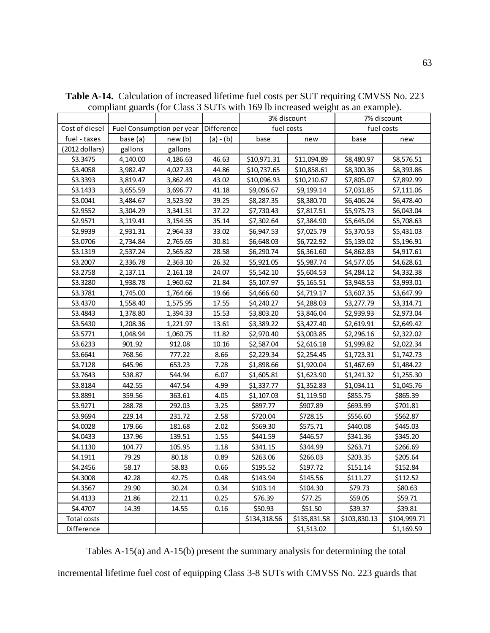|                |          |                                      |           | 3% discount  |              | 7% discount  |              |
|----------------|----------|--------------------------------------|-----------|--------------|--------------|--------------|--------------|
| Cost of diesel |          | Fuel Consumption per year Difference |           | fuel costs   |              | fuel costs   |              |
| fuel - taxes   | base (a) | new(b)                               | (a) - (b) | base         | new          | base         | new          |
| (2012 dollars) | gallons  | gallons                              |           |              |              |              |              |
| \$3.3475       | 4,140.00 | 4,186.63                             | 46.63     | \$10,971.31  | \$11,094.89  | \$8,480.97   | \$8,576.51   |
| \$3.4058       | 3,982.47 | 4,027.33                             | 44.86     | \$10,737.65  | \$10,858.61  | \$8,300.36   | \$8,393.86   |
| \$3.3393       | 3,819.47 | 3,862.49                             | 43.02     | \$10,096.93  | \$10,210.67  | \$7,805.07   | \$7,892.99   |
| \$3.1433       | 3,655.59 | 3,696.77                             | 41.18     | \$9,096.67   | \$9,199.14   | \$7,031.85   | \$7,111.06   |
| \$3.0041       | 3,484.67 | 3,523.92                             | 39.25     | \$8,287.35   | \$8,380.70   | \$6,406.24   | \$6,478.40   |
| \$2.9552       | 3,304.29 | 3,341.51                             | 37.22     | \$7,730.43   | \$7,817.51   | \$5,975.73   | \$6,043.04   |
| \$2.9571       | 3,119.41 | 3,154.55                             | 35.14     | \$7,302.64   | \$7,384.90   | \$5,645.04   | \$5,708.63   |
| \$2.9939       | 2,931.31 | 2,964.33                             | 33.02     | \$6,947.53   | \$7,025.79   | \$5,370.53   | \$5,431.03   |
| \$3.0706       | 2,734.84 | 2,765.65                             | 30.81     | \$6,648.03   | \$6,722.92   | \$5,139.02   | \$5,196.91   |
| \$3.1319       | 2,537.24 | 2,565.82                             | 28.58     | \$6,290.74   | \$6,361.60   | \$4,862.83   | \$4,917.61   |
| \$3.2007       | 2,336.78 | 2,363.10                             | 26.32     | \$5,921.05   | \$5,987.74   | \$4,577.05   | \$4,628.61   |
| \$3.2758       | 2,137.11 | 2,161.18                             | 24.07     | \$5,542.10   | \$5,604.53   | \$4,284.12   | \$4,332.38   |
| \$3.3280       | 1,938.78 | 1,960.62                             | 21.84     | \$5,107.97   | \$5,165.51   | \$3,948.53   | \$3,993.01   |
| \$3.3781       | 1,745.00 | 1,764.66                             | 19.66     | \$4,666.60   | \$4,719.17   | \$3,607.35   | \$3,647.99   |
| \$3.4370       | 1,558.40 | 1,575.95                             | 17.55     | \$4,240.27   | \$4,288.03   | \$3,277.79   | \$3,314.71   |
| \$3.4843       | 1,378.80 | 1,394.33                             | 15.53     | \$3,803.20   | \$3,846.04   | \$2,939.93   | \$2,973.04   |
| \$3.5430       | 1,208.36 | 1,221.97                             | 13.61     | \$3,389.22   | \$3,427.40   | \$2,619.91   | \$2,649.42   |
| \$3.5771       | 1,048.94 | 1,060.75                             | 11.82     | \$2,970.40   | \$3,003.85   | \$2,296.16   | \$2,322.02   |
| \$3.6233       | 901.92   | 912.08                               | 10.16     | \$2,587.04   | \$2,616.18   | \$1,999.82   | \$2,022.34   |
| \$3.6641       | 768.56   | 777.22                               | 8.66      | \$2,229.34   | \$2,254.45   | \$1,723.31   | \$1,742.73   |
| \$3.7128       | 645.96   | 653.23                               | 7.28      | \$1,898.66   | \$1,920.04   | \$1,467.69   | \$1,484.22   |
| \$3.7643       | 538.87   | 544.94                               | 6.07      | \$1,605.81   | \$1,623.90   | \$1,241.32   | \$1,255.30   |
| \$3.8184       | 442.55   | 447.54                               | 4.99      | \$1,337.77   | \$1,352.83   | \$1,034.11   | \$1,045.76   |
| \$3.8891       | 359.56   | 363.61                               | 4.05      | \$1,107.03   | \$1,119.50   | \$855.75     | \$865.39     |
| \$3.9271       | 288.78   | 292.03                               | 3.25      | \$897.77     | \$907.89     | \$693.99     | \$701.81     |
| \$3.9694       | 229.14   | 231.72                               | 2.58      | \$720.04     | \$728.15     | \$556.60     | \$562.87     |
| \$4.0028       | 179.66   | 181.68                               | 2.02      | \$569.30     | \$575.71     | \$440.08     | \$445.03     |
| \$4.0433       | 137.96   | 139.51                               | 1.55      | \$441.59     | \$446.57     | \$341.36     | \$345.20     |
| \$4.1130       | 104.77   | 105.95                               | 1.18      | \$341.15     | \$344.99     | \$263.71     | \$266.69     |
| \$4.1911       | 79.29    | 80.18                                | 0.89      | \$263.06     | \$266.03     | \$203.35     | \$205.64     |
| \$4.2456       | 58.17    | 58.83                                | 0.66      | \$195.52     | \$197.72     | \$151.14     | \$152.84     |
| \$4.3008       | 42.28    | 42.75                                | 0.48      | \$143.94     | \$145.56     | \$111.27     | \$112.52     |
| \$4.3567       | 29.90    | 30.24                                | 0.34      | \$103.14     | \$104.30     | \$79.73      | \$80.63      |
| \$4.4133       | 21.86    | 22.11                                | 0.25      | \$76.39      | \$77.25      | \$59.05      | \$59.71      |
| \$4.4707       | 14.39    | 14.55                                | 0.16      | \$50.93      | \$51.50      | \$39.37      | \$39.81      |
| Total costs    |          |                                      |           | \$134,318.56 | \$135,831.58 | \$103,830.13 | \$104,999.71 |
| Difference     |          |                                      |           |              | \$1,513.02   |              | \$1,169.59   |

**Table A-14.** Calculation of increased lifetime fuel costs per SUT requiring CMVSS No. 223 compliant guards (for Class 3 SUTs with 169 lb increased weight as an example).

Tables A-15(a) and A-15(b) present the summary analysis for determining the total

incremental lifetime fuel cost of equipping Class 3-8 SUTs with CMVSS No. 223 guards that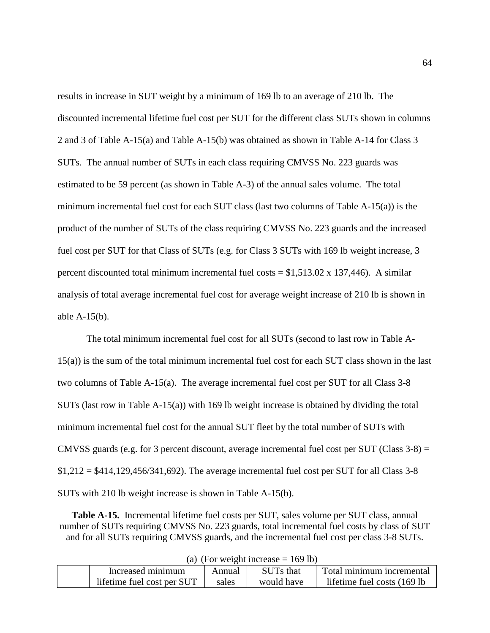results in increase in SUT weight by a minimum of 169 lb to an average of 210 lb. The discounted incremental lifetime fuel cost per SUT for the different class SUTs shown in columns 2 and 3 of Table A-15(a) and Table A-15(b) was obtained as shown in Table A-14 for Class 3 SUTs. The annual number of SUTs in each class requiring CMVSS No. 223 guards was estimated to be 59 percent (as shown in Table A-3) of the annual sales volume. The total minimum incremental fuel cost for each SUT class (last two columns of Table  $A-15(a)$ ) is the product of the number of SUTs of the class requiring CMVSS No. 223 guards and the increased fuel cost per SUT for that Class of SUTs (e.g. for Class 3 SUTs with 169 lb weight increase, 3 percent discounted total minimum incremental fuel costs =  $$1,513.02 \times 137,446$ ). A similar analysis of total average incremental fuel cost for average weight increase of 210 lb is shown in able A-15(b).

The total minimum incremental fuel cost for all SUTs (second to last row in Table A-15(a)) is the sum of the total minimum incremental fuel cost for each SUT class shown in the last two columns of Table A-15(a). The average incremental fuel cost per SUT for all Class 3-8 SUTs (last row in Table  $A-15(a)$ ) with 169 lb weight increase is obtained by dividing the total minimum incremental fuel cost for the annual SUT fleet by the total number of SUTs with CMVSS guards (e.g. for 3 percent discount, average incremental fuel cost per SUT (Class  $3-8$ ) =  $$1,212 = $414,129,456/341,692$ . The average incremental fuel cost per SUT for all Class 3-8 SUTs with 210 lb weight increase is shown in Table A-15(b).

**Table A-15.** Incremental lifetime fuel costs per SUT, sales volume per SUT class, annual number of SUTs requiring CMVSS No. 223 guards, total incremental fuel costs by class of SUT and for all SUTs requiring CMVSS guards, and the incremental fuel cost per class 3-8 SUTs.

| $(u)$ (1 or weight increase $-$ 100 10) |                            |        |                  |                              |  |  |  |
|-----------------------------------------|----------------------------|--------|------------------|------------------------------|--|--|--|
|                                         | Increased minimum          | Annual | <b>SUTs that</b> | Total minimum incremental    |  |  |  |
|                                         | lifetime fuel cost per SUT | sales  | would have       | lifetime fuel costs (169 lb) |  |  |  |
|                                         |                            |        |                  |                              |  |  |  |

|  | (a) (For weight increase $= 169$ lb) |  |
|--|--------------------------------------|--|
|  |                                      |  |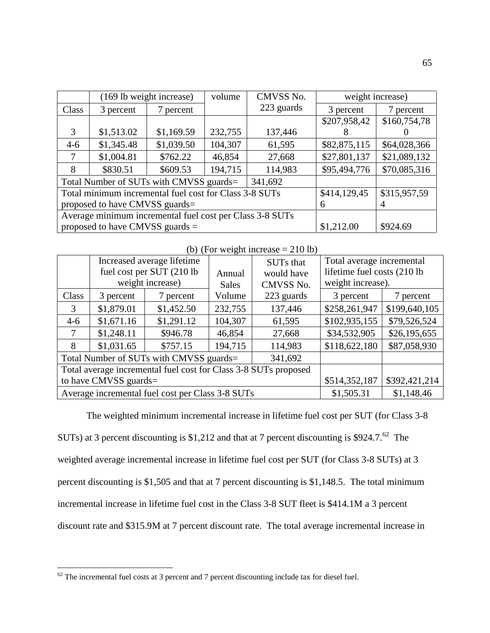|                                 | (169 lb weight increase)                                 |              | volume       | CMVSS No.  |              | weight increase) |  |
|---------------------------------|----------------------------------------------------------|--------------|--------------|------------|--------------|------------------|--|
| Class                           | 3 percent                                                | 7 percent    |              | 223 guards | 3 percent    | 7 percent        |  |
|                                 |                                                          |              |              |            | \$207,958,42 | \$160,754,78     |  |
| 3                               | \$1,513.02                                               | \$1,169.59   | 232,755      | 137,446    |              |                  |  |
| $4-6$                           | \$1,345.48                                               | \$1,039.50   | 104,307      | 61,595     | \$82,875,115 | \$64,028,366     |  |
| 7                               | \$1,004.81                                               | \$762.22     | 46,854       | 27,668     | \$27,801,137 | \$21,089,132     |  |
| 8                               | \$830.51                                                 | \$609.53     | 194,715      | 114,983    | \$95,494,776 | \$70,085,316     |  |
|                                 | Total Number of SUTs with CMVSS guards=                  |              |              |            |              |                  |  |
|                                 | Total minimum incremental fuel cost for Class 3-8 SUTs   | \$414,129,45 | \$315,957,59 |            |              |                  |  |
|                                 | proposed to have CMVSS guards=                           | 6            | 4            |            |              |                  |  |
|                                 | Average minimum incremental fuel cost per Class 3-8 SUTs |              |              |            |              |                  |  |
| proposed to have CMVSS guards = |                                                          |              |              |            | \$1,212.00   | \$924.69         |  |

(b) (For weight increase  $= 210$  lb)

|                                                  | Increased average lifetime<br>fuel cost per SUT (210 lb<br>weight increase) |            | Annual<br><b>Sales</b> | SUTs that<br>would have<br>CMVSS No. | Total average incremental<br>lifetime fuel costs (210 lb)<br>weight increase). |               |
|--------------------------------------------------|-----------------------------------------------------------------------------|------------|------------------------|--------------------------------------|--------------------------------------------------------------------------------|---------------|
| Class                                            | 3 percent                                                                   | 7 percent  | Volume                 | 223 guards                           | 3 percent                                                                      | 7 percent     |
| 3                                                | \$1,879.01                                                                  | \$1,452.50 | 232,755                | 137,446                              | \$258,261,947                                                                  | \$199,640,105 |
| $4-6$                                            | \$1,671.16                                                                  | \$1,291.12 | 104,307                | 61,595                               | \$102,935,155                                                                  | \$79,526,524  |
| 7                                                | \$1,248.11                                                                  | \$946.78   | 46,854                 | 27,668                               | \$34,532,905                                                                   | \$26,195,655  |
| 8                                                | \$1,031.65                                                                  | \$757.15   | 194,715                | 114,983                              | \$118,622,180                                                                  | \$87,058,930  |
|                                                  | Total Number of SUTs with CMVSS guards=                                     |            |                        |                                      |                                                                                |               |
|                                                  | Total average incremental fuel cost for Class 3-8 SUTs proposed             |            |                        |                                      |                                                                                |               |
| to have CMVSS guards=                            |                                                                             |            |                        |                                      | \$514,352,187                                                                  | \$392,421,214 |
| Average incremental fuel cost per Class 3-8 SUTs |                                                                             |            |                        |                                      | \$1,505.31                                                                     | \$1,148.46    |

The weighted minimum incremental increase in lifetime fuel cost per SUT (for Class 3-8

SUTs) at 3 percent discounting is \$1,212 and that at 7 percent discounting is \$924.7.<sup>[62](#page-64-0)</sup> The weighted average incremental increase in lifetime fuel cost per SUT (for Class 3-8 SUTs) at 3 percent discounting is \$1,505 and that at 7 percent discounting is \$1,148.5. The total minimum incremental increase in lifetime fuel cost in the Class 3-8 SUT fleet is \$414.1M a 3 percent discount rate and \$315.9M at 7 percent discount rate. The total average incremental increase in

<span id="page-64-0"></span> $62$  The incremental fuel costs at 3 percent and 7 percent discounting include tax for diesel fuel.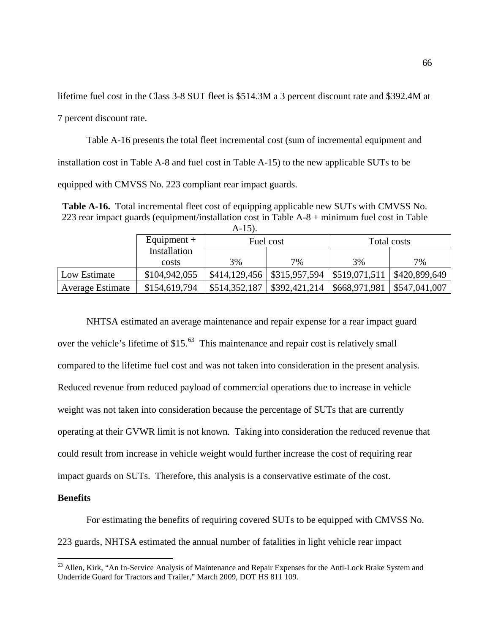lifetime fuel cost in the Class 3-8 SUT fleet is \$514.3M a 3 percent discount rate and \$392.4M at

7 percent discount rate.

Table A-16 presents the total fleet incremental cost (sum of incremental equipment and installation cost in Table A-8 and fuel cost in Table A-15) to the new applicable SUTs to be equipped with CMVSS No. 223 compliant rear impact guards.

**Table A-16.** Total incremental fleet cost of equipping applicable new SUTs with CMVSS No. 223 rear impact guards (equipment/installation cost in Table A-8 + minimum fuel cost in Table  $A-15$ 

| .                       |               |               |                                              |               |               |  |
|-------------------------|---------------|---------------|----------------------------------------------|---------------|---------------|--|
|                         | Equipment $+$ | Fuel cost     |                                              | Total costs   |               |  |
|                         | Installation  |               |                                              |               |               |  |
|                         | costs         | 3%            | $7\%$                                        | 3%            | 7%            |  |
| Low Estimate            | \$104,942,055 |               | $$414,129,456$ $$315,957,594$ $$519,071,511$ |               | \$420,899,649 |  |
| <b>Average Estimate</b> | \$154,619,794 | \$514,352,187 | \$392,421,214                                | \$668,971,981 | \$547,041,007 |  |

NHTSA estimated an average maintenance and repair expense for a rear impact guard over the vehicle's lifetime of \$15.<sup>[63](#page-65-0)</sup> This maintenance and repair cost is relatively small compared to the lifetime fuel cost and was not taken into consideration in the present analysis. Reduced revenue from reduced payload of commercial operations due to increase in vehicle weight was not taken into consideration because the percentage of SUTs that are currently operating at their GVWR limit is not known. Taking into consideration the reduced revenue that could result from increase in vehicle weight would further increase the cost of requiring rear impact guards on SUTs. Therefore, this analysis is a conservative estimate of the cost.

## **Benefits**

For estimating the benefits of requiring covered SUTs to be equipped with CMVSS No. 223 guards, NHTSA estimated the annual number of fatalities in light vehicle rear impact

<span id="page-65-0"></span><sup>&</sup>lt;sup>63</sup> Allen, Kirk, "An In-Service Analysis of Maintenance and Repair Expenses for the Anti-Lock Brake System and Underride Guard for Tractors and Trailer," March 2009, DOT HS 811 109.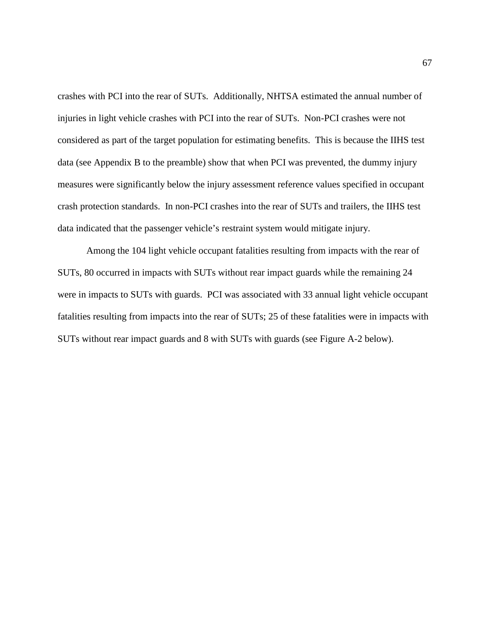crashes with PCI into the rear of SUTs. Additionally, NHTSA estimated the annual number of injuries in light vehicle crashes with PCI into the rear of SUTs. Non-PCI crashes were not considered as part of the target population for estimating benefits. This is because the IIHS test data (see Appendix B to the preamble) show that when PCI was prevented, the dummy injury measures were significantly below the injury assessment reference values specified in occupant crash protection standards. In non-PCI crashes into the rear of SUTs and trailers, the IIHS test data indicated that the passenger vehicle's restraint system would mitigate injury.

Among the 104 light vehicle occupant fatalities resulting from impacts with the rear of SUTs, 80 occurred in impacts with SUTs without rear impact guards while the remaining 24 were in impacts to SUTs with guards. PCI was associated with 33 annual light vehicle occupant fatalities resulting from impacts into the rear of SUTs; 25 of these fatalities were in impacts with SUTs without rear impact guards and 8 with SUTs with guards (see Figure A-2 below).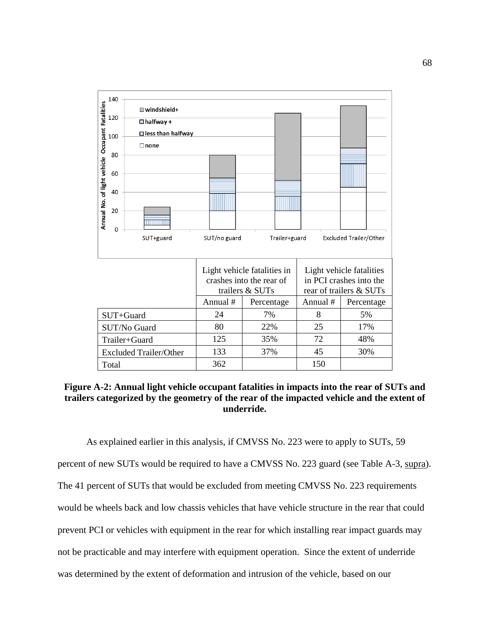

**Figure A-2: Annual light vehicle occupant fatalities in impacts into the rear of SUTs and trailers categorized by the geometry of the rear of the impacted vehicle and the extent of underride.**

As explained earlier in this analysis, if CMVSS No. 223 were to apply to SUTs, 59 percent of new SUTs would be required to have a CMVSS No. 223 guard (see Table A-3, supra). The 41 percent of SUTs that would be excluded from meeting CMVSS No. 223 requirements would be wheels back and low chassis vehicles that have vehicle structure in the rear that could prevent PCI or vehicles with equipment in the rear for which installing rear impact guards may not be practicable and may interfere with equipment operation. Since the extent of underride was determined by the extent of deformation and intrusion of the vehicle, based on our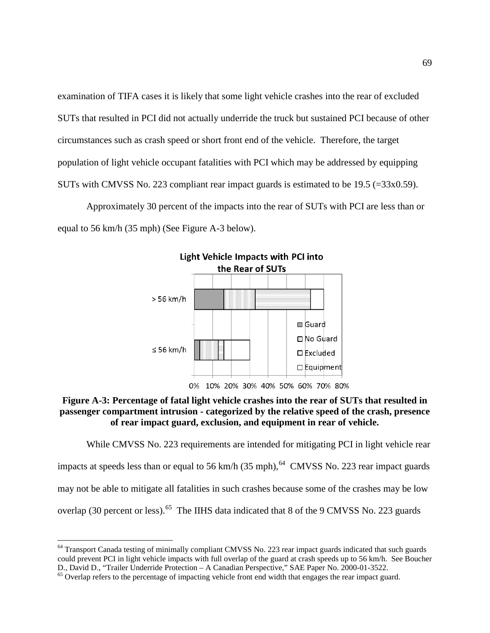examination of TIFA cases it is likely that some light vehicle crashes into the rear of excluded SUTs that resulted in PCI did not actually underride the truck but sustained PCI because of other circumstances such as crash speed or short front end of the vehicle. Therefore, the target population of light vehicle occupant fatalities with PCI which may be addressed by equipping SUTs with CMVSS No. 223 compliant rear impact guards is estimated to be 19.5 (=33x0.59).

Approximately 30 percent of the impacts into the rear of SUTs with PCI are less than or equal to 56 km/h (35 mph) (See Figure A-3 below).



## **Figure A-3: Percentage of fatal light vehicle crashes into the rear of SUTs that resulted in passenger compartment intrusion - categorized by the relative speed of the crash, presence of rear impact guard, exclusion, and equipment in rear of vehicle.**

While CMVSS No. 223 requirements are intended for mitigating PCI in light vehicle rear impacts at speeds less than or equal to 56 km/h  $(35 \text{ mph})$ , <sup>64</sup> CMVSS No. 223 rear impact guards may not be able to mitigate all fatalities in such crashes because some of the crashes may be low overlap (30 percent or less).<sup>65</sup> The IIHS data indicated that 8 of the 9 CMVSS No. 223 guards

<span id="page-68-0"></span><sup>&</sup>lt;sup>64</sup> Transport Canada testing of minimally compliant CMVSS No. 223 rear impact guards indicated that such guards could prevent PCI in light vehicle impacts with full overlap of the guard at crash speeds up to 56 km/h. See Boucher D., David D., "Trailer Underride Protection – A Canadian Perspective," SAE Paper No. 2000-01-3522.

<span id="page-68-1"></span><sup>&</sup>lt;sup>65</sup> Overlap refers to the percentage of impacting vehicle front end width that engages the rear impact guard.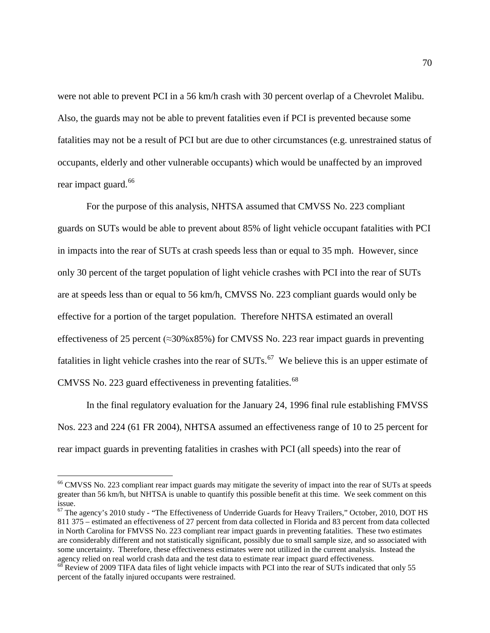were not able to prevent PCI in a 56 km/h crash with 30 percent overlap of a Chevrolet Malibu. Also, the guards may not be able to prevent fatalities even if PCI is prevented because some fatalities may not be a result of PCI but are due to other circumstances (e.g. unrestrained status of occupants, elderly and other vulnerable occupants) which would be unaffected by an improved rear impact guard.<sup>[66](#page-69-0)</sup>

For the purpose of this analysis, NHTSA assumed that CMVSS No. 223 compliant guards on SUTs would be able to prevent about 85% of light vehicle occupant fatalities with PCI in impacts into the rear of SUTs at crash speeds less than or equal to 35 mph. However, since only 30 percent of the target population of light vehicle crashes with PCI into the rear of SUTs are at speeds less than or equal to 56 km/h, CMVSS No. 223 compliant guards would only be effective for a portion of the target population. Therefore NHTSA estimated an overall effectiveness of 25 percent ( $\approx$ 30%x85%) for CMVSS No. 223 rear impact guards in preventing fatalities in light vehicle crashes into the rear of  $SUTs$ .<sup>[67](#page-69-1)</sup> We believe this is an upper estimate of CMVSS No. 223 guard effectiveness in preventing fatalities. [68](#page-69-2) 

In the final regulatory evaluation for the January 24, 1996 final rule establishing FMVSS Nos. 223 and 224 (61 FR 2004), NHTSA assumed an effectiveness range of 10 to 25 percent for rear impact guards in preventing fatalities in crashes with PCI (all speeds) into the rear of

<span id="page-69-0"></span><sup>&</sup>lt;sup>66</sup> CMVSS No. 223 compliant rear impact guards may mitigate the severity of impact into the rear of SUTs at speeds greater than 56 km/h, but NHTSA is unable to quantify this possible benefit at this time. We seek comment on this issue.

<span id="page-69-1"></span><sup>&</sup>lt;sup>67</sup> The agency's 2010 study - "The Effectiveness of Underride Guards for Heavy Trailers," October, 2010, DOT HS 811 375 – estimated an effectiveness of 27 percent from data collected in Florida and 83 percent from data collected in North Carolina for FMVSS No. 223 compliant rear impact guards in preventing fatalities. These two estimates are considerably different and not statistically significant, possibly due to small sample size, and so associated with some uncertainty. Therefore, these effectiveness estimates were not utilized in the current analysis. Instead the agency relied on real world crash data and the test data to estimate rear impact guard effectiveness.

<span id="page-69-2"></span> $68$  Review of 2009 TIFA data files of light vehicle impacts with PCI into the rear of SUTs indicated that only 55 percent of the fatally injured occupants were restrained.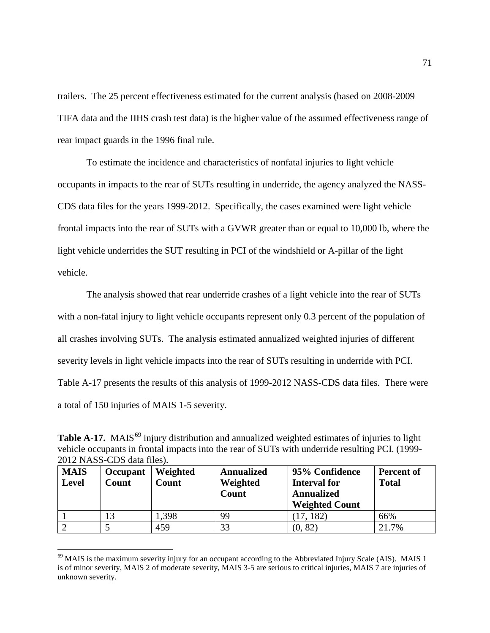trailers. The 25 percent effectiveness estimated for the current analysis (based on 2008-2009 TIFA data and the IIHS crash test data) is the higher value of the assumed effectiveness range of rear impact guards in the 1996 final rule.

To estimate the incidence and characteristics of nonfatal injuries to light vehicle occupants in impacts to the rear of SUTs resulting in underride, the agency analyzed the NASS-CDS data files for the years 1999-2012. Specifically, the cases examined were light vehicle frontal impacts into the rear of SUTs with a GVWR greater than or equal to 10,000 lb, where the light vehicle underrides the SUT resulting in PCI of the windshield or A-pillar of the light vehicle.

The analysis showed that rear underride crashes of a light vehicle into the rear of SUTs with a non-fatal injury to light vehicle occupants represent only 0.3 percent of the population of all crashes involving SUTs. The analysis estimated annualized weighted injuries of different severity levels in light vehicle impacts into the rear of SUTs resulting in underride with PCI. Table A-17 presents the results of this analysis of 1999-2012 NASS-CDS data files. There were a total of 150 injuries of MAIS 1-5 severity.

**Table A-17.** MAIS<sup>[69](#page-70-0)</sup> injury distribution and annualized weighted estimates of injuries to light vehicle occupants in frontal impacts into the rear of SUTs with underride resulting PCI. (1999- 2012 NASS-CDS data files).

| <b>MAIS</b><br><b>Level</b> | Occupant<br>Count | Weighted<br>Count | <b>Annualized</b><br>Weighted<br><b>Count</b> | 95% Confidence<br><b>Interval for</b><br><b>Annualized</b><br><b>Weighted Count</b> | Percent of<br><b>Total</b> |
|-----------------------------|-------------------|-------------------|-----------------------------------------------|-------------------------------------------------------------------------------------|----------------------------|
|                             |                   | .398              | 99                                            | 182)                                                                                | 66%                        |
|                             |                   | 459               | 33                                            | (0, 82)                                                                             | 21.7%                      |

<span id="page-70-0"></span> $69$  MAIS is the maximum severity injury for an occupant according to the Abbreviated Injury Scale (AIS). MAIS 1 is of minor severity, MAIS 2 of moderate severity, MAIS 3-5 are serious to critical injuries, MAIS 7 are injuries of unknown severity.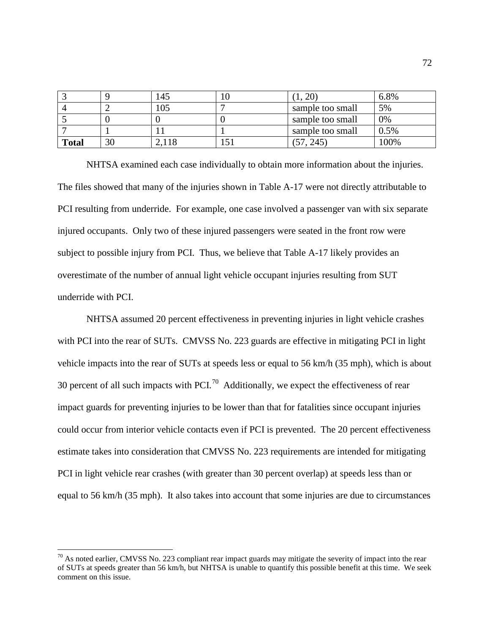|              |    | 145   |                  | 6.8% |
|--------------|----|-------|------------------|------|
|              |    | 105   | sample too small | 5%   |
|              |    |       | sample too small | 0%   |
|              |    |       | sample too small | 0.5% |
| <b>Total</b> | 30 | 2,118 | 245              | 100% |

NHTSA examined each case individually to obtain more information about the injuries. The files showed that many of the injuries shown in Table A-17 were not directly attributable to PCI resulting from underride. For example, one case involved a passenger van with six separate injured occupants. Only two of these injured passengers were seated in the front row were subject to possible injury from PCI. Thus, we believe that Table A-17 likely provides an overestimate of the number of annual light vehicle occupant injuries resulting from SUT underride with PCI.

NHTSA assumed 20 percent effectiveness in preventing injuries in light vehicle crashes with PCI into the rear of SUTs. CMVSS No. 223 guards are effective in mitigating PCI in light vehicle impacts into the rear of SUTs at speeds less or equal to 56 km/h (35 mph), which is about 30 percent of all such impacts with PCI.<sup>[70](#page-71-0)</sup> Additionally, we expect the effectiveness of rear impact guards for preventing injuries to be lower than that for fatalities since occupant injuries could occur from interior vehicle contacts even if PCI is prevented. The 20 percent effectiveness estimate takes into consideration that CMVSS No. 223 requirements are intended for mitigating PCI in light vehicle rear crashes (with greater than 30 percent overlap) at speeds less than or equal to 56 km/h (35 mph). It also takes into account that some injuries are due to circumstances

<span id="page-71-0"></span> $70$  As noted earlier, CMVSS No. 223 compliant rear impact guards may mitigate the severity of impact into the rear of SUTs at speeds greater than 56 km/h, but NHTSA is unable to quantify this possible benefit at this time. We seek comment on this issue.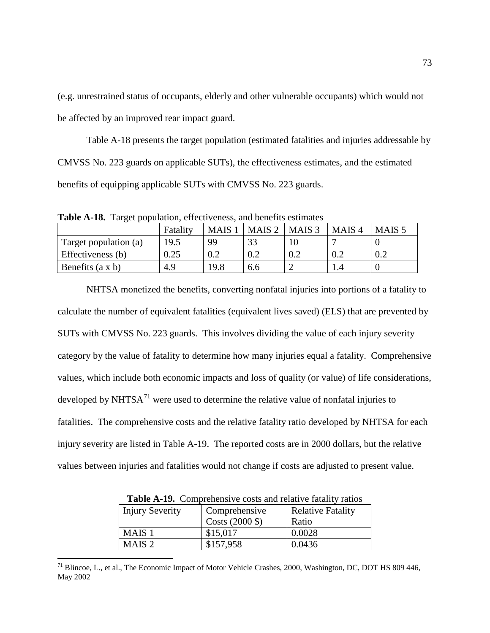(e.g. unrestrained status of occupants, elderly and other vulnerable occupants) which would not be affected by an improved rear impact guard.

Table A-18 presents the target population (estimated fatalities and injuries addressable by CMVSS No. 223 guards on applicable SUTs), the effectiveness estimates, and the estimated benefits of equipping applicable SUTs with CMVSS No. 223 guards.

**Table A-18.** Target population, effectiveness, and benefits estimates

|                         | Fatality | <b>MAIS</b> | MAIS <sub>2</sub> | MAIS <sub>3</sub> | MAIS <sub>4</sub> | MAIS <sub>5</sub> |
|-------------------------|----------|-------------|-------------------|-------------------|-------------------|-------------------|
| Target population (a)   | 19.5     | 99          | 33                |                   |                   |                   |
| Effectiveness (b)       | $0.25\,$ | 0.2         | 0.2               |                   | 0.2               |                   |
| Benefits $(a \times b)$ | 4.9      | 19.8        | 6.6               |                   | 1.4               |                   |

NHTSA monetized the benefits, converting nonfatal injuries into portions of a fatality to calculate the number of equivalent fatalities (equivalent lives saved) (ELS) that are prevented by SUTs with CMVSS No. 223 guards. This involves dividing the value of each injury severity category by the value of fatality to determine how many injuries equal a fatality. Comprehensive values, which include both economic impacts and loss of quality (or value) of life considerations, developed by NHTS $A^{71}$  $A^{71}$  $A^{71}$  were used to determine the relative value of nonfatal injuries to fatalities. The comprehensive costs and the relative fatality ratio developed by NHTSA for each injury severity are listed in Table A-19. The reported costs are in 2000 dollars, but the relative values between injuries and fatalities would not change if costs are adjusted to present value.

| <b>Table A-19.</b> Complement ve costs and relative ratamy ratios |                          |  |  |  |  |
|-------------------------------------------------------------------|--------------------------|--|--|--|--|
| Comprehensive                                                     | <b>Relative Fatality</b> |  |  |  |  |
| Costs $(2000 \text{ } $)$                                         | Ratio                    |  |  |  |  |
| \$15,017                                                          | 0.0028                   |  |  |  |  |
| \$157,958                                                         | 0.0436                   |  |  |  |  |
|                                                                   |                          |  |  |  |  |

**Table A-19.** Comprehensive costs and relative fatality ratios

<span id="page-72-0"></span><sup>&</sup>lt;sup>71</sup> Blincoe, L., et al., The Economic Impact of Motor Vehicle Crashes, 2000, Washington, DC, DOT HS 809 446, May 2002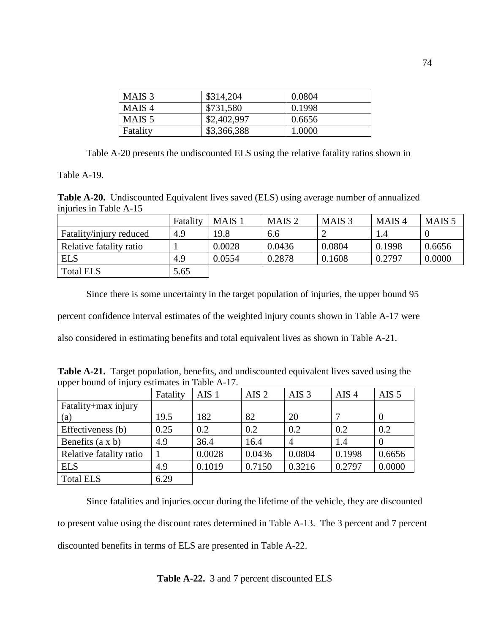| MAIS <sub>3</sub> | \$314,204   | 0.0804 |
|-------------------|-------------|--------|
| MAIS <sub>4</sub> | \$731,580   | 0.1998 |
| MAIS 5            | \$2,402,997 | 0.6656 |
| Fatality          | \$3,366,388 | 1.0000 |

Table A-20 presents the undiscounted ELS using the relative fatality ratios shown in

Table A-19.

**Table A-20.** Undiscounted Equivalent lives saved (ELS) using average number of annualized injuries in Table A-15

|                         | Fatality | MAIS <sub>1</sub> | MAIS <sub>2</sub> | MAIS <sub>3</sub> | MAIS <sub>4</sub> | MAIS <sub>5</sub> |
|-------------------------|----------|-------------------|-------------------|-------------------|-------------------|-------------------|
| Fatality/injury reduced | 4.9      | 19.8              | 6.6               |                   | I.4               |                   |
| Relative fatality ratio |          | 0.0028            | 0.0436            | 0.0804            | 0.1998            | 0.6656            |
| <b>ELS</b>              | 4.9      | 0.0554            | 0.2878            | 0.1608            | 0.2797            | 0.0000            |
| <b>Total ELS</b>        | 5.65     |                   |                   |                   |                   |                   |

Since there is some uncertainty in the target population of injuries, the upper bound 95 percent confidence interval estimates of the weighted injury counts shown in Table A-17 were also considered in estimating benefits and total equivalent lives as shown in Table A-21.

**Table A-21.** Target population, benefits, and undiscounted equivalent lives saved using the upper bound of injury estimates in Table A-17.

|                         | Fatality | AIS <sub>1</sub> | AIS <sub>2</sub> | AIS <sub>3</sub> | AIS <sub>4</sub> | AIS $5$  |
|-------------------------|----------|------------------|------------------|------------------|------------------|----------|
| Fatality+max injury     |          |                  |                  |                  |                  |          |
| (a)                     | 19.5     | 182              | 82               | 20               |                  | $\theta$ |
| Effectiveness (b)       | 0.25     | 0.2              | 0.2              | 0.2              | 0.2              | 0.2      |
| Benefits $(a \times b)$ | 4.9      | 36.4             | 16.4             | 4                | 1.4              | $\Omega$ |
| Relative fatality ratio |          | 0.0028           | 0.0436           | 0.0804           | 0.1998           | 0.6656   |
| <b>ELS</b>              | 4.9      | 0.1019           | 0.7150           | 0.3216           | 0.2797           | 0.0000   |
| <b>Total ELS</b>        | 6.29     |                  |                  |                  |                  |          |

Since fatalities and injuries occur during the lifetime of the vehicle, they are discounted to present value using the discount rates determined in Table A-13. The 3 percent and 7 percent discounted benefits in terms of ELS are presented in Table A-22.

**Table A-22.** 3 and 7 percent discounted ELS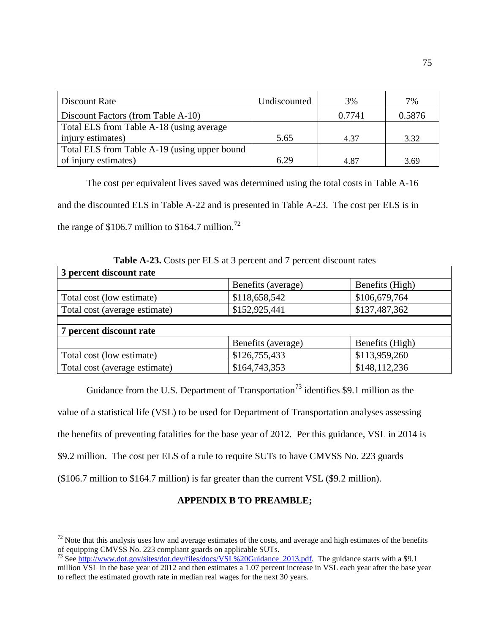| Discount Rate                                | Undiscounted | 3%     | 7%     |
|----------------------------------------------|--------------|--------|--------|
| Discount Factors (from Table A-10)           |              | 0.7741 | 0.5876 |
| Total ELS from Table A-18 (using average     |              |        |        |
| injury estimates)                            | 5.65         | 4.37   | 3.32   |
| Total ELS from Table A-19 (using upper bound |              |        |        |
| of injury estimates)                         | 6.29         | 4.87   | 3.69   |

The cost per equivalent lives saved was determined using the total costs in Table A-16 and the discounted ELS in Table A-22 and is presented in Table A-23. The cost per ELS is in the range of  $$106.7$  million to  $$164.7$  million.<sup>72</sup>

|                               | <b>Table A-23.</b> Costs per ELS at 3 percent and 7 percent discount rates |                 |
|-------------------------------|----------------------------------------------------------------------------|-----------------|
| 3 percent discount rate       |                                                                            |                 |
|                               | Benefits (average)                                                         | Benefits (High) |
| Total cost (low estimate)     | \$118,658,542                                                              | \$106,679,764   |
| Total cost (average estimate) | \$152,925,441                                                              | \$137,487,362   |
|                               |                                                                            |                 |
| 7 percent discount rate       |                                                                            |                 |
|                               | Benefits (average)                                                         | Benefits (High) |
| Total cost (low estimate)     | \$126,755,433                                                              | \$113,959,260   |
| Total cost (average estimate) | \$164,743,353                                                              | \$148,112,236   |

**Table A-23.** Costs per ELS at 3 percent and 7 percent discount rates

Guidance from the U.S. Department of Transportation<sup>[73](#page-74-1)</sup> identifies \$9.1 million as the value of a statistical life (VSL) to be used for Department of Transportation analyses assessing the benefits of preventing fatalities for the base year of 2012. Per this guidance, VSL in 2014 is \$9.2 million. The cost per ELS of a rule to require SUTs to have CMVSS No. 223 guards (\$106.7 million to \$164.7 million) is far greater than the current VSL (\$9.2 million).

## **APPENDIX B TO PREAMBLE;**

<span id="page-74-0"></span> $72$  Note that this analysis uses low and average estimates of the costs, and average and high estimates of the benefits of equipping CMVSS No. 223 compliant guards on applicable SUTs.

<span id="page-74-1"></span><sup>&</sup>lt;sup>73</sup> See [http://www.dot.gov/sites/dot.dev/files/docs/VSL%20Guidance\\_2013.pdf.](http://www.dot.gov/sites/dot.dev/files/docs/VSL%20Guidance_2013.pdf) The guidance starts with a \$9.1 million VSL in the base year of 2012 and then estimates a 1.07 percent increase in VSL each year after the base year to reflect the estimated growth rate in median real wages for the next 30 years.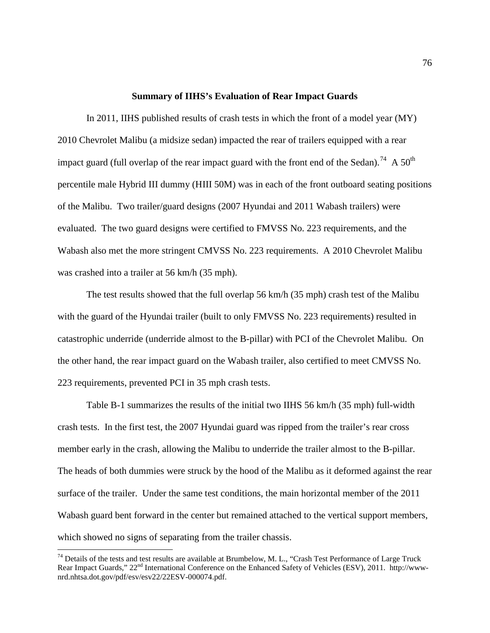## **Summary of IIHS's Evaluation of Rear Impact Guards**

In 2011, IIHS published results of crash tests in which the front of a model year (MY) 2010 Chevrolet Malibu (a midsize sedan) impacted the rear of trailers equipped with a rear impact guard (full overlap of the rear impact guard with the front end of the Sedan).<sup>[74](#page-75-0)</sup> A 50<sup>th</sup> percentile male Hybrid III dummy (HIII 50M) was in each of the front outboard seating positions of the Malibu. Two trailer/guard designs (2007 Hyundai and 2011 Wabash trailers) were evaluated. The two guard designs were certified to FMVSS No. 223 requirements, and the Wabash also met the more stringent CMVSS No. 223 requirements. A 2010 Chevrolet Malibu was crashed into a trailer at 56 km/h (35 mph).

The test results showed that the full overlap 56 km/h (35 mph) crash test of the Malibu with the guard of the Hyundai trailer (built to only FMVSS No. 223 requirements) resulted in catastrophic underride (underride almost to the B-pillar) with PCI of the Chevrolet Malibu. On the other hand, the rear impact guard on the Wabash trailer, also certified to meet CMVSS No. 223 requirements, prevented PCI in 35 mph crash tests.

[Table](#page-76-0) B-1 summarizes the results of the initial two IIHS 56 km/h (35 mph) full-width crash tests. In the first test, the 2007 Hyundai guard was ripped from the trailer's rear cross member early in the crash, allowing the Malibu to underride the trailer almost to the B-pillar. The heads of both dummies were struck by the hood of the Malibu as it deformed against the rear surface of the trailer. Under the same test conditions, the main horizontal member of the 2011 Wabash guard bent forward in the center but remained attached to the vertical support members, which showed no signs of separating from the trailer chassis.

<span id="page-75-0"></span> $74$  Details of the tests and test results are available at Brumbelow, M. L., "Crash Test Performance of Large Truck Rear Impact Guards,"  $22<sup>nd</sup>$  International Conference on the Enhanced Safety of Vehicles (ESV), 2011. http://wwwnrd.nhtsa.dot.gov/pdf/esv/esv22/22ESV-000074.pdf.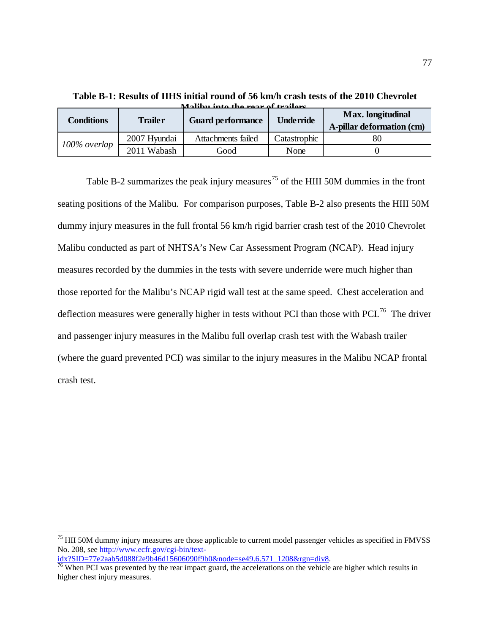| <b>Conditions</b> | <b>Trailer</b> | <b>Guard performance</b> | <b>Underride</b> | Max. longitudinal<br>A-pillar deformation (cm) |
|-------------------|----------------|--------------------------|------------------|------------------------------------------------|
|                   | 2007 Hyundai   | Attachments failed       | Catastrophic     |                                                |
| 100% overlap      | 2011 Wabash    | Good                     | None             |                                                |

<span id="page-76-0"></span>**Table B-1: Results of IIHS initial round of 56 km/h crash tests of the 2010 Chevrolet Malibu into the rear of trailers.**

[Table B](#page-77-0)-2 summarizes the peak injury measures<sup>[75](#page-76-1)</sup> of the HIII 50M dummies in the front seating positions of the Malibu. For comparison purposes, Table B-2 also presents the HIII 50M dummy injury measures in the full frontal 56 km/h rigid barrier crash test of the 2010 Chevrolet Malibu conducted as part of NHTSA's New Car Assessment Program (NCAP). Head injury measures recorded by the dummies in the tests with severe underride were much higher than those reported for the Malibu's NCAP rigid wall test at the same speed. Chest acceleration and deflection measures were generally higher in tests without PCI than those with PCI.<sup>76</sup> The driver and passenger injury measures in the Malibu full overlap crash test with the Wabash trailer (where the guard prevented PCI) was similar to the injury measures in the Malibu NCAP frontal crash test.

<span id="page-76-1"></span><sup>&</sup>lt;sup>75</sup> HII 50M dummy injury measures are those applicable to current model passenger vehicles as specified in FMVSS No. 208, see http://www.ecfr.gov/cgi-bin/text-<br>idx?SID=77e2aab5d088f2e9b46d15606090f9b0&node=se49.6.571 1208&rgn=div8.

<span id="page-76-2"></span> $\frac{76}{76}$  $\frac{76}{76}$  $\frac{76}{76}$  When PCI was prevented by the rear impact guard, the accelerations on the vehicle are higher which results in higher chest injury measures.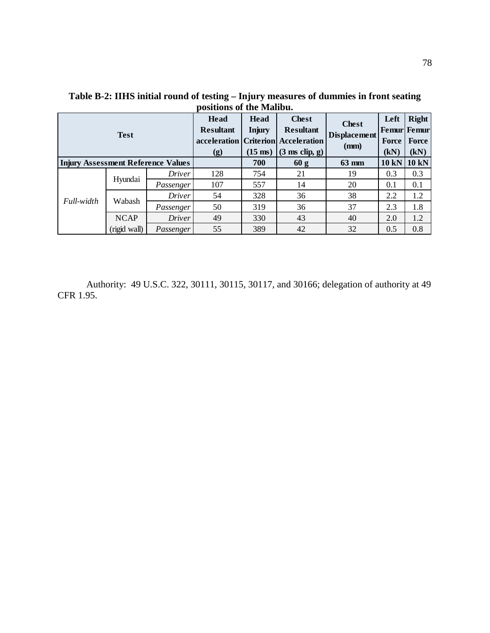| <b>Test</b> |              | Head<br><b>Resultant</b><br>(g)                                                                                                                                                                                                                      | Head<br><b>Injury</b><br>$(15 \text{ ms})$ | <b>Chest</b><br><b>Resultant</b><br>$(3 \text{ ms clip}, g)$ | <b>Chest</b><br><b>Displacement</b><br>(mm) | Left<br><b>Femur</b> Femur<br>Force<br>(kN) | Right<br><b>Force</b><br>(kN) |              |
|-------------|--------------|------------------------------------------------------------------------------------------------------------------------------------------------------------------------------------------------------------------------------------------------------|--------------------------------------------|--------------------------------------------------------------|---------------------------------------------|---------------------------------------------|-------------------------------|--------------|
|             |              |                                                                                                                                                                                                                                                      |                                            | 700                                                          | 60 g                                        | 63 mm                                       | 10 kN                         | <b>10 kN</b> |
|             |              | <b>Driver</b>                                                                                                                                                                                                                                        | 128                                        | 754                                                          | 21                                          | 19                                          | 0.3                           | 0.3          |
|             | Hyundai      | Passenger                                                                                                                                                                                                                                            | 107                                        | 557                                                          | 14                                          | 20                                          | 0.1                           | 0.1          |
|             |              | acceleration   Criterion   Acceleration<br><b>Injury Assessment Reference Values</b><br>328<br>36<br>38<br><b>Driver</b><br>54<br>50<br>319<br>36<br>37<br>Passenger<br>49<br>330<br>43<br>40<br><i>Driver</i><br>55<br>389<br>32<br>42<br>Passenger | 2.2                                        | 1.2                                                          |                                             |                                             |                               |              |
| Full-width  | Wabash       |                                                                                                                                                                                                                                                      |                                            | positions of the <b>widno</b> u.<br>2.3<br>2.0<br>0.5        | 1.8                                         |                                             |                               |              |
|             | <b>NCAP</b>  |                                                                                                                                                                                                                                                      |                                            |                                                              |                                             |                                             |                               | 1.2          |
|             | (rigid wall) |                                                                                                                                                                                                                                                      |                                            |                                                              |                                             |                                             |                               | 0.8          |

<span id="page-77-0"></span>**Table B-2: IIHS initial round of testing – Injury measures of dummies in front seating positions of the Malibu.**

Authority: 49 U.S.C. 322, 30111, 30115, 30117, and 30166; delegation of authority at 49 CFR 1.95.